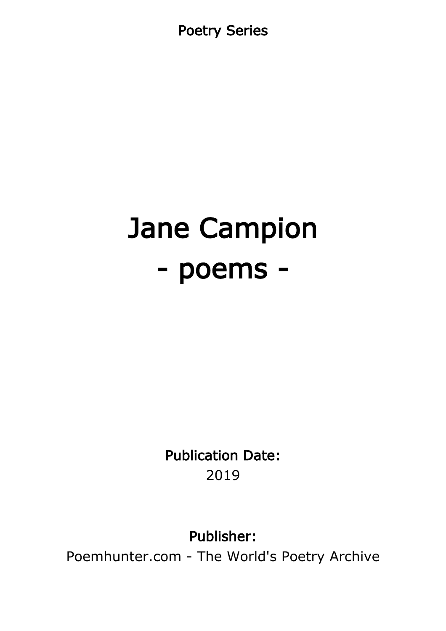Poetry Series

# Jane Campion - poems -

Publication Date: 2019

Publisher:

Poemhunter.com - The World's Poetry Archive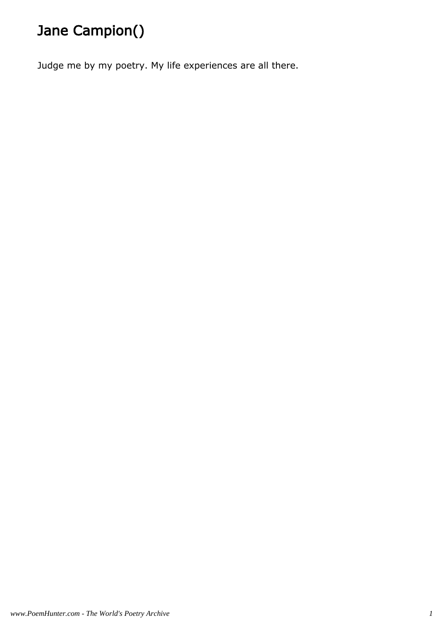# Jane Campion()

Judge me by my poetry. My life experiences are all there.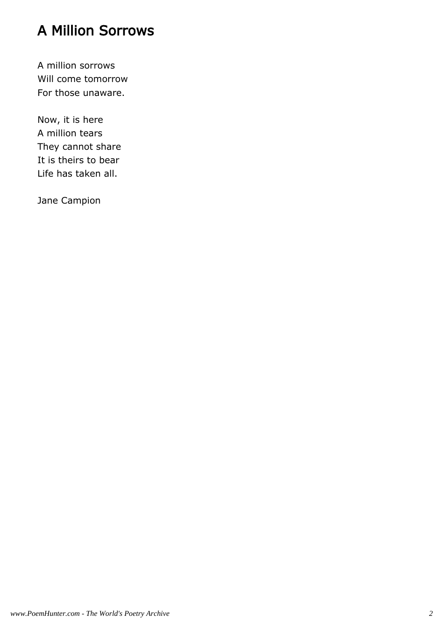#### A Million Sorrows

A million sorrows Will come tomorrow For those unaware.

Now, it is here A million tears They cannot share It is theirs to bear Life has taken all.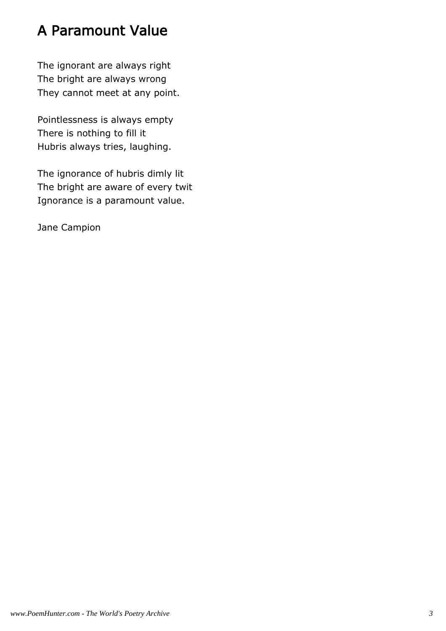# A Paramount Value

The ignorant are always right The bright are always wrong They cannot meet at any point.

Pointlessness is always empty There is nothing to fill it Hubris always tries, laughing.

The ignorance of hubris dimly lit The bright are aware of every twit Ignorance is a paramount value.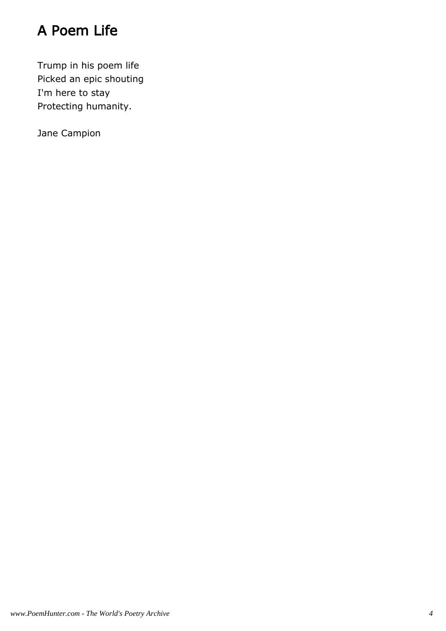# A Poem Life

Trump in his poem life Picked an epic shouting I'm here to stay Protecting humanity.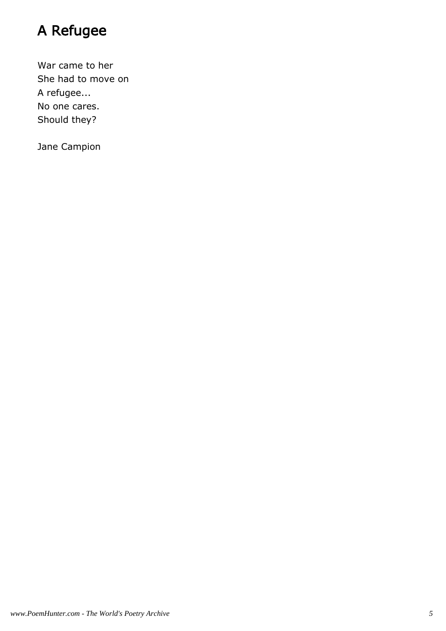# A Refugee

War came to her She had to move on A refugee... No one cares. Should they?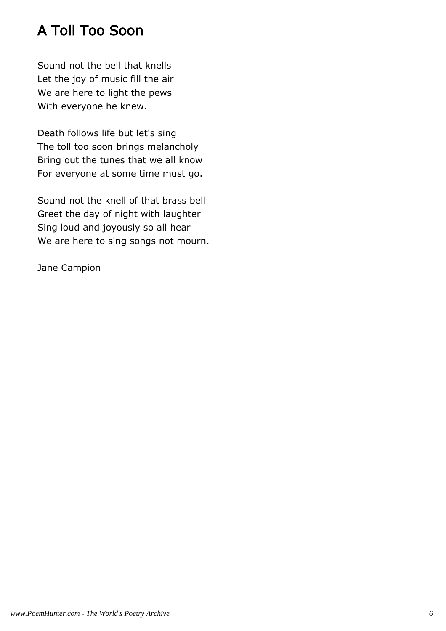# A Toll Too Soon

Sound not the bell that knells Let the joy of music fill the air We are here to light the pews With everyone he knew.

Death follows life but let's sing The toll too soon brings melancholy Bring out the tunes that we all know For everyone at some time must go.

Sound not the knell of that brass bell Greet the day of night with laughter Sing loud and joyously so all hear We are here to sing songs not mourn.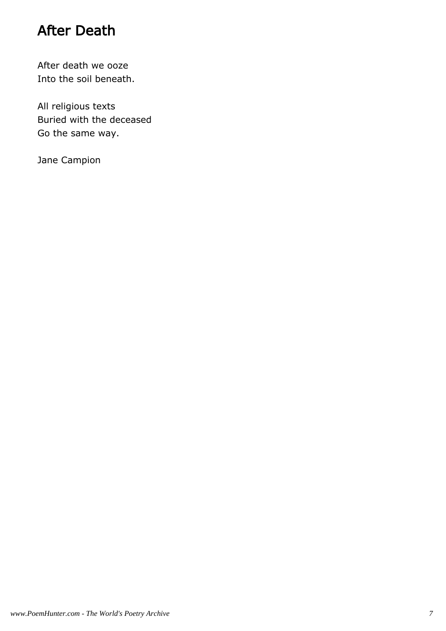#### After Death

After death we ooze Into the soil beneath.

All religious texts Buried with the deceased Go the same way.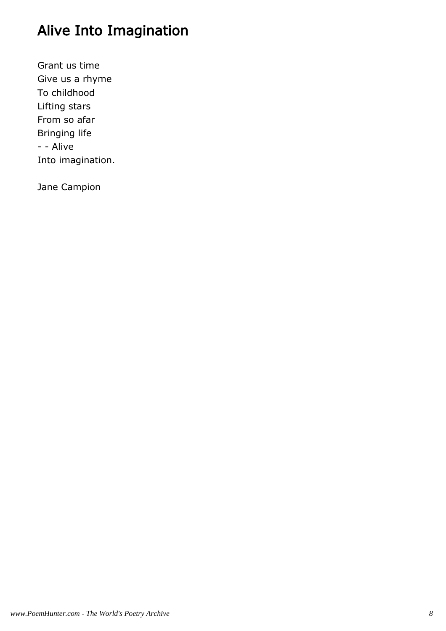# Alive Into Imagination

Grant us time Give us a rhyme To childhood Lifting stars From so afar Bringing life - - Alive Into imagination.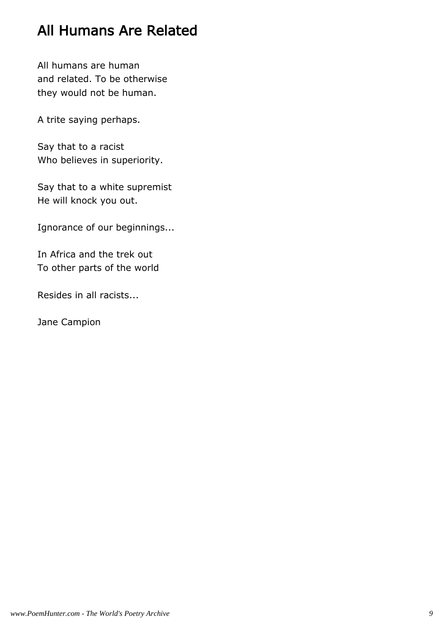# All Humans Are Related

All humans are human and related. To be otherwise they would not be human.

A trite saying perhaps.

Say that to a racist Who believes in superiority.

Say that to a white supremist He will knock you out.

Ignorance of our beginnings...

In Africa and the trek out To other parts of the world

Resides in all racists...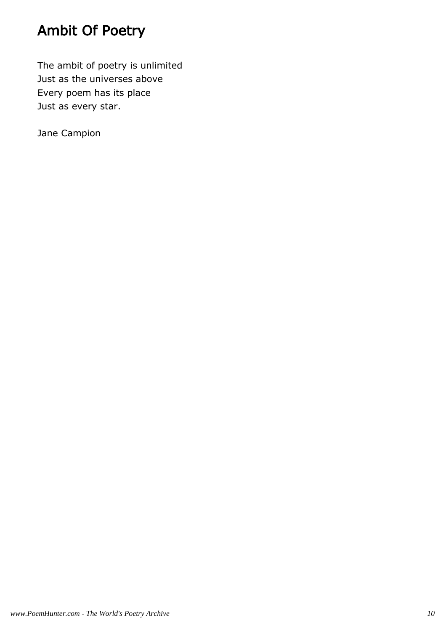# Ambit Of Poetry

The ambit of poetry is unlimited Just as the universes above Every poem has its place Just as every star.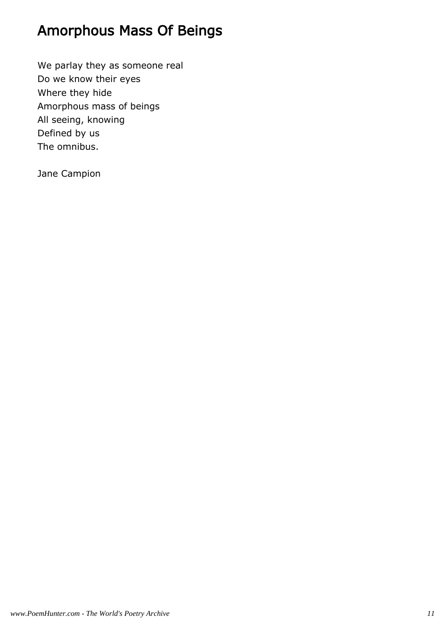# Amorphous Mass Of Beings

We parlay they as someone real Do we know their eyes Where they hide Amorphous mass of beings All seeing, knowing Defined by us The omnibus.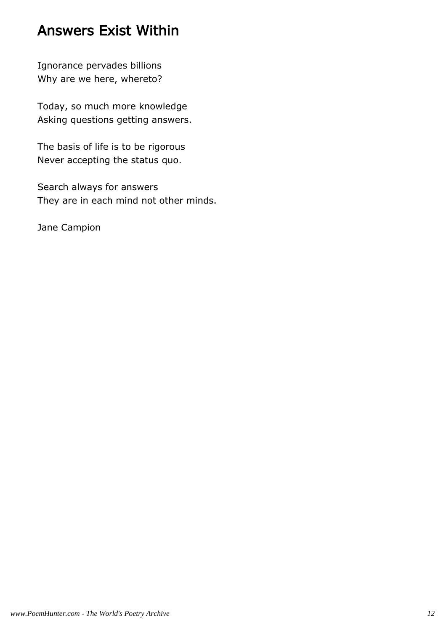#### Answers Exist Within

Ignorance pervades billions Why are we here, whereto?

Today, so much more knowledge Asking questions getting answers.

The basis of life is to be rigorous Never accepting the status quo.

Search always for answers They are in each mind not other minds.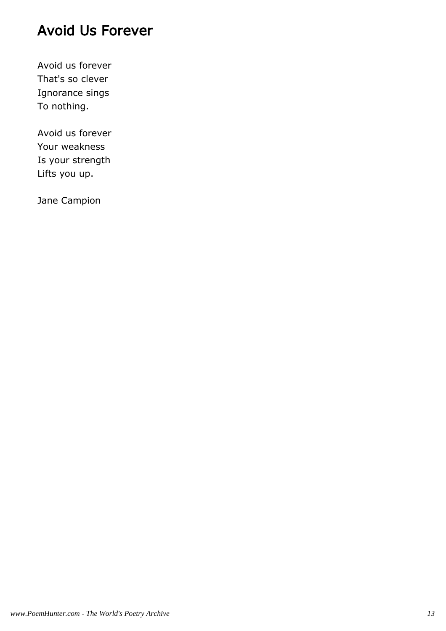#### Avoid Us Forever

Avoid us forever That's so clever Ignorance sings To nothing.

Avoid us forever Your weakness Is your strength Lifts you up.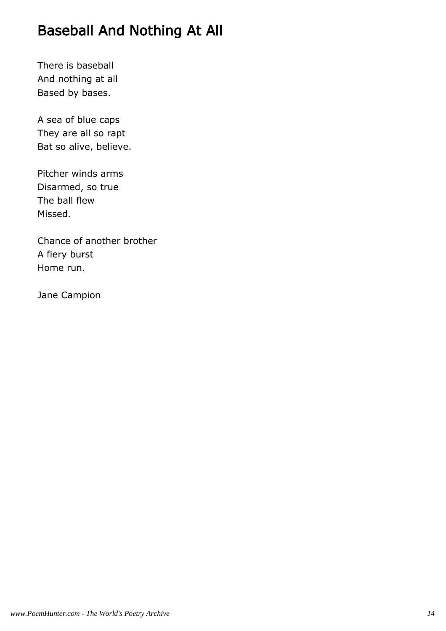# Baseball And Nothing At All

There is baseball And nothing at all Based by bases.

A sea of blue caps They are all so rapt Bat so alive, believe.

Pitcher winds arms Disarmed, so true The ball flew Missed.

Chance of another brother A fiery burst Home run.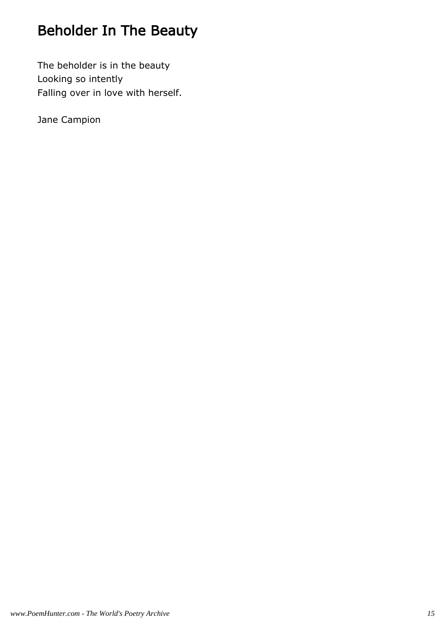# Beholder In The Beauty

The beholder is in the beauty Looking so intently Falling over in love with herself.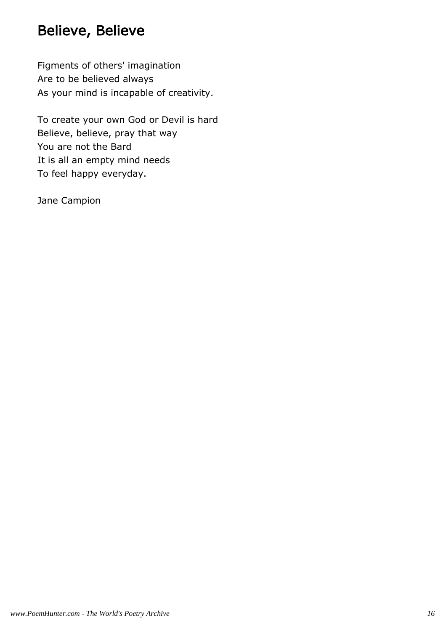#### Believe, Believe

Figments of others' imagination Are to be believed always As your mind is incapable of creativity.

To create your own God or Devil is hard Believe, believe, pray that way You are not the Bard It is all an empty mind needs To feel happy everyday.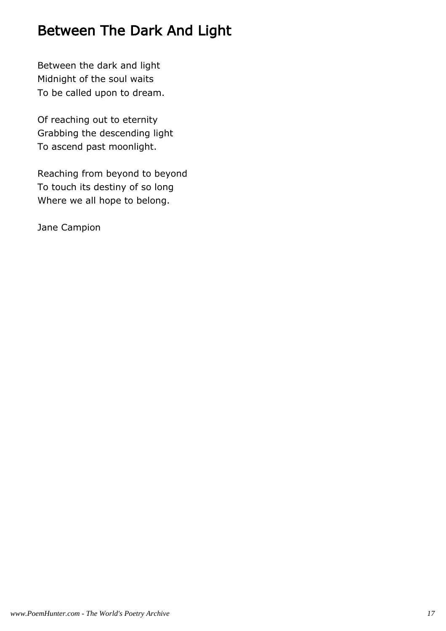# Between The Dark And Light

Between the dark and light Midnight of the soul waits To be called upon to dream.

Of reaching out to eternity Grabbing the descending light To ascend past moonlight.

Reaching from beyond to beyond To touch its destiny of so long Where we all hope to belong.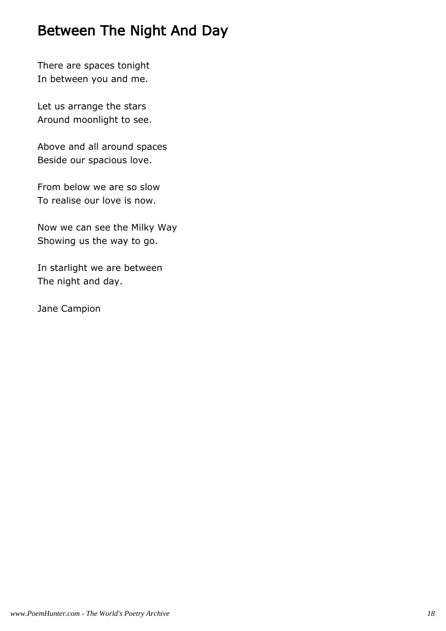#### Between The Night And Day

There are spaces tonight In between you and me.

Let us arrange the stars Around moonlight to see.

Above and all around spaces Beside our spacious love.

From below we are so slow To realise our love is now.

Now we can see the Milky Way Showing us the way to go.

In starlight we are between The night and day.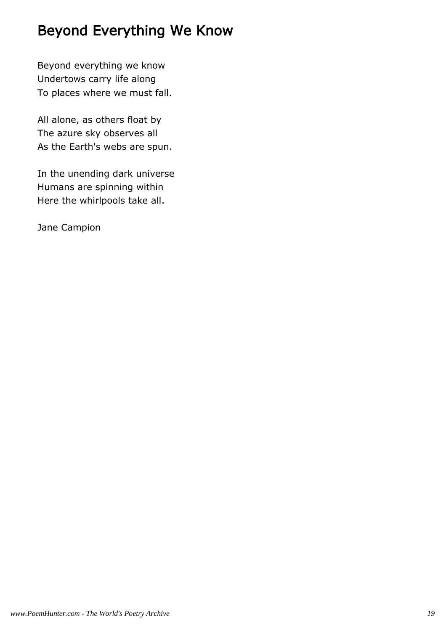#### Beyond Everything We Know

Beyond everything we know Undertows carry life along To places where we must fall.

All alone, as others float by The azure sky observes all As the Earth's webs are spun.

In the unending dark universe Humans are spinning within Here the whirlpools take all.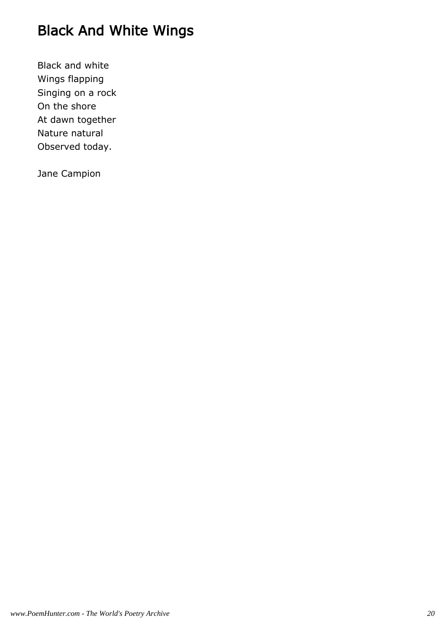# Black And White Wings

Black and white Wings flapping Singing on a rock On the shore At dawn together Nature natural Observed today.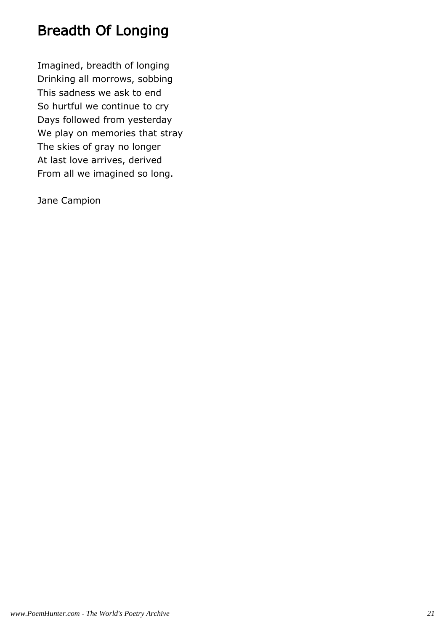# Breadth Of Longing

Imagined, breadth of longing Drinking all morrows, sobbing This sadness we ask to end So hurtful we continue to cry Days followed from yesterday We play on memories that stray The skies of gray no longer At last love arrives, derived From all we imagined so long.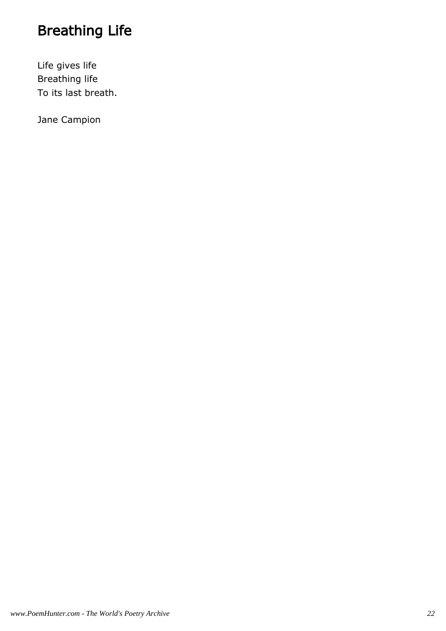# Breathing Life

Life gives life Breathing life To its last breath.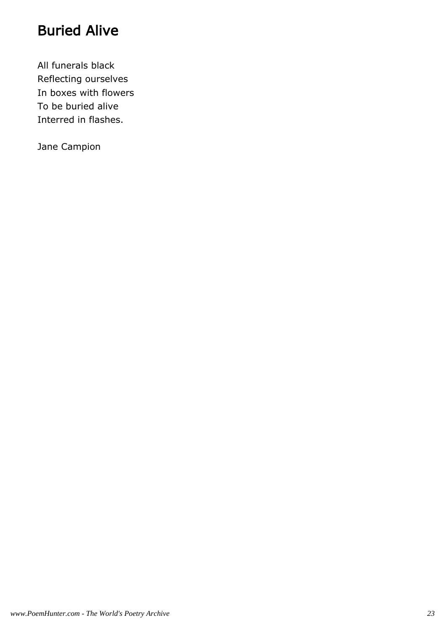# Buried Alive

All funerals black Reflecting ourselves In boxes with flowers To be buried alive Interred in flashes.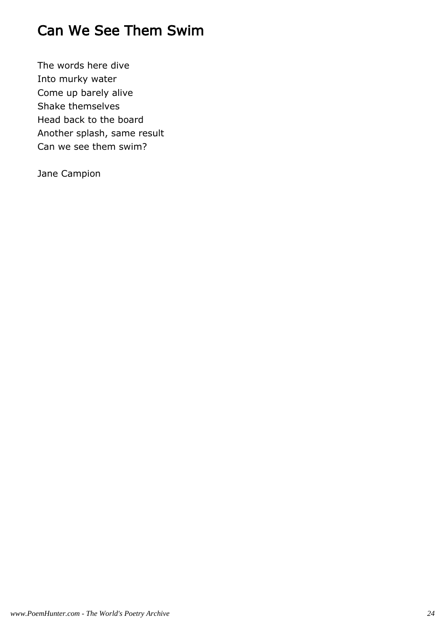# Can We See Them Swim

The words here dive Into murky water Come up barely alive Shake themselves Head back to the board Another splash, same result Can we see them swim?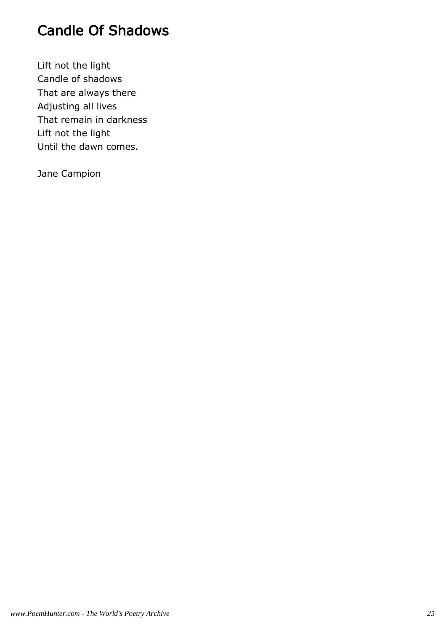# Candle Of Shadows

Lift not the light Candle of shadows That are always there Adjusting all lives That remain in darkness Lift not the light Until the dawn comes.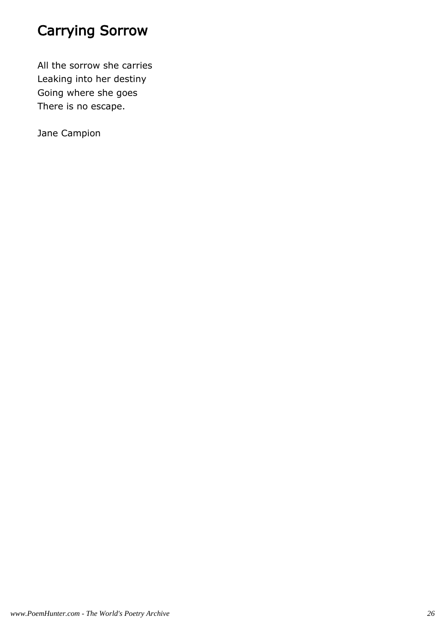# Carrying Sorrow

All the sorrow she carries Leaking into her destiny Going where she goes There is no escape.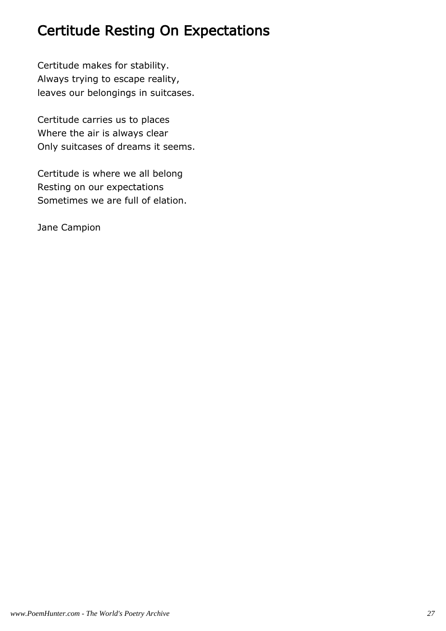#### Certitude Resting On Expectations

Certitude makes for stability. Always trying to escape reality, leaves our belongings in suitcases.

Certitude carries us to places Where the air is always clear Only suitcases of dreams it seems.

Certitude is where we all belong Resting on our expectations Sometimes we are full of elation.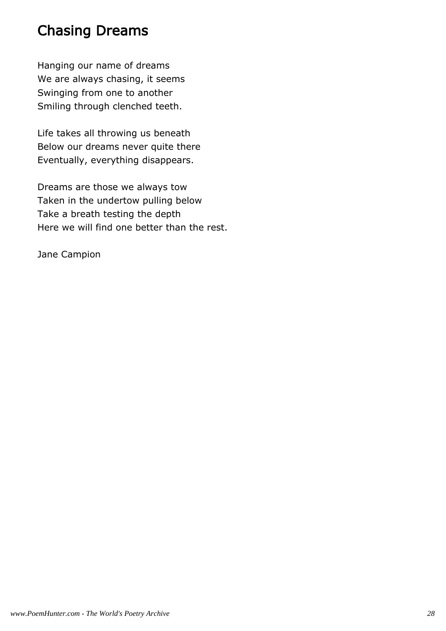#### Chasing Dreams

Hanging our name of dreams We are always chasing, it seems Swinging from one to another Smiling through clenched teeth.

Life takes all throwing us beneath Below our dreams never quite there Eventually, everything disappears.

Dreams are those we always tow Taken in the undertow pulling below Take a breath testing the depth Here we will find one better than the rest.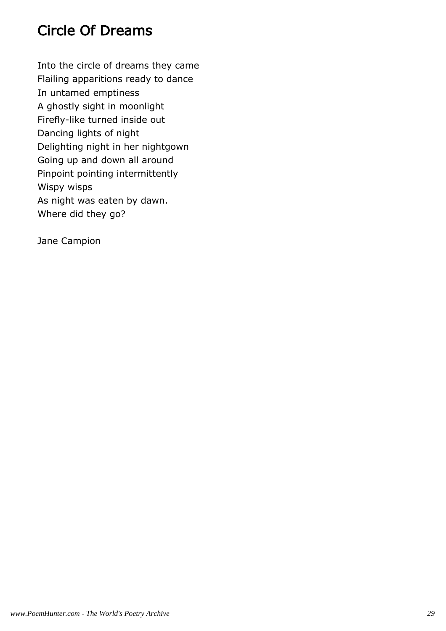## Circle Of Dreams

Into the circle of dreams they came Flailing apparitions ready to dance In untamed emptiness A ghostly sight in moonlight Firefly-like turned inside out Dancing lights of night Delighting night in her nightgown Going up and down all around Pinpoint pointing intermittently Wispy wisps As night was eaten by dawn. Where did they go?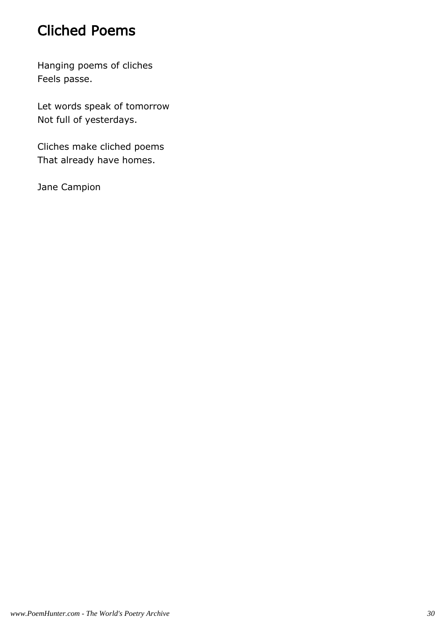#### Cliched Poems

Hanging poems of cliches Feels passe.

Let words speak of tomorrow Not full of yesterdays.

Cliches make cliched poems That already have homes.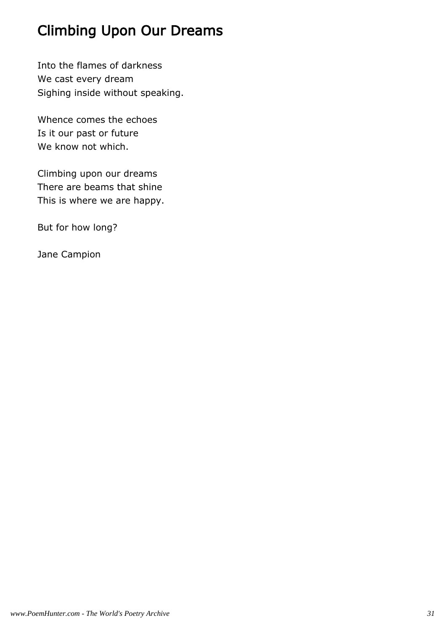# Climbing Upon Our Dreams

Into the flames of darkness We cast every dream Sighing inside without speaking.

Whence comes the echoes Is it our past or future We know not which.

Climbing upon our dreams There are beams that shine This is where we are happy.

But for how long?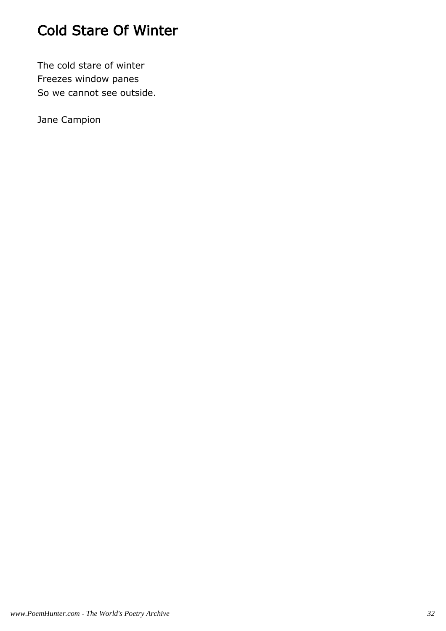# Cold Stare Of Winter

The cold stare of winter Freezes window panes So we cannot see outside.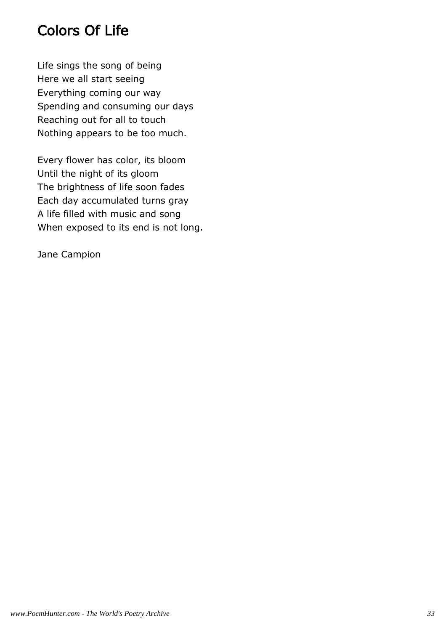# Colors Of Life

Life sings the song of being Here we all start seeing Everything coming our way Spending and consuming our days Reaching out for all to touch Nothing appears to be too much.

Every flower has color, its bloom Until the night of its gloom The brightness of life soon fades Each day accumulated turns gray A life filled with music and song When exposed to its end is not long.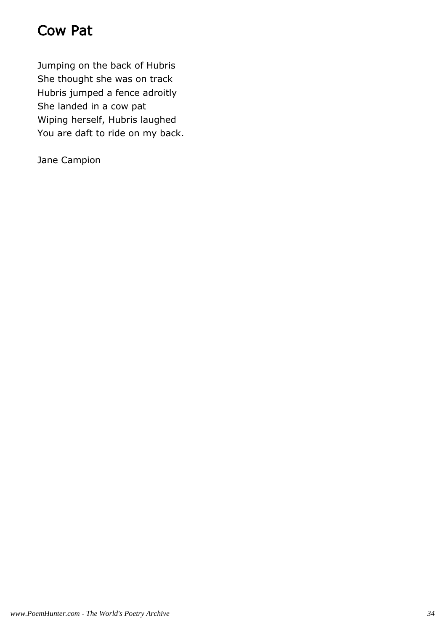#### Cow Pat

Jumping on the back of Hubris She thought she was on track Hubris jumped a fence adroitly She landed in a cow pat Wiping herself, Hubris laughed You are daft to ride on my back.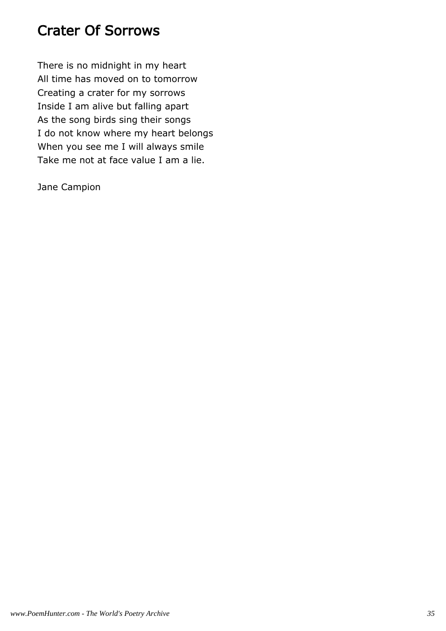#### Crater Of Sorrows

There is no midnight in my heart All time has moved on to tomorrow Creating a crater for my sorrows Inside I am alive but falling apart As the song birds sing their songs I do not know where my heart belongs When you see me I will always smile Take me not at face value I am a lie.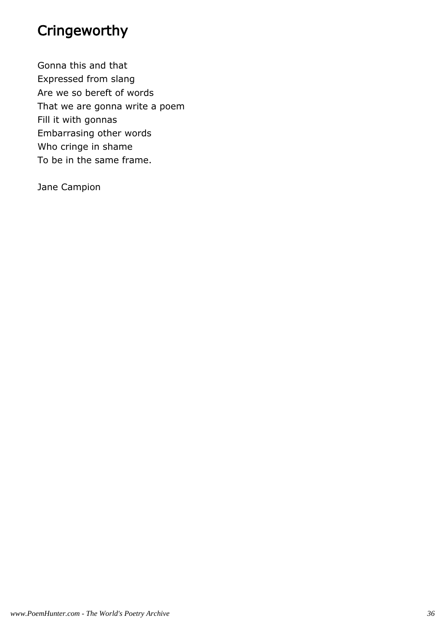### Cringeworthy

Gonna this and that Expressed from slang Are we so bereft of words That we are gonna write a poem Fill it with gonnas Embarrasing other words Who cringe in shame To be in the same frame.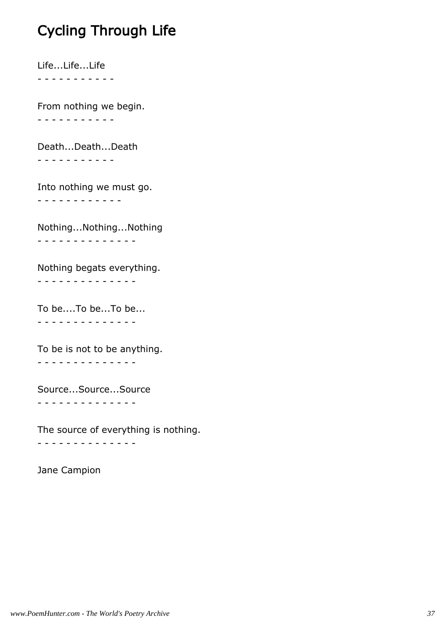### Cycling Through Life

Life...Life...Life - - - - - - - - - - -

From nothing we begin. - - - - - - - - - - -

Death...Death...Death - - - - - - - - - - -

Into nothing we must go. - - - - - - - - - - - -

Nothing...Nothing...Nothing - - - - - - - - - - - - - -

Nothing begats everything.

- - - - - - - - - - - - - -

To be....To be...To be... - - - - - - - - - - - - - -

To be is not to be anything. - - - - - - - - - - - - - -

Source...Source...Source - - - - - - - - - - - - - -

The source of everything is nothing. - - - - - - - - - - - - - -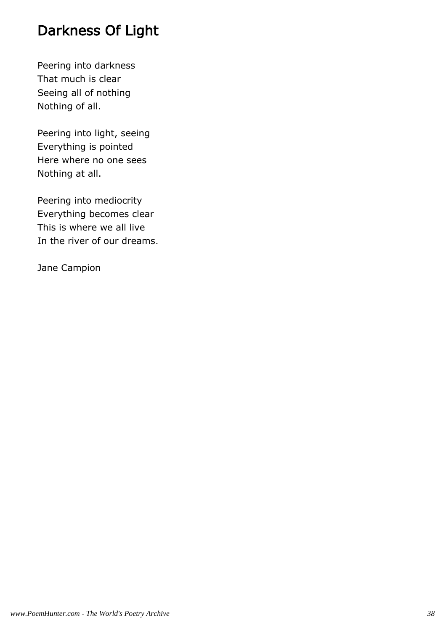### Darkness Of Light

Peering into darkness That much is clear Seeing all of nothing Nothing of all.

Peering into light, seeing Everything is pointed Here where no one sees Nothing at all.

Peering into mediocrity Everything becomes clear This is where we all live In the river of our dreams.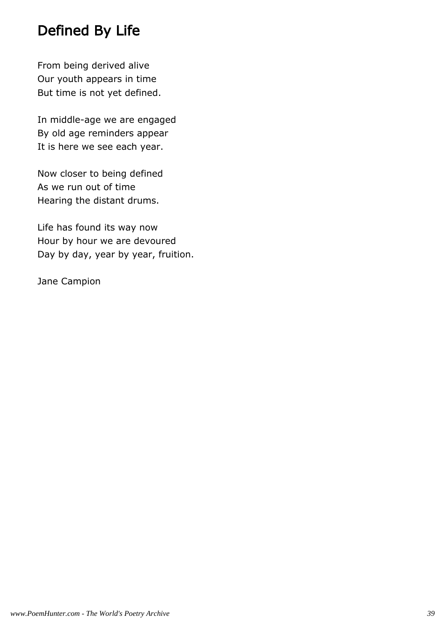### Defined By Life

From being derived alive Our youth appears in time But time is not yet defined.

In middle-age we are engaged By old age reminders appear It is here we see each year.

Now closer to being defined As we run out of time Hearing the distant drums.

Life has found its way now Hour by hour we are devoured Day by day, year by year, fruition.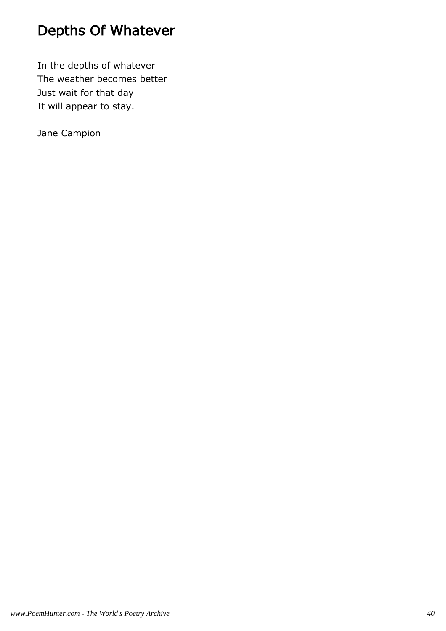### Depths Of Whatever

In the depths of whatever The weather becomes better Just wait for that day It will appear to stay.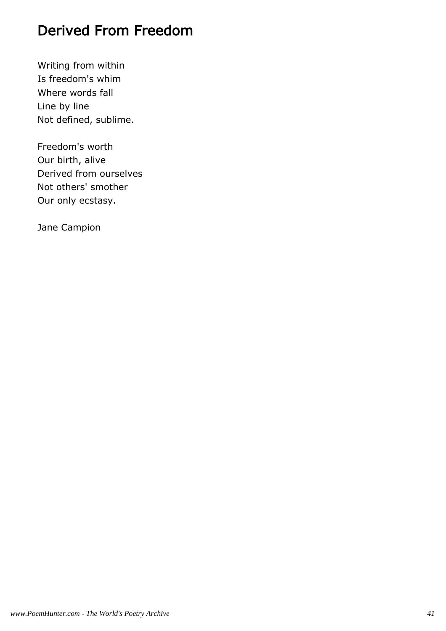### Derived From Freedom

Writing from within Is freedom's whim Where words fall Line by line Not defined, sublime.

Freedom's worth Our birth, alive Derived from ourselves Not others' smother Our only ecstasy.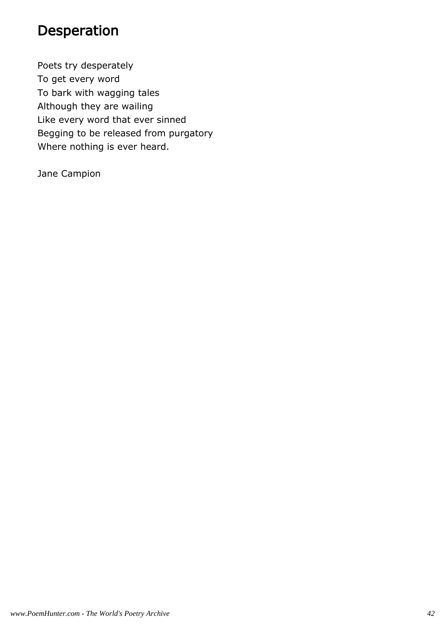#### Desperation

Poets try desperately To get every word To bark with wagging tales Although they are wailing Like every word that ever sinned Begging to be released from purgatory Where nothing is ever heard.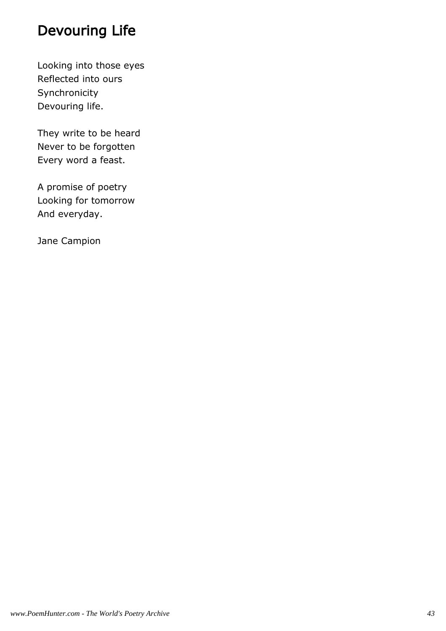### Devouring Life

Looking into those eyes Reflected into ours Synchronicity Devouring life.

They write to be heard Never to be forgotten Every word a feast.

A promise of poetry Looking for tomorrow And everyday.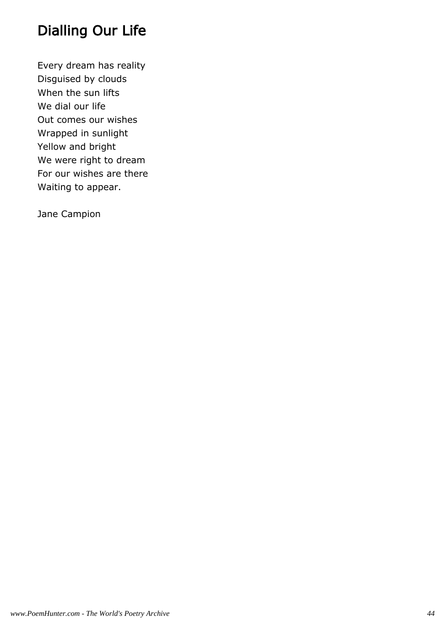# Dialling Our Life

Every dream has reality Disguised by clouds When the sun lifts We dial our life Out comes our wishes Wrapped in sunlight Yellow and bright We were right to dream For our wishes are there Waiting to appear.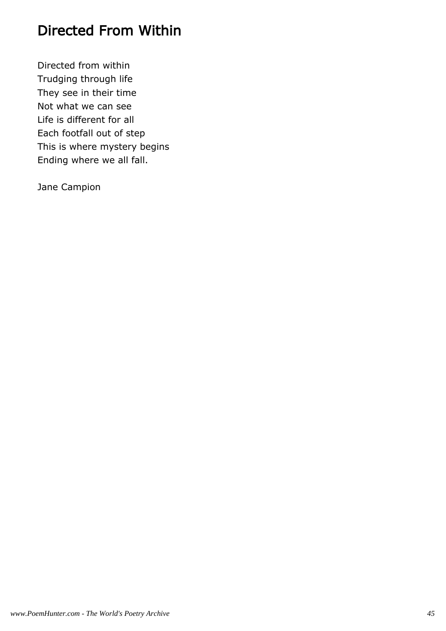#### Directed From Within

Directed from within Trudging through life They see in their time Not what we can see Life is different for all Each footfall out of step This is where mystery begins Ending where we all fall.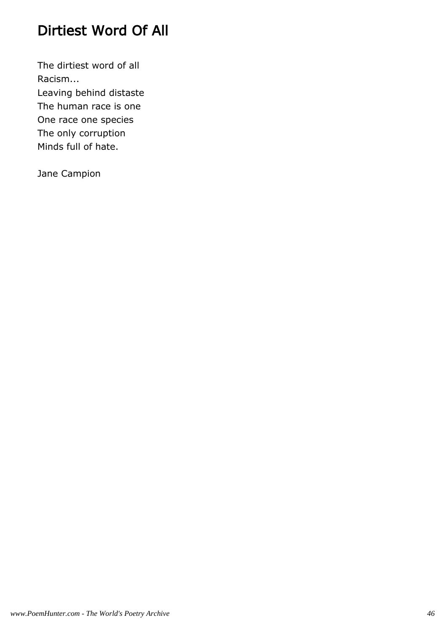# Dirtiest Word Of All

The dirtiest word of all Racism... Leaving behind distaste The human race is one One race one species The only corruption Minds full of hate.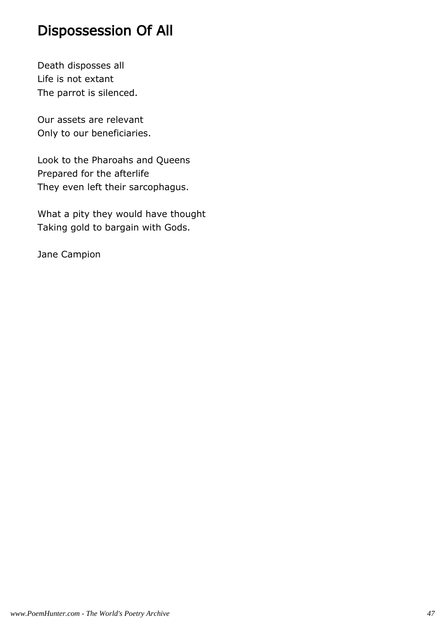#### Dispossession Of All

Death disposses all Life is not extant The parrot is silenced.

Our assets are relevant Only to our beneficiaries.

Look to the Pharoahs and Queens Prepared for the afterlife They even left their sarcophagus.

What a pity they would have thought Taking gold to bargain with Gods.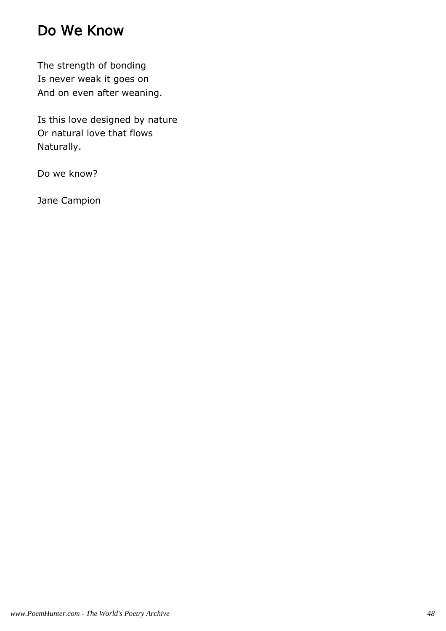### Do We Know

The strength of bonding Is never weak it goes on And on even after weaning.

Is this love designed by nature Or natural love that flows Naturally.

Do we know?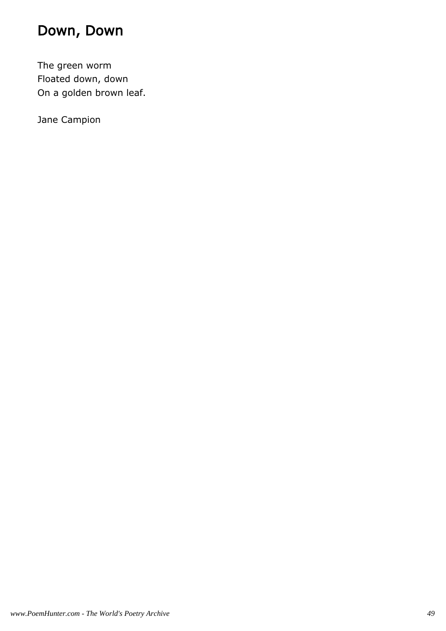# Down, Down

The green worm Floated down, down On a golden brown leaf.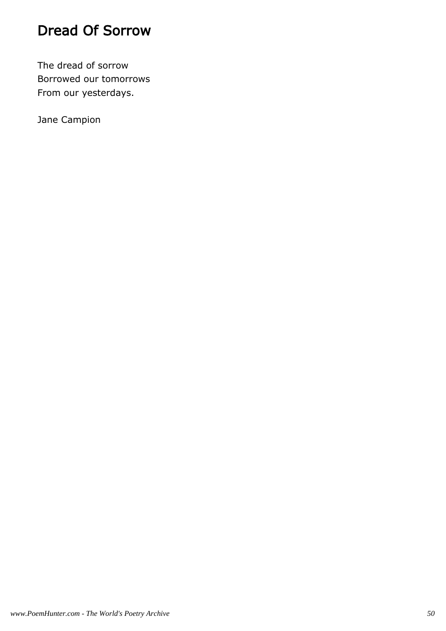### Dread Of Sorrow

The dread of sorrow Borrowed our tomorrows From our yesterdays.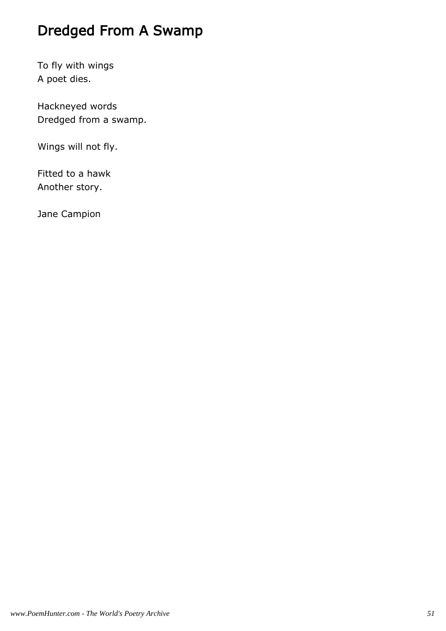### Dredged From A Swamp

To fly with wings A poet dies.

Hackneyed words Dredged from a swamp.

Wings will not fly.

Fitted to a hawk Another story.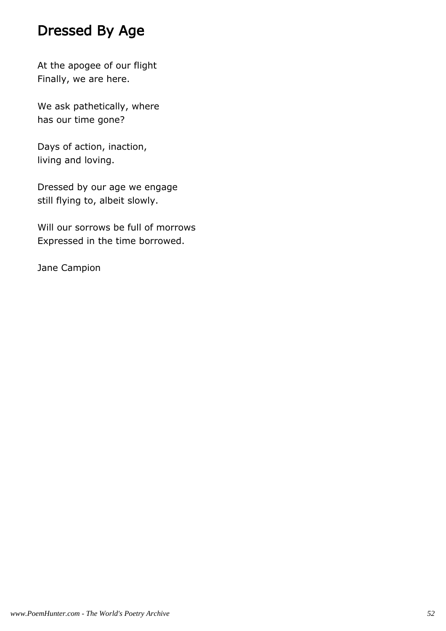#### Dressed By Age

At the apogee of our flight Finally, we are here.

We ask pathetically, where has our time gone?

Days of action, inaction, living and loving.

Dressed by our age we engage still flying to, albeit slowly.

Will our sorrows be full of morrows Expressed in the time borrowed.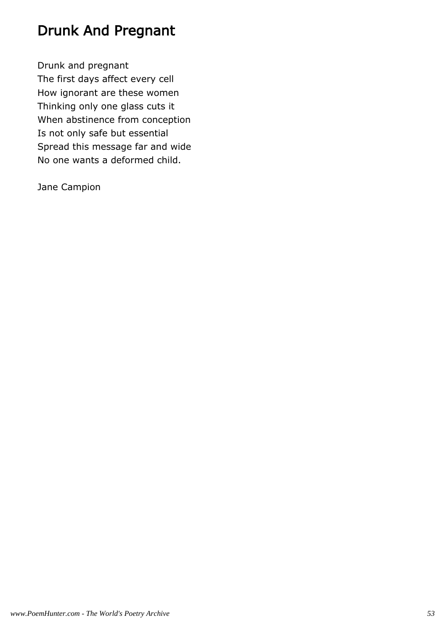### Drunk And Pregnant

Drunk and pregnant The first days affect every cell How ignorant are these women Thinking only one glass cuts it When abstinence from conception Is not only safe but essential Spread this message far and wide No one wants a deformed child.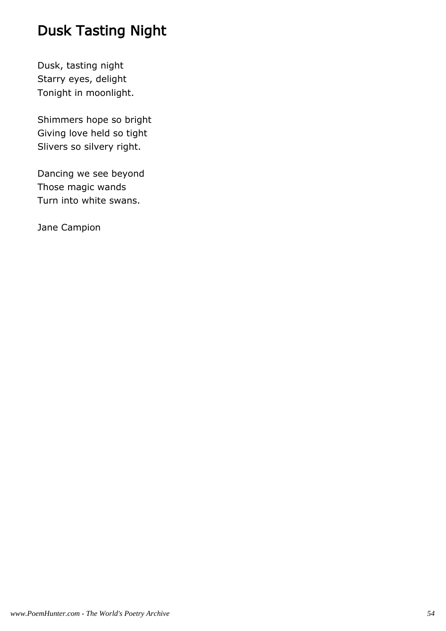### Dusk Tasting Night

Dusk, tasting night Starry eyes, delight Tonight in moonlight.

Shimmers hope so bright Giving love held so tight Slivers so silvery right.

Dancing we see beyond Those magic wands Turn into white swans.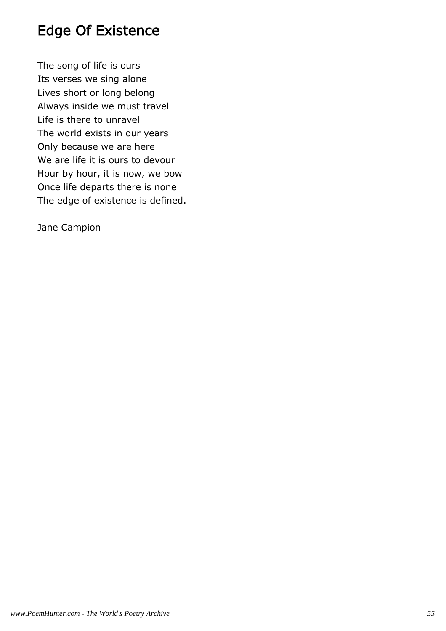#### Edge Of Existence

The song of life is ours Its verses we sing alone Lives short or long belong Always inside we must travel Life is there to unravel The world exists in our years Only because we are here We are life it is ours to devour Hour by hour, it is now, we bow Once life departs there is none The edge of existence is defined.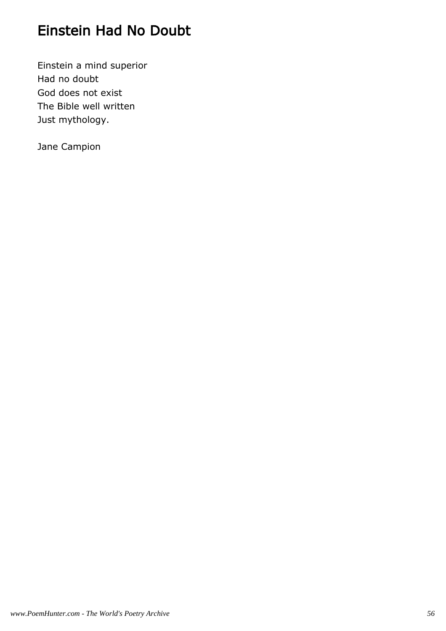### Einstein Had No Doubt

Einstein a mind superior Had no doubt God does not exist The Bible well written Just mythology.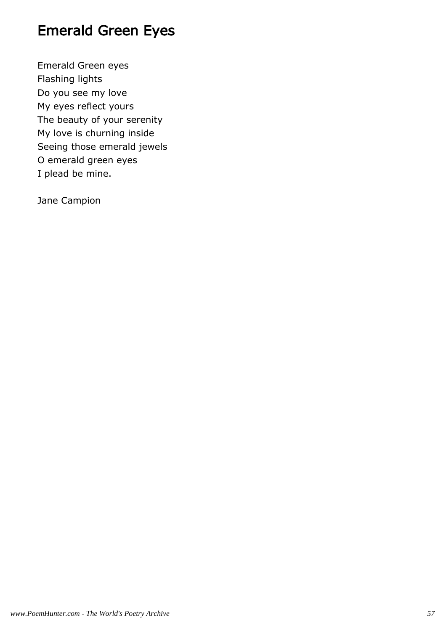### Emerald Green Eyes

Emerald Green eyes Flashing lights Do you see my love My eyes reflect yours The beauty of your serenity My love is churning inside Seeing those emerald jewels O emerald green eyes I plead be mine.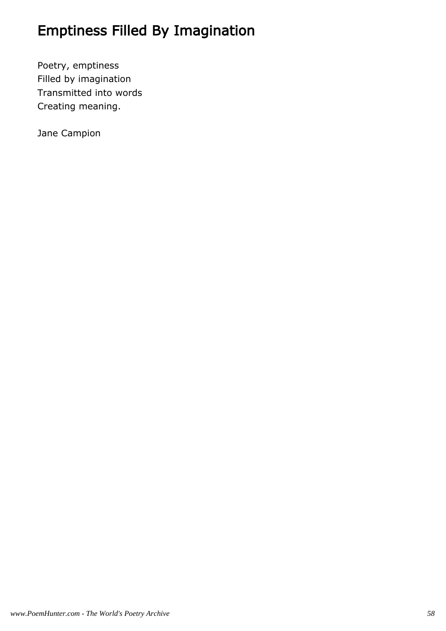# Emptiness Filled By Imagination

Poetry, emptiness Filled by imagination Transmitted into words Creating meaning.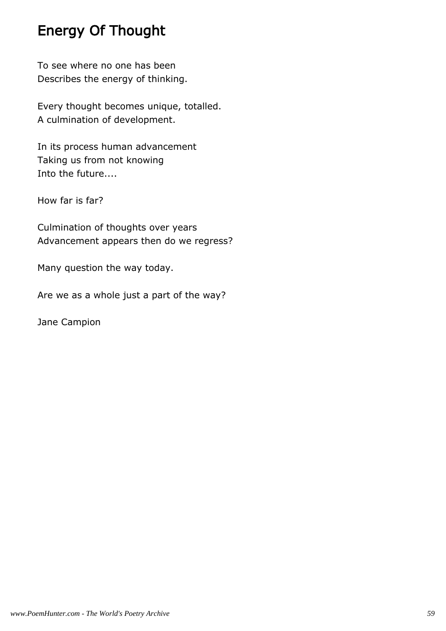### Energy Of Thought

To see where no one has been Describes the energy of thinking.

Every thought becomes unique, totalled. A culmination of development.

In its process human advancement Taking us from not knowing Into the future....

How far is far?

Culmination of thoughts over years Advancement appears then do we regress?

Many question the way today.

Are we as a whole just a part of the way?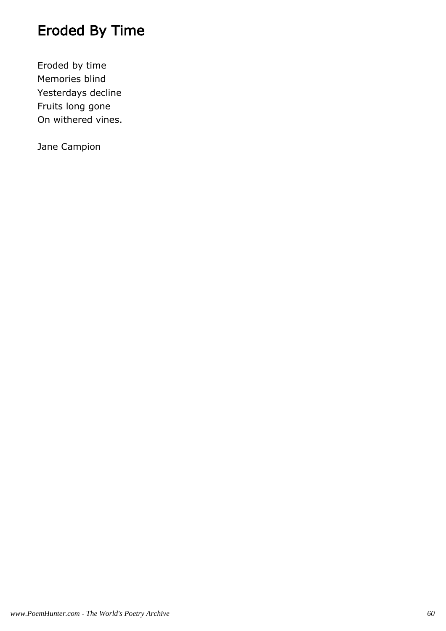# Eroded By Time

Eroded by time Memories blind Yesterdays decline Fruits long gone On withered vines.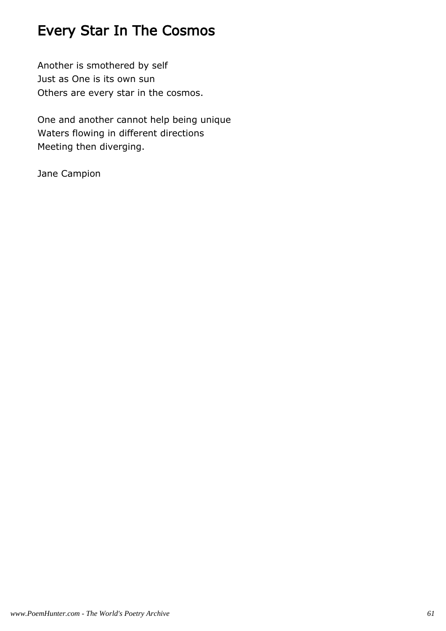# Every Star In The Cosmos

Another is smothered by self Just as One is its own sun Others are every star in the cosmos.

One and another cannot help being unique Waters flowing in different directions Meeting then diverging.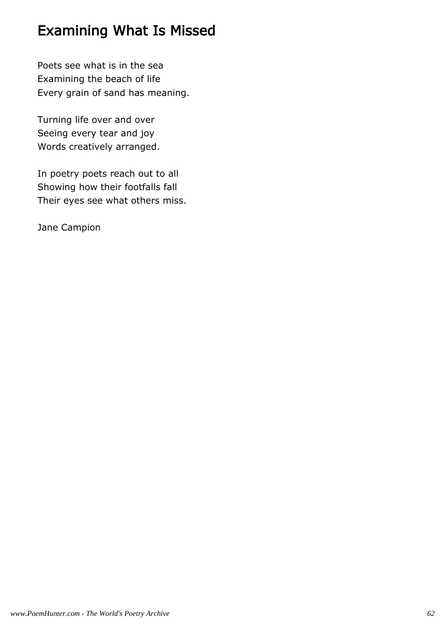#### Examining What Is Missed

Poets see what is in the sea Examining the beach of life Every grain of sand has meaning.

Turning life over and over Seeing every tear and joy Words creatively arranged.

In poetry poets reach out to all Showing how their footfalls fall Their eyes see what others miss.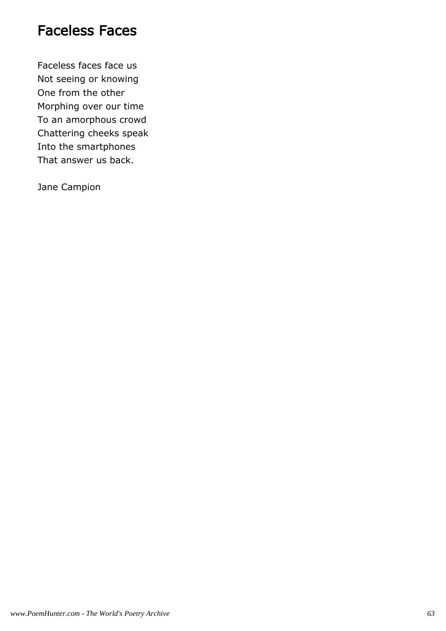#### Faceless Faces

Faceless faces face us Not seeing or knowing One from the other Morphing over our time To an amorphous crowd Chattering cheeks speak Into the smartphones That answer us back.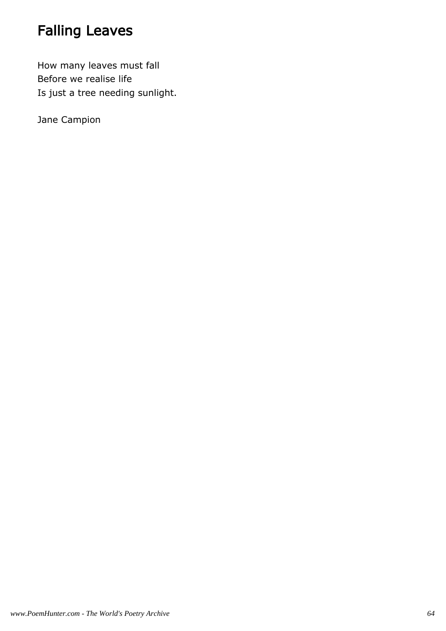# Falling Leaves

How many leaves must fall Before we realise life Is just a tree needing sunlight.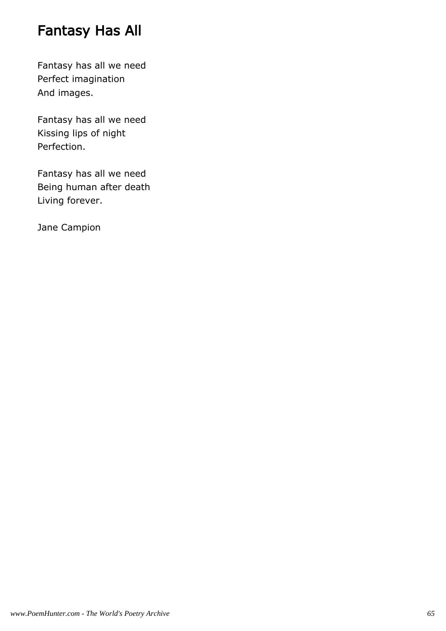### Fantasy Has All

Fantasy has all we need Perfect imagination And images.

Fantasy has all we need Kissing lips of night Perfection.

Fantasy has all we need Being human after death Living forever.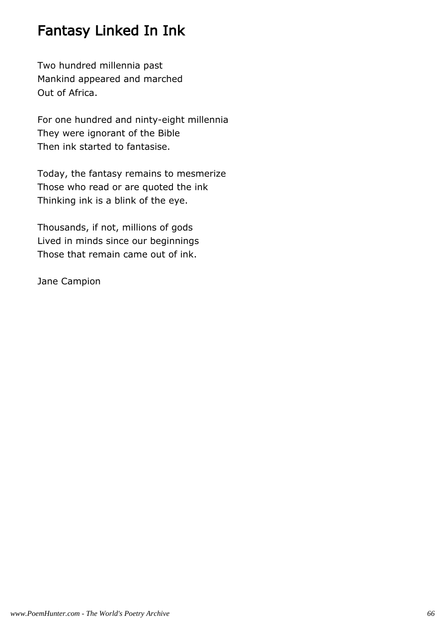#### Fantasy Linked In Ink

Two hundred millennia past Mankind appeared and marched Out of Africa.

For one hundred and ninty-eight millennia They were ignorant of the Bible Then ink started to fantasise.

Today, the fantasy remains to mesmerize Those who read or are quoted the ink Thinking ink is a blink of the eye.

Thousands, if not, millions of gods Lived in minds since our beginnings Those that remain came out of ink.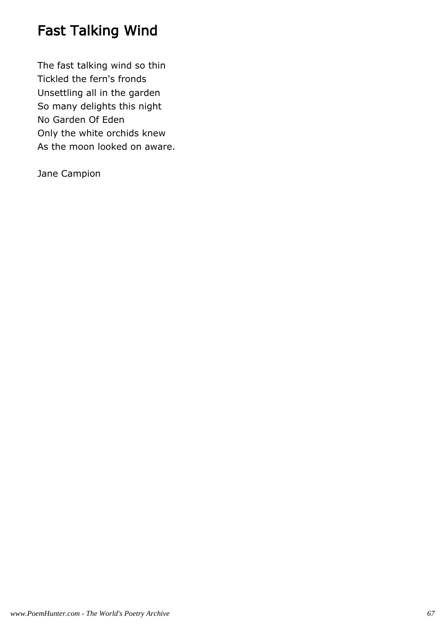# Fast Talking Wind

The fast talking wind so thin Tickled the fern's fronds Unsettling all in the garden So many delights this night No Garden Of Eden Only the white orchids knew As the moon looked on aware.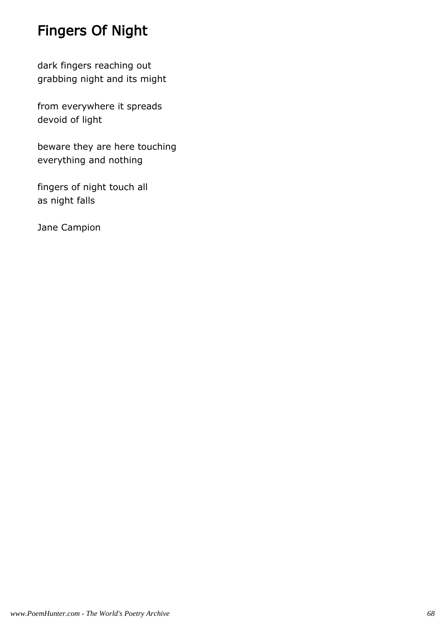# Fingers Of Night

dark fingers reaching out grabbing night and its might

from everywhere it spreads devoid of light

beware they are here touching everything and nothing

fingers of night touch all as night falls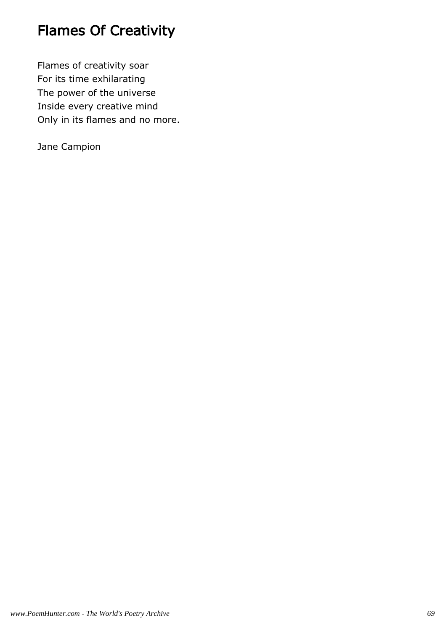## Flames Of Creativity

Flames of creativity soar For its time exhilarating The power of the universe Inside every creative mind Only in its flames and no more.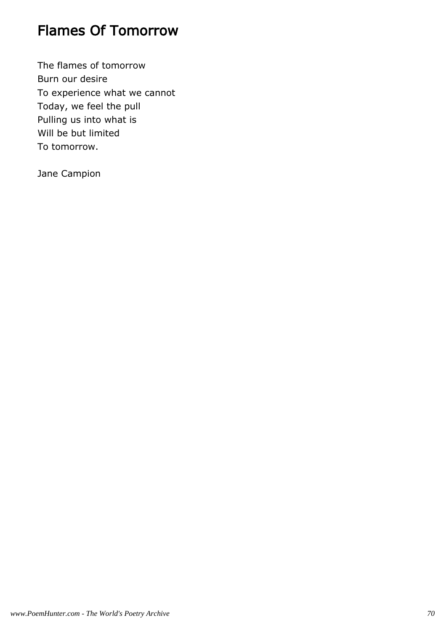#### Flames Of Tomorrow

The flames of tomorrow Burn our desire To experience what we cannot Today, we feel the pull Pulling us into what is Will be but limited To tomorrow.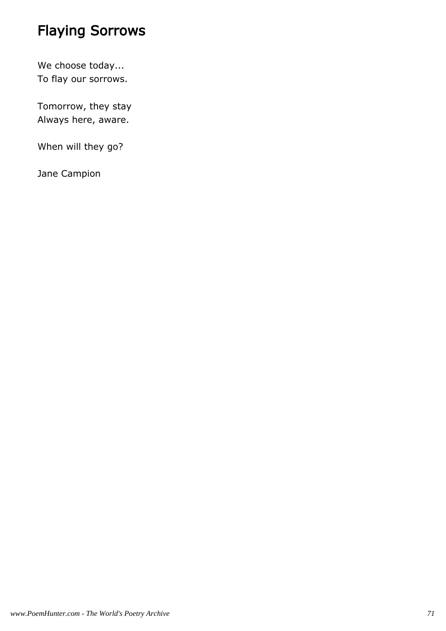# Flaying Sorrows

We choose today... To flay our sorrows.

Tomorrow, they stay Always here, aware.

When will they go?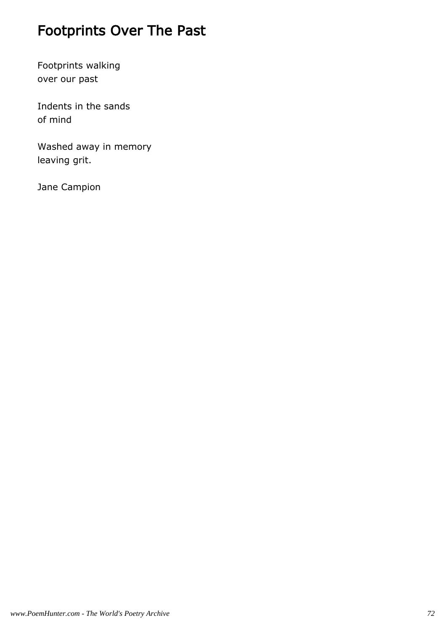# Footprints Over The Past

Footprints walking over our past

Indents in the sands of mind

Washed away in memory leaving grit.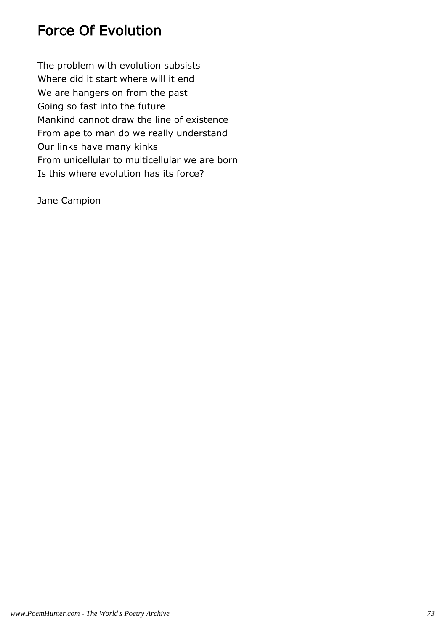### Force Of Evolution

The problem with evolution subsists Where did it start where will it end We are hangers on from the past Going so fast into the future Mankind cannot draw the line of existence From ape to man do we really understand Our links have many kinks From unicellular to multicellular we are born Is this where evolution has its force?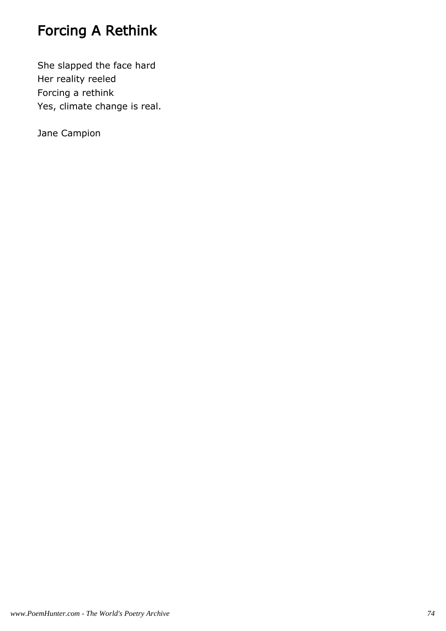# Forcing A Rethink

She slapped the face hard Her reality reeled Forcing a rethink Yes, climate change is real.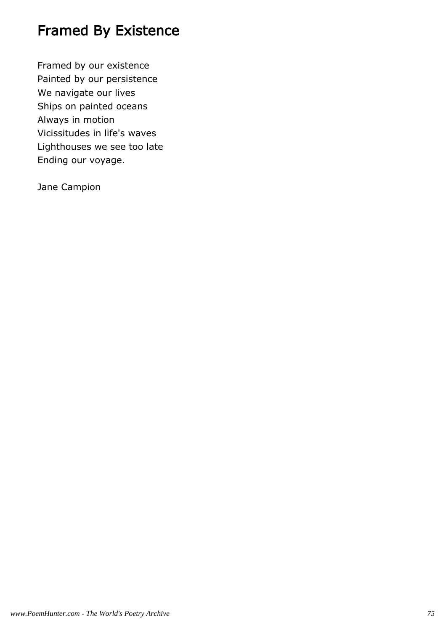## Framed By Existence

Framed by our existence Painted by our persistence We navigate our lives Ships on painted oceans Always in motion Vicissitudes in life's waves Lighthouses we see too late Ending our voyage.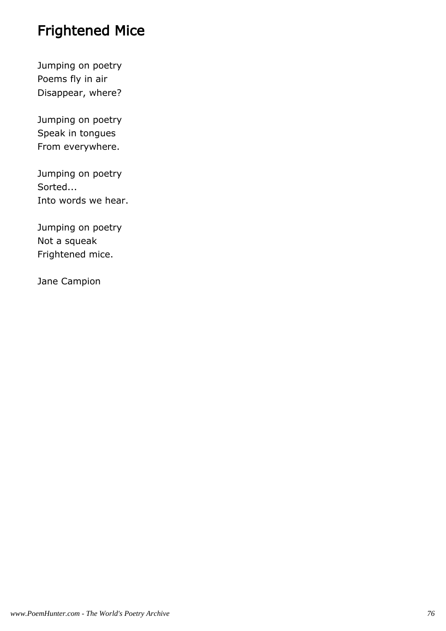## Frightened Mice

Jumping on poetry Poems fly in air Disappear, where?

Jumping on poetry Speak in tongues From everywhere.

Jumping on poetry Sorted... Into words we hear.

Jumping on poetry Not a squeak Frightened mice.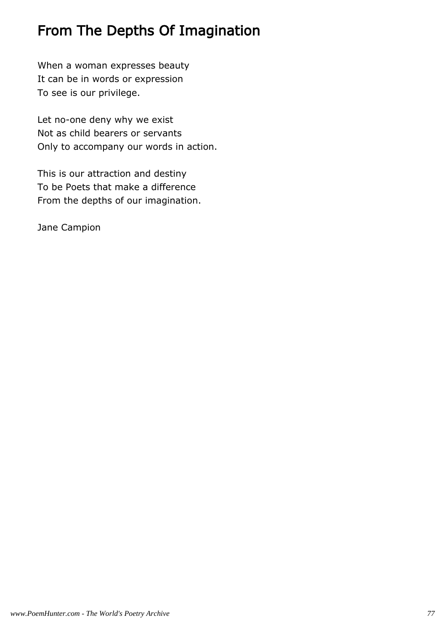### From The Depths Of Imagination

When a woman expresses beauty It can be in words or expression To see is our privilege.

Let no-one deny why we exist Not as child bearers or servants Only to accompany our words in action.

This is our attraction and destiny To be Poets that make a difference From the depths of our imagination.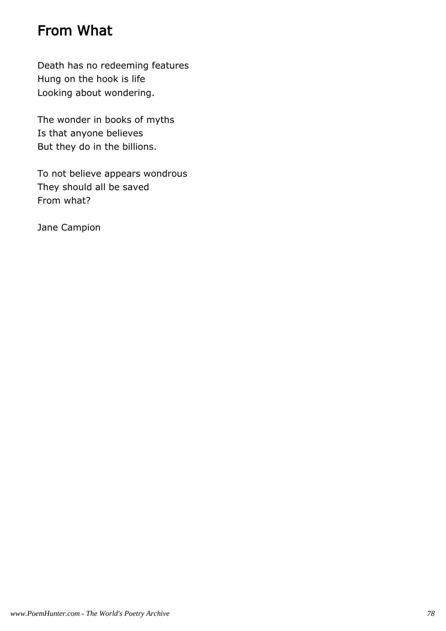### From What

Death has no redeeming features Hung on the hook is life Looking about wondering.

The wonder in books of myths Is that anyone believes But they do in the billions.

To not believe appears wondrous They should all be saved From what?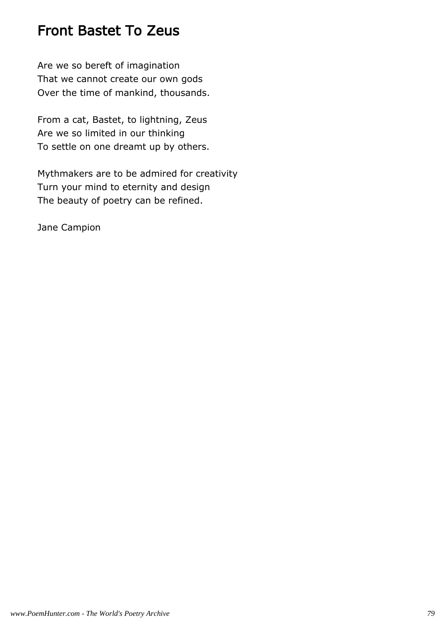#### Front Bastet To Zeus

Are we so bereft of imagination That we cannot create our own gods Over the time of mankind, thousands.

From a cat, Bastet, to lightning, Zeus Are we so limited in our thinking To settle on one dreamt up by others.

Mythmakers are to be admired for creativity Turn your mind to eternity and design The beauty of poetry can be refined.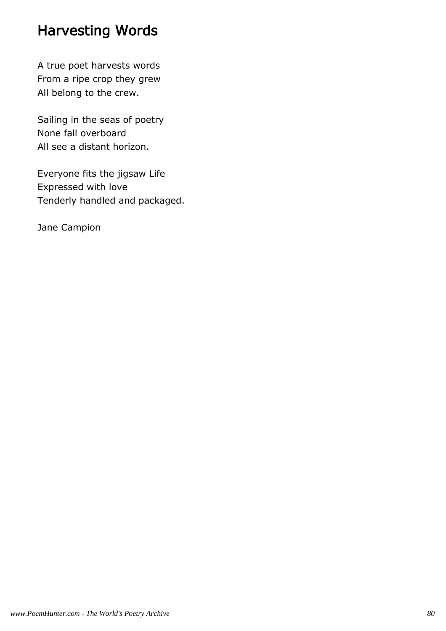## Harvesting Words

A true poet harvests words From a ripe crop they grew All belong to the crew.

Sailing in the seas of poetry None fall overboard All see a distant horizon.

Everyone fits the jigsaw Life Expressed with love Tenderly handled and packaged.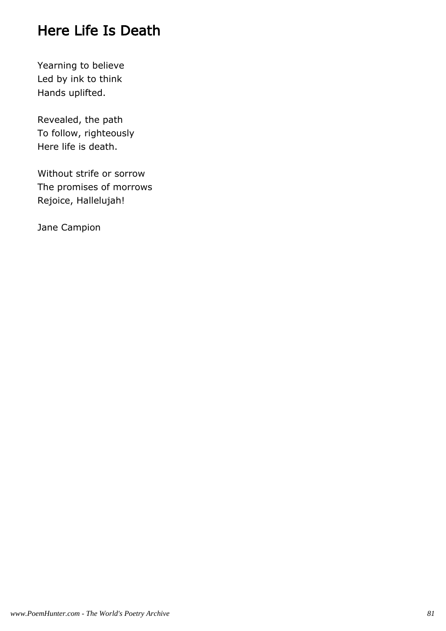## Here Life Is Death

Yearning to believe Led by ink to think Hands uplifted.

Revealed, the path To follow, righteously Here life is death.

Without strife or sorrow The promises of morrows Rejoice, Hallelujah!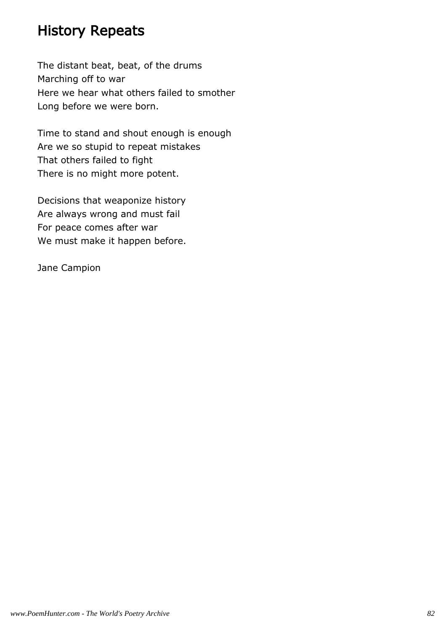#### History Repeats

The distant beat, beat, of the drums Marching off to war Here we hear what others failed to smother Long before we were born.

Time to stand and shout enough is enough Are we so stupid to repeat mistakes That others failed to fight There is no might more potent.

Decisions that weaponize history Are always wrong and must fail For peace comes after war We must make it happen before.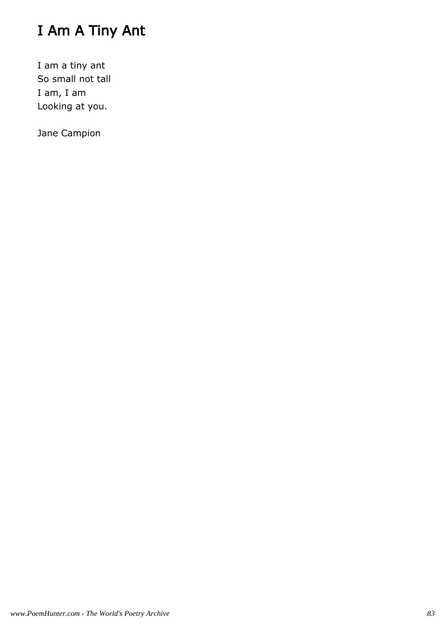# I Am A Tiny Ant

I am a tiny ant So small not tall I am, I am Looking at you.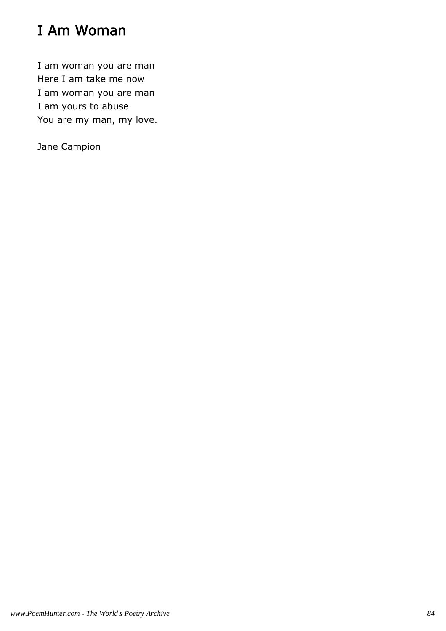# I Am Woman

I am woman you are man Here I am take me now I am woman you are man I am yours to abuse You are my man, my love.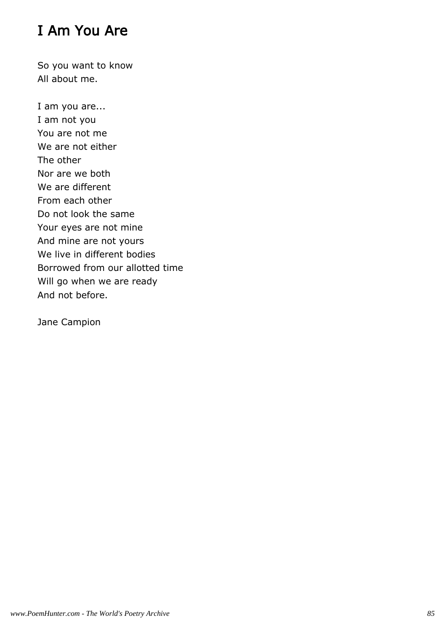## I Am You Are

So you want to know All about me.

I am you are... I am not you You are not me We are not either The other Nor are we both We are different From each other Do not look the same Your eyes are not mine And mine are not yours We live in different bodies Borrowed from our allotted time Will go when we are ready And not before.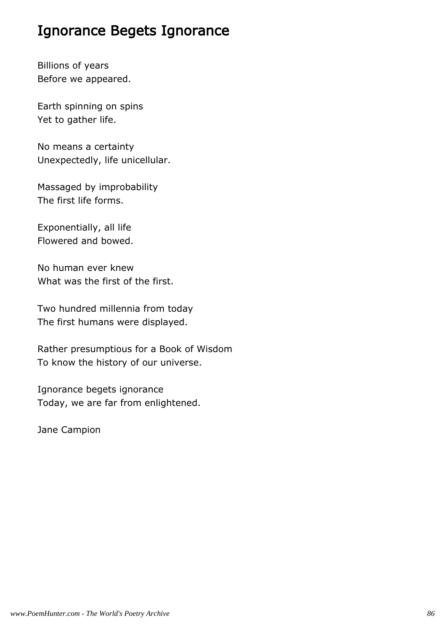#### Ignorance Begets Ignorance

Billions of years Before we appeared.

Earth spinning on spins Yet to gather life.

No means a certainty Unexpectedly, life unicellular.

Massaged by improbability The first life forms.

Exponentially, all life Flowered and bowed.

No human ever knew What was the first of the first.

Two hundred millennia from today The first humans were displayed.

Rather presumptious for a Book of Wisdom To know the history of our universe.

Ignorance begets ignorance Today, we are far from enlightened.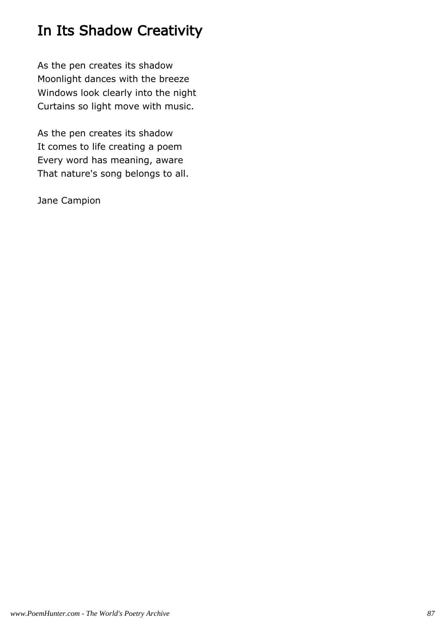# In Its Shadow Creativity

As the pen creates its shadow Moonlight dances with the breeze Windows look clearly into the night Curtains so light move with music.

As the pen creates its shadow It comes to life creating a poem Every word has meaning, aware That nature's song belongs to all.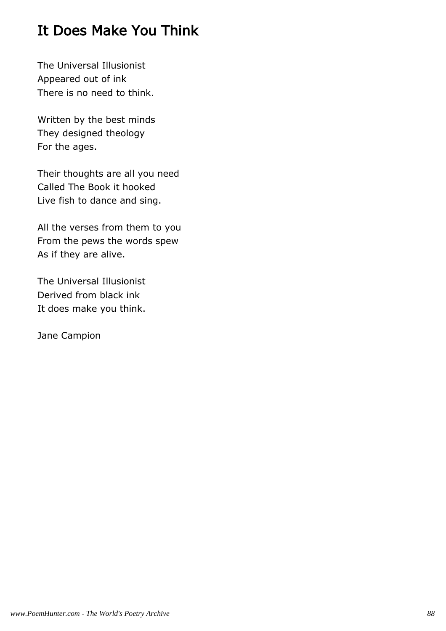#### It Does Make You Think

The Universal Illusionist Appeared out of ink There is no need to think.

Written by the best minds They designed theology For the ages.

Their thoughts are all you need Called The Book it hooked Live fish to dance and sing.

All the verses from them to you From the pews the words spew As if they are alive.

The Universal Illusionist Derived from black ink It does make you think.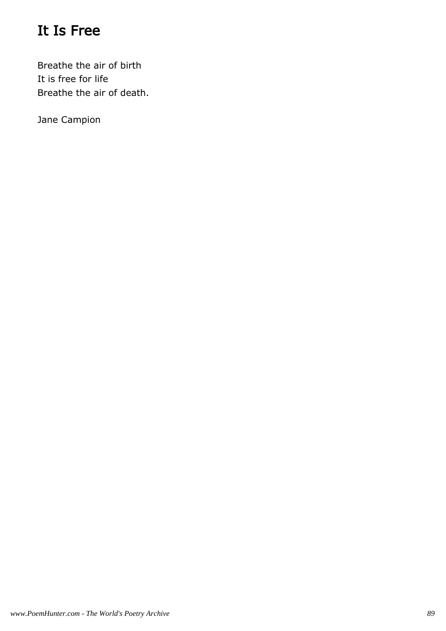## It Is Free

Breathe the air of birth It is free for life Breathe the air of death.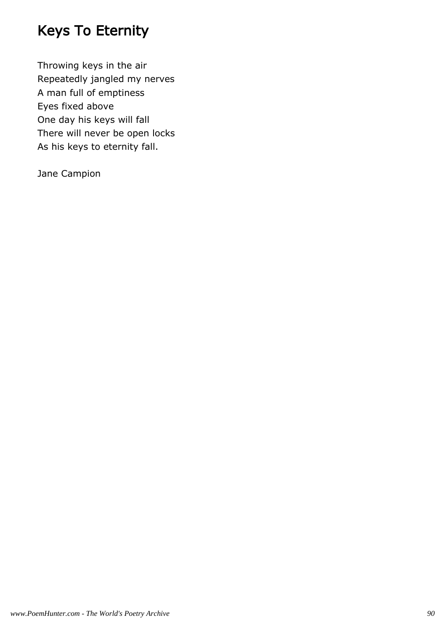## Keys To Eternity

Throwing keys in the air Repeatedly jangled my nerves A man full of emptiness Eyes fixed above One day his keys will fall There will never be open locks As his keys to eternity fall.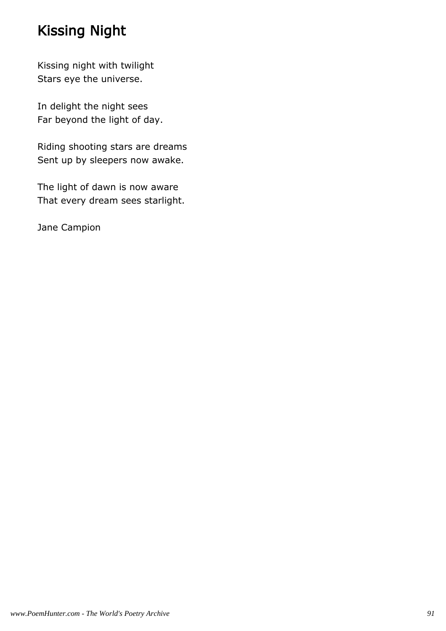## Kissing Night

Kissing night with twilight Stars eye the universe.

In delight the night sees Far beyond the light of day.

Riding shooting stars are dreams Sent up by sleepers now awake.

The light of dawn is now aware That every dream sees starlight.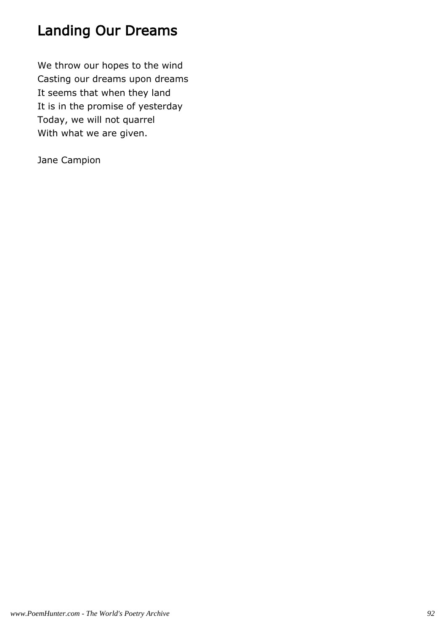### Landing Our Dreams

We throw our hopes to the wind Casting our dreams upon dreams It seems that when they land It is in the promise of yesterday Today, we will not quarrel With what we are given.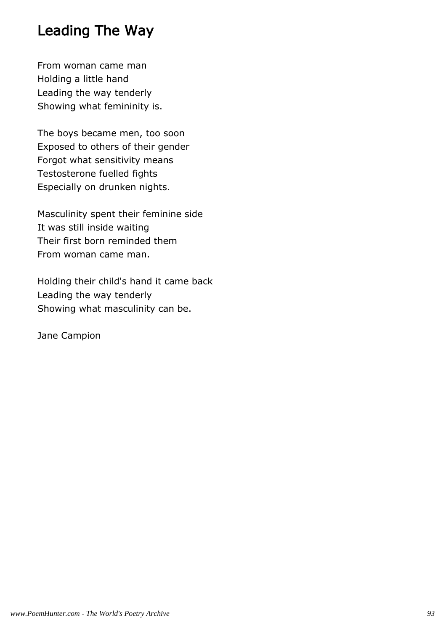#### Leading The Way

From woman came man Holding a little hand Leading the way tenderly Showing what femininity is.

The boys became men, too soon Exposed to others of their gender Forgot what sensitivity means Testosterone fuelled fights Especially on drunken nights.

Masculinity spent their feminine side It was still inside waiting Their first born reminded them From woman came man.

Holding their child's hand it came back Leading the way tenderly Showing what masculinity can be.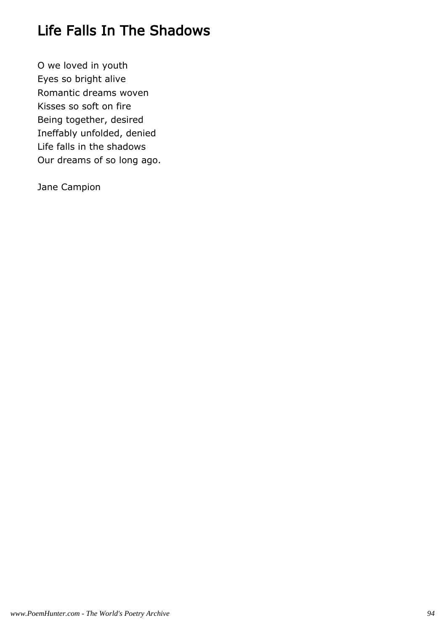## Life Falls In The Shadows

O we loved in youth Eyes so bright alive Romantic dreams woven Kisses so soft on fire Being together, desired Ineffably unfolded, denied Life falls in the shadows Our dreams of so long ago.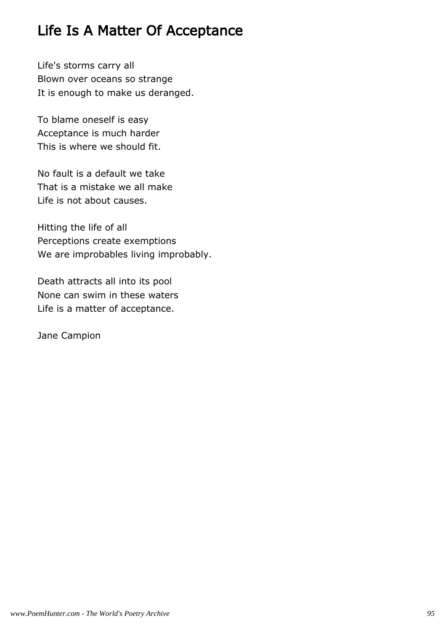#### Life Is A Matter Of Acceptance

Life's storms carry all Blown over oceans so strange It is enough to make us deranged.

To blame oneself is easy Acceptance is much harder This is where we should fit.

No fault is a default we take That is a mistake we all make Life is not about causes.

Hitting the life of all Perceptions create exemptions We are improbables living improbably.

Death attracts all into its pool None can swim in these waters Life is a matter of acceptance.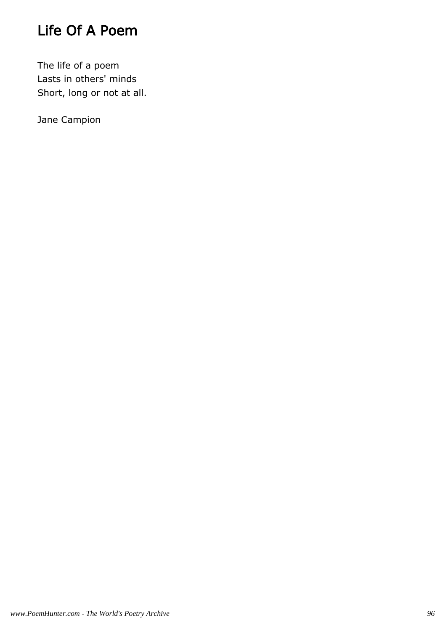## Life Of A Poem

The life of a poem Lasts in others' minds Short, long or not at all.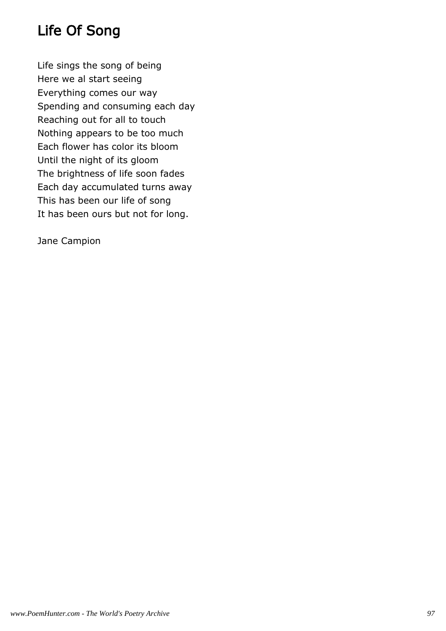## Life Of Song

Life sings the song of being Here we al start seeing Everything comes our way Spending and consuming each day Reaching out for all to touch Nothing appears to be too much Each flower has color its bloom Until the night of its gloom The brightness of life soon fades Each day accumulated turns away This has been our life of song It has been ours but not for long.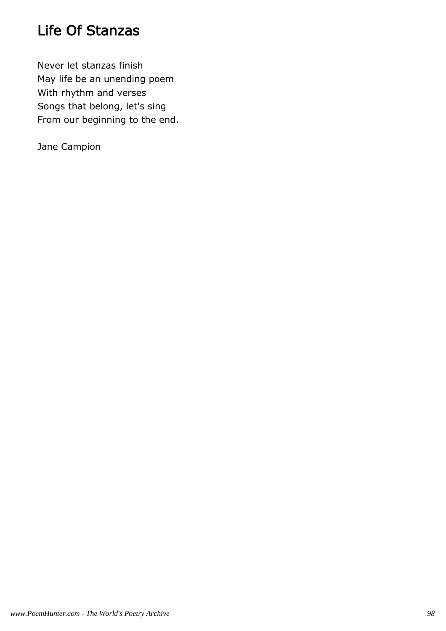## Life Of Stanzas

Never let stanzas finish May life be an unending poem With rhythm and verses Songs that belong, let's sing From our beginning to the end.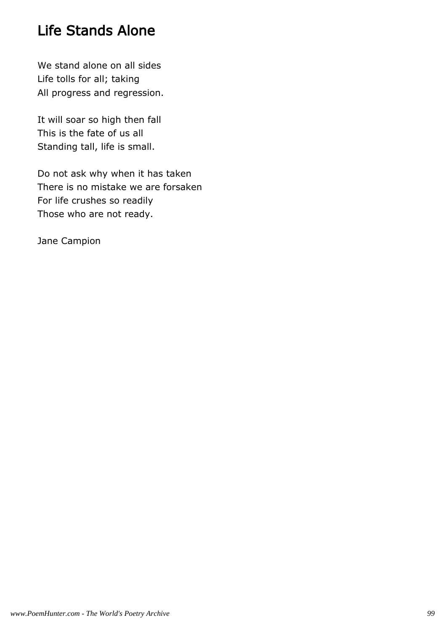### Life Stands Alone

We stand alone on all sides Life tolls for all; taking All progress and regression.

It will soar so high then fall This is the fate of us all Standing tall, life is small.

Do not ask why when it has taken There is no mistake we are forsaken For life crushes so readily Those who are not ready.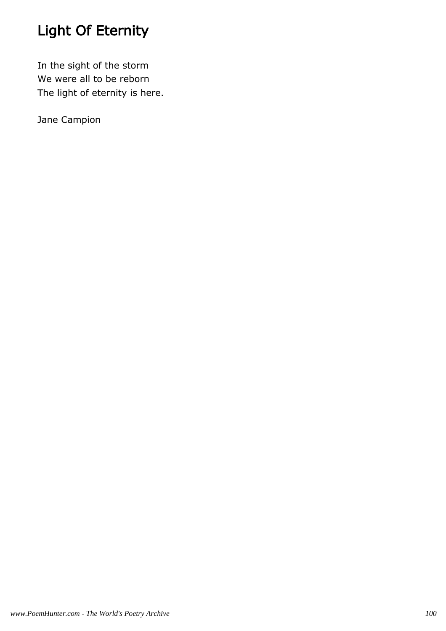# Light Of Eternity

In the sight of the storm We were all to be reborn The light of eternity is here.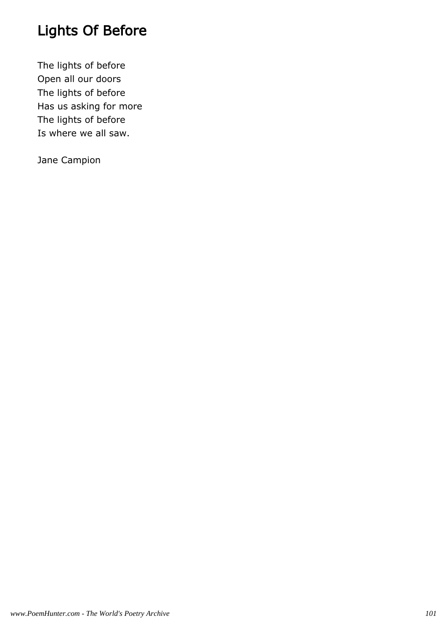# Lights Of Before

The lights of before Open all our doors The lights of before Has us asking for more The lights of before Is where we all saw.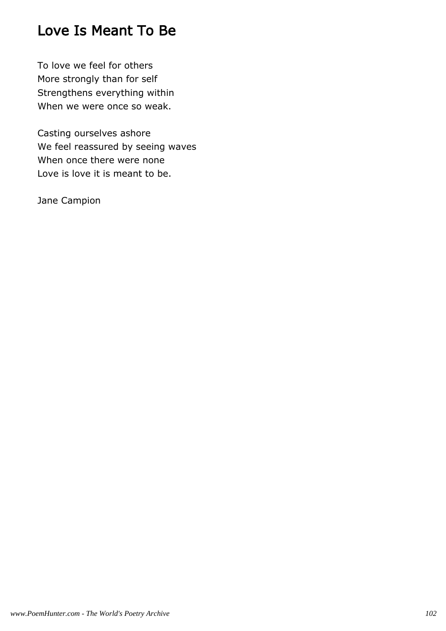#### Love Is Meant To Be

To love we feel for others More strongly than for self Strengthens everything within When we were once so weak.

Casting ourselves ashore We feel reassured by seeing waves When once there were none Love is love it is meant to be.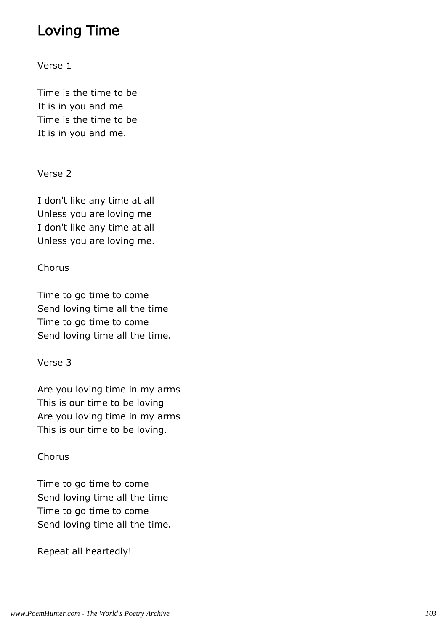#### Loving Time

Verse 1

Time is the time to be It is in you and me Time is the time to be It is in you and me.

#### Verse 2

I don't like any time at all Unless you are loving me I don't like any time at all Unless you are loving me.

#### **Chorus**

Time to go time to come Send loving time all the time Time to go time to come Send loving time all the time.

#### Verse 3

Are you loving time in my arms This is our time to be loving Are you loving time in my arms This is our time to be loving.

#### Chorus

Time to go time to come Send loving time all the time Time to go time to come Send loving time all the time.

Repeat all heartedly!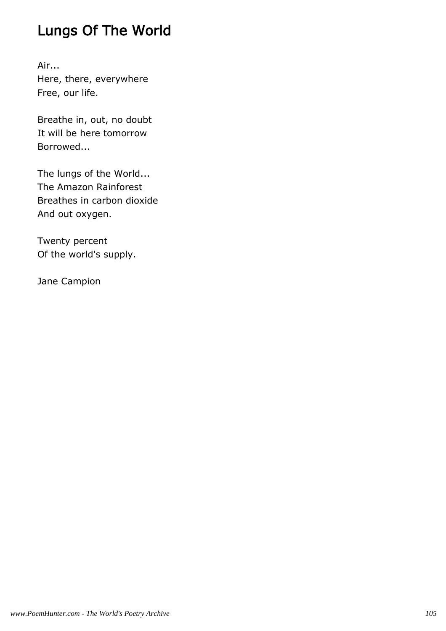## Lungs Of The World

Air... Here, there, everywhere Free, our life.

Breathe in, out, no doubt It will be here tomorrow Borrowed...

The lungs of the World... The Amazon Rainforest Breathes in carbon dioxide And out oxygen.

Twenty percent Of the world's supply.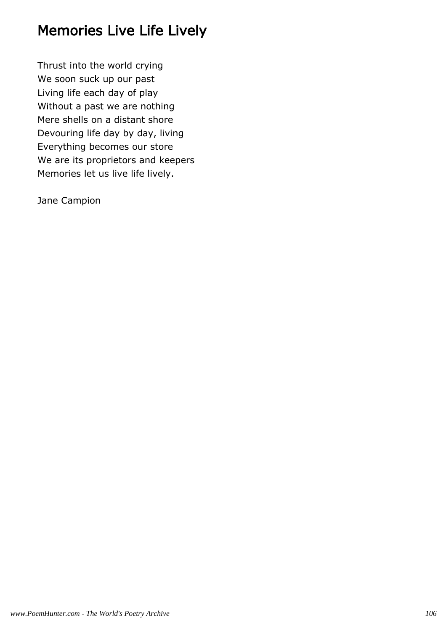### Memories Live Life Lively

Thrust into the world crying We soon suck up our past Living life each day of play Without a past we are nothing Mere shells on a distant shore Devouring life day by day, living Everything becomes our store We are its proprietors and keepers Memories let us live life lively.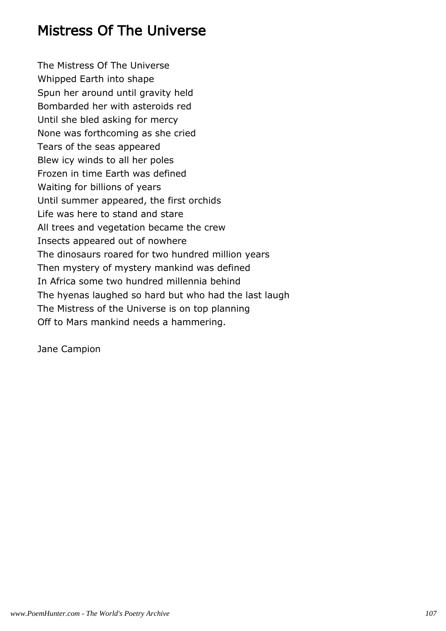#### Mistress Of The Universe

The Mistress Of The Universe Whipped Earth into shape Spun her around until gravity held Bombarded her with asteroids red Until she bled asking for mercy None was forthcoming as she cried Tears of the seas appeared Blew icy winds to all her poles Frozen in time Earth was defined Waiting for billions of years Until summer appeared, the first orchids Life was here to stand and stare All trees and vegetation became the crew Insects appeared out of nowhere The dinosaurs roared for two hundred million years Then mystery of mystery mankind was defined In Africa some two hundred millennia behind The hyenas laughed so hard but who had the last laugh The Mistress of the Universe is on top planning Off to Mars mankind needs a hammering.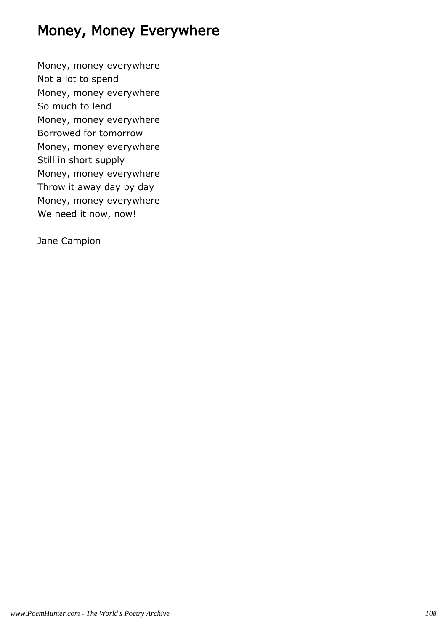## Money, Money Everywhere

Money, money everywhere Not a lot to spend Money, money everywhere So much to lend Money, money everywhere Borrowed for tomorrow Money, money everywhere Still in short supply Money, money everywhere Throw it away day by day Money, money everywhere We need it now, now!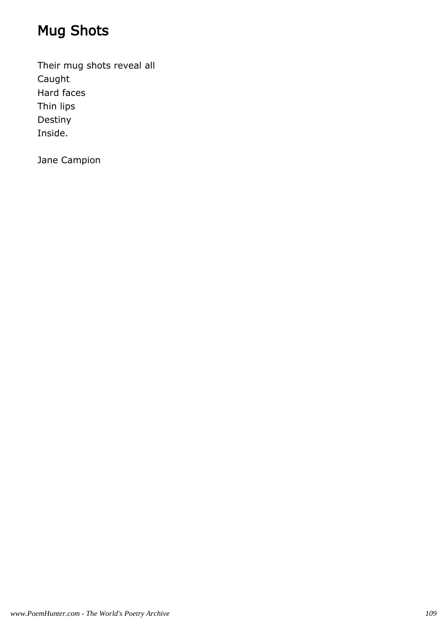# Mug Shots

Their mug shots reveal all Caught Hard faces Thin lips Destiny Inside.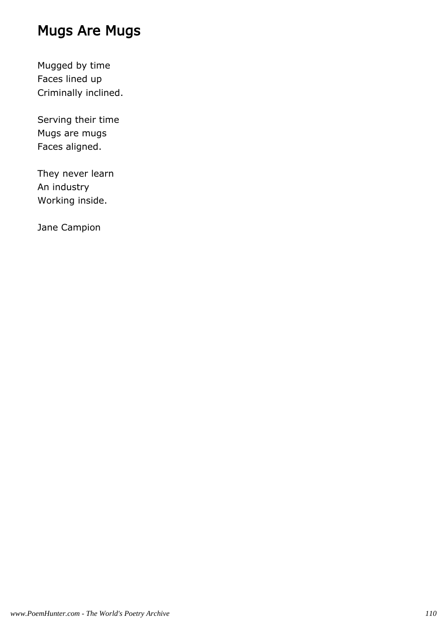## Mugs Are Mugs

Mugged by time Faces lined up Criminally inclined.

Serving their time Mugs are mugs Faces aligned.

They never learn An industry Working inside.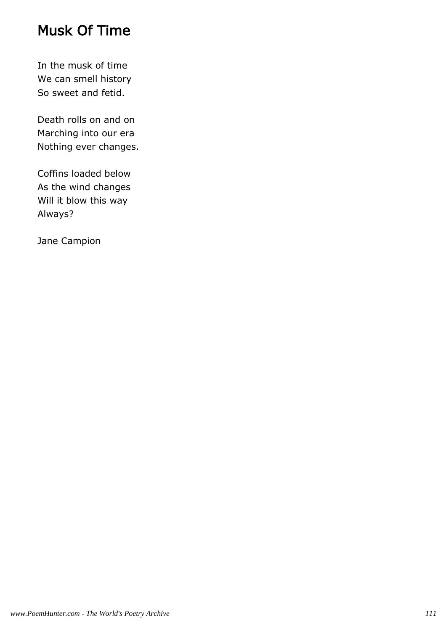### Musk Of Time

In the musk of time We can smell history So sweet and fetid.

Death rolls on and on Marching into our era Nothing ever changes.

Coffins loaded below As the wind changes Will it blow this way Always?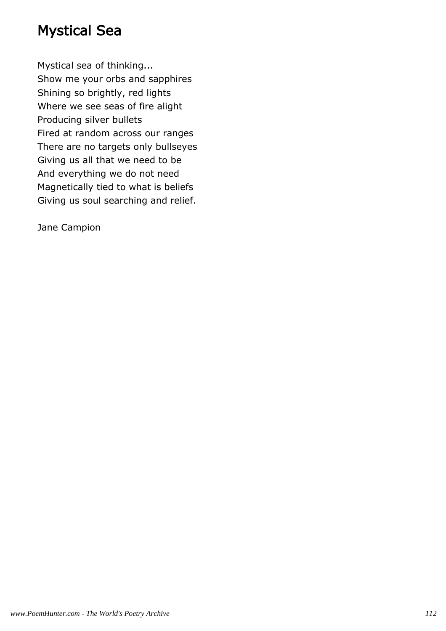#### Mystical Sea

Mystical sea of thinking... Show me your orbs and sapphires Shining so brightly, red lights Where we see seas of fire alight Producing silver bullets Fired at random across our ranges There are no targets only bullseyes Giving us all that we need to be And everything we do not need Magnetically tied to what is beliefs Giving us soul searching and relief.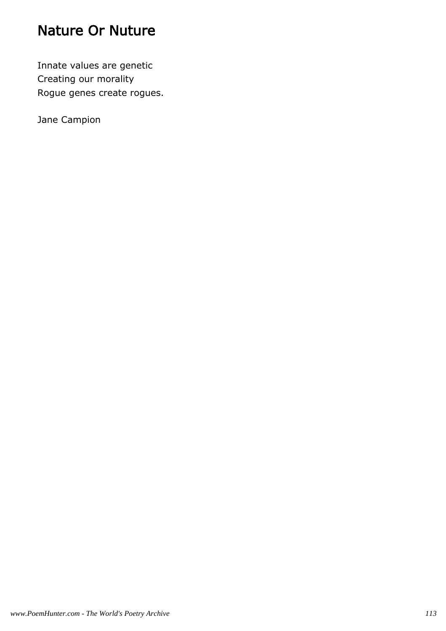### Nature Or Nuture

Innate values are genetic Creating our morality Rogue genes create rogues.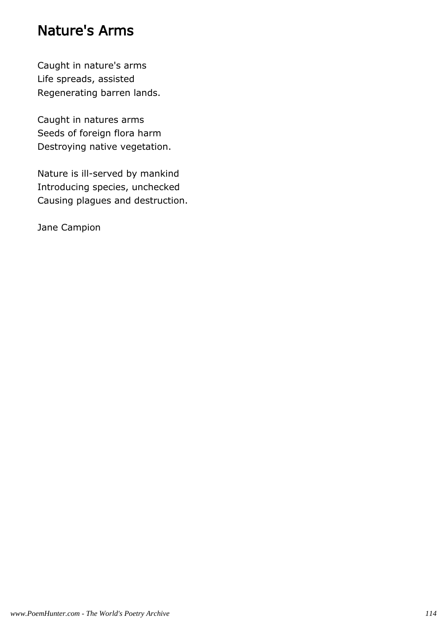#### Nature's Arms

Caught in nature's arms Life spreads, assisted Regenerating barren lands.

Caught in natures arms Seeds of foreign flora harm Destroying native vegetation.

Nature is ill-served by mankind Introducing species, unchecked Causing plagues and destruction.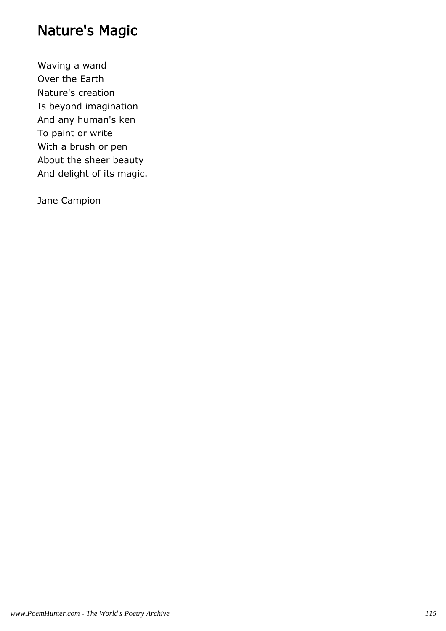## Nature's Magic

Waving a wand Over the Earth Nature's creation Is beyond imagination And any human's ken To paint or write With a brush or pen About the sheer beauty And delight of its magic.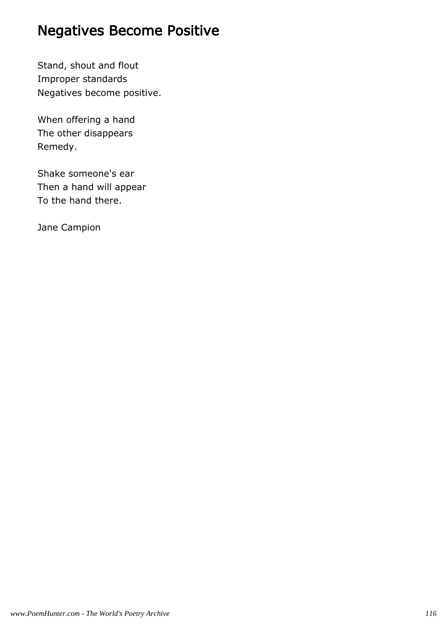## Negatives Become Positive

Stand, shout and flout Improper standards Negatives become positive.

When offering a hand The other disappears Remedy.

Shake someone's ear Then a hand will appear To the hand there.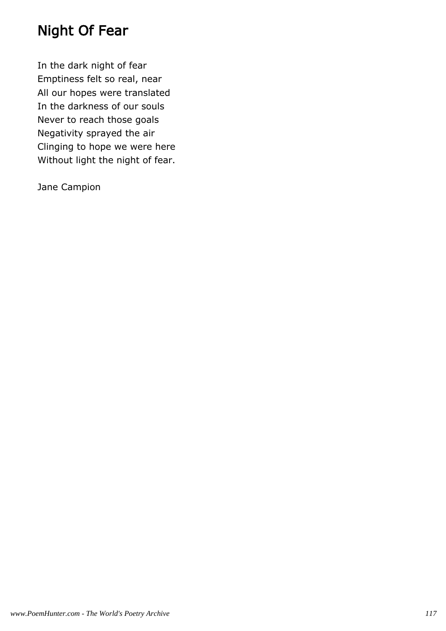## Night Of Fear

In the dark night of fear Emptiness felt so real, near All our hopes were translated In the darkness of our souls Never to reach those goals Negativity sprayed the air Clinging to hope we were here Without light the night of fear.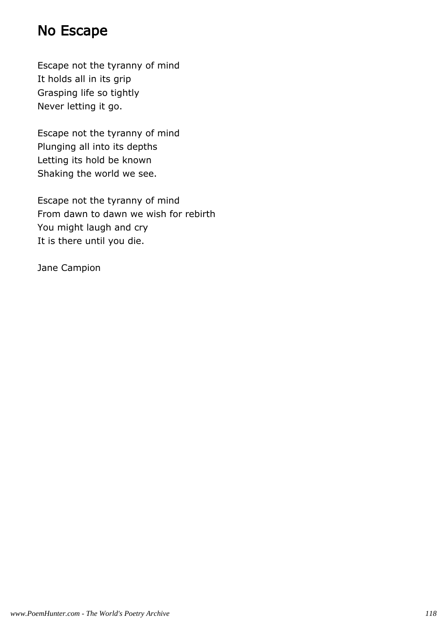#### No Escape

Escape not the tyranny of mind It holds all in its grip Grasping life so tightly Never letting it go.

Escape not the tyranny of mind Plunging all into its depths Letting its hold be known Shaking the world we see.

Escape not the tyranny of mind From dawn to dawn we wish for rebirth You might laugh and cry It is there until you die.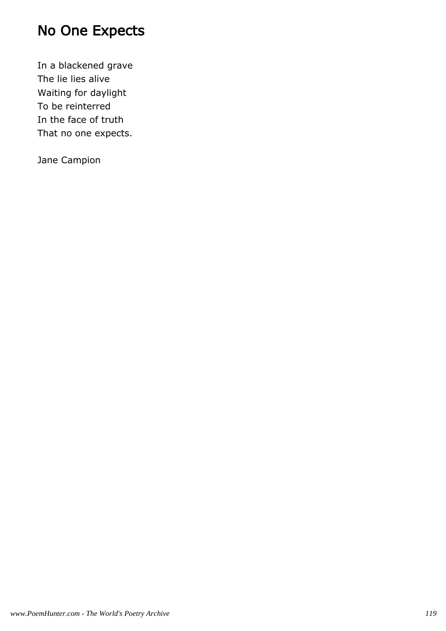## No One Expects

In a blackened grave The lie lies alive Waiting for daylight To be reinterred In the face of truth That no one expects.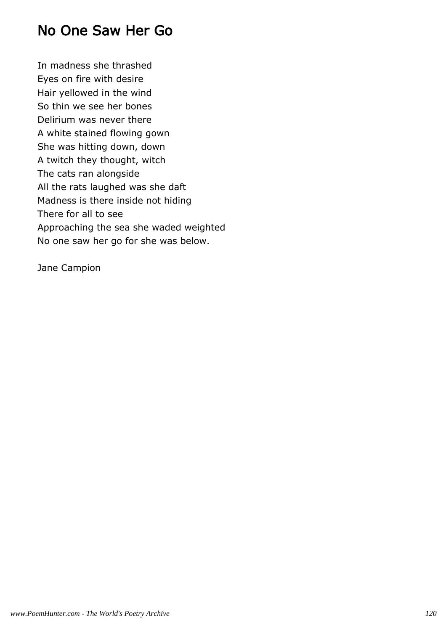#### No One Saw Her Go

In madness she thrashed Eyes on fire with desire Hair yellowed in the wind So thin we see her bones Delirium was never there A white stained flowing gown She was hitting down, down A twitch they thought, witch The cats ran alongside All the rats laughed was she daft Madness is there inside not hiding There for all to see Approaching the sea she waded weighted No one saw her go for she was below.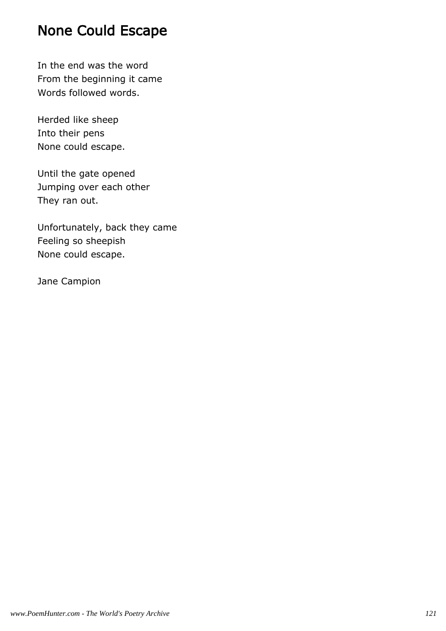#### None Could Escape

In the end was the word From the beginning it came Words followed words.

Herded like sheep Into their pens None could escape.

Until the gate opened Jumping over each other They ran out.

Unfortunately, back they came Feeling so sheepish None could escape.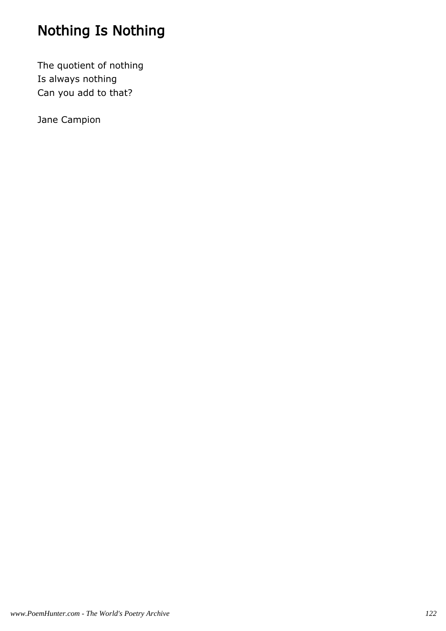# Nothing Is Nothing

The quotient of nothing Is always nothing Can you add to that?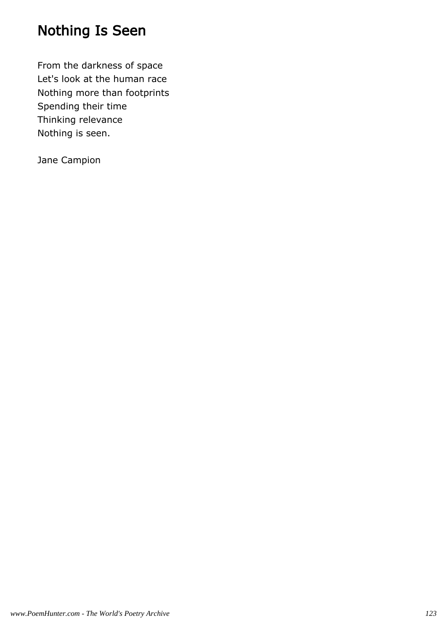## Nothing Is Seen

From the darkness of space Let's look at the human race Nothing more than footprints Spending their time Thinking relevance Nothing is seen.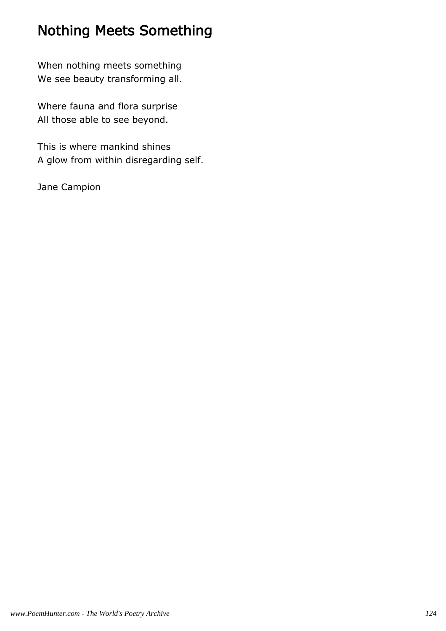# Nothing Meets Something

When nothing meets something We see beauty transforming all.

Where fauna and flora surprise All those able to see beyond.

This is where mankind shines A glow from within disregarding self.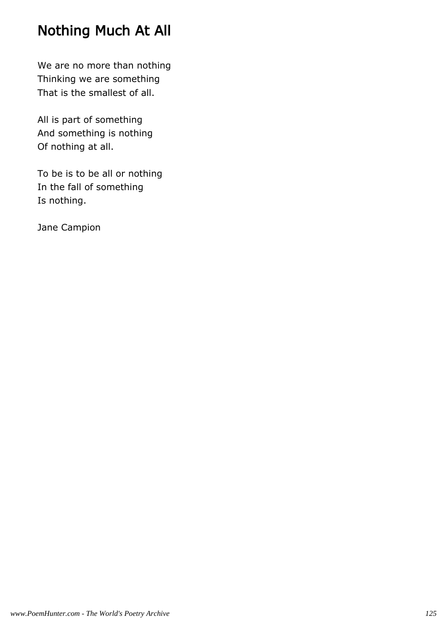## Nothing Much At All

We are no more than nothing Thinking we are something That is the smallest of all.

All is part of something And something is nothing Of nothing at all.

To be is to be all or nothing In the fall of something Is nothing.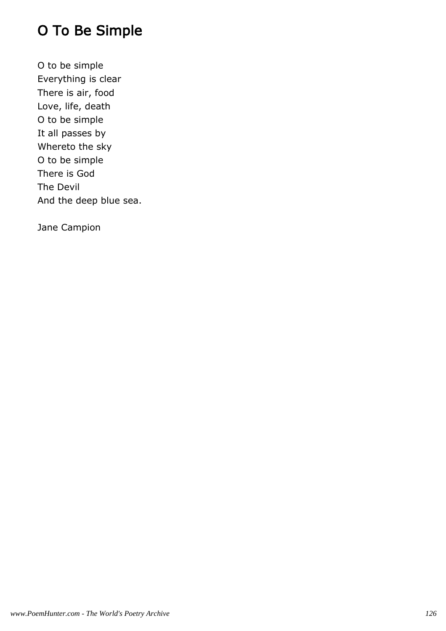# O To Be Simple

O to be simple Everything is clear There is air, food Love, life, death O to be simple It all passes by Whereto the sky O to be simple There is God The Devil And the deep blue sea.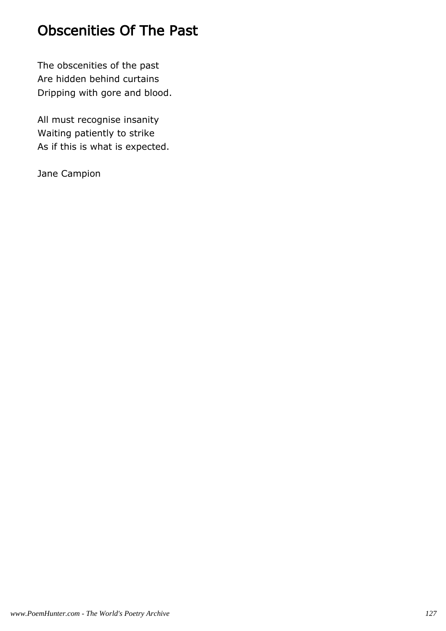## Obscenities Of The Past

The obscenities of the past Are hidden behind curtains Dripping with gore and blood.

All must recognise insanity Waiting patiently to strike As if this is what is expected.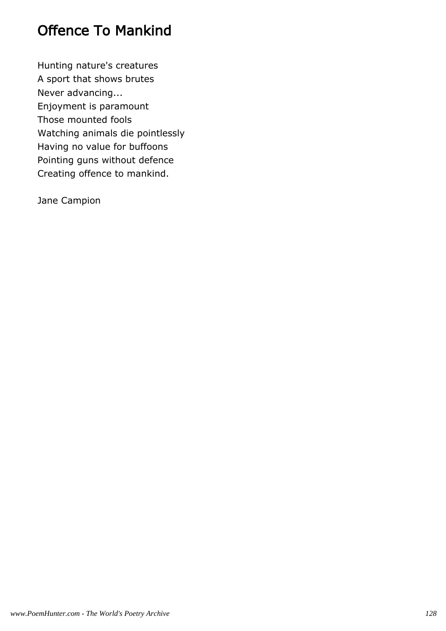## Offence To Mankind

Hunting nature's creatures A sport that shows brutes Never advancing... Enjoyment is paramount Those mounted fools Watching animals die pointlessly Having no value for buffoons Pointing guns without defence Creating offence to mankind.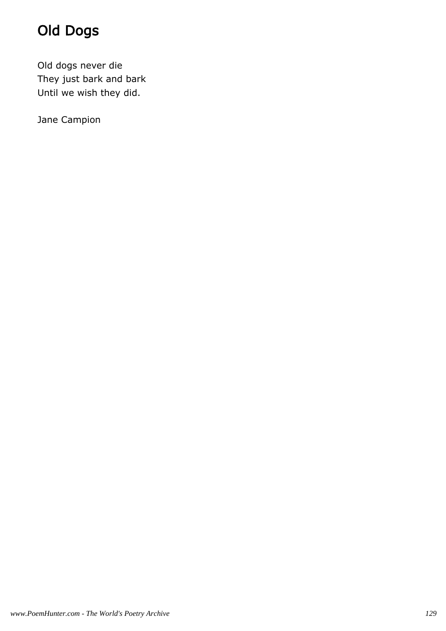# Old Dogs

Old dogs never die They just bark and bark Until we wish they did.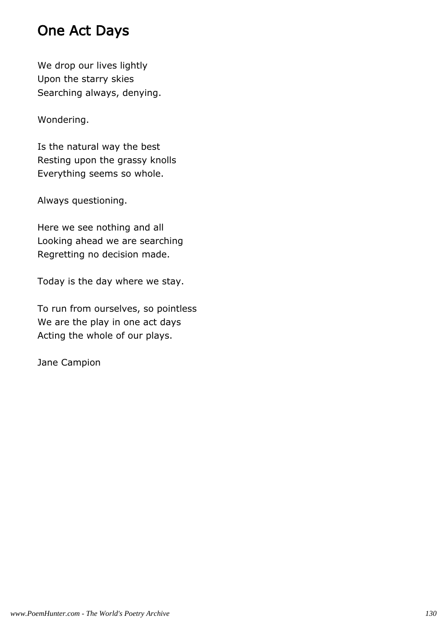## One Act Days

We drop our lives lightly Upon the starry skies Searching always, denying.

Wondering.

Is the natural way the best Resting upon the grassy knolls Everything seems so whole.

Always questioning.

Here we see nothing and all Looking ahead we are searching Regretting no decision made.

Today is the day where we stay.

To run from ourselves, so pointless We are the play in one act days Acting the whole of our plays.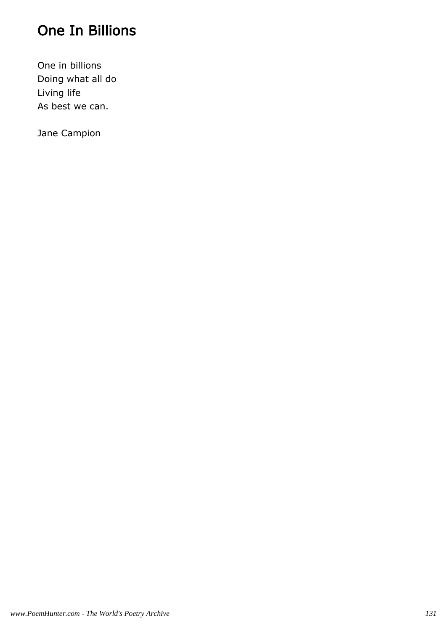## One In Billions

One in billions Doing what all do Living life As best we can.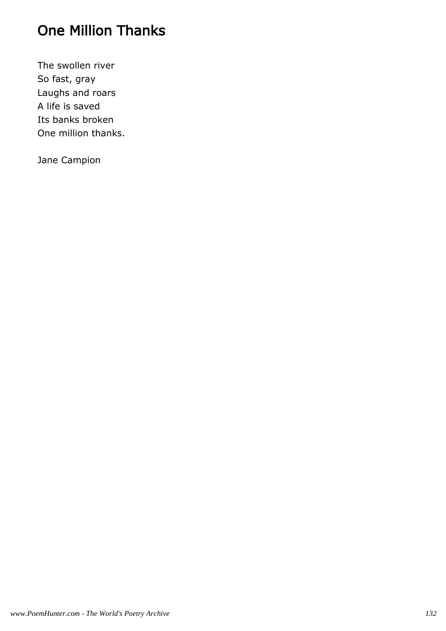# One Million Thanks

The swollen river So fast, gray Laughs and roars A life is saved Its banks broken One million thanks.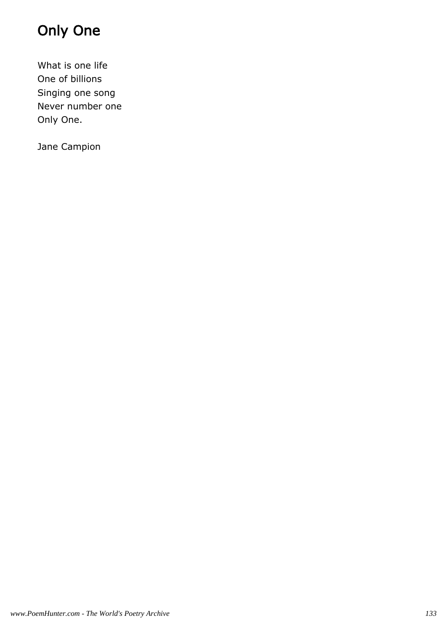# Only One

What is one life One of billions Singing one song Never number one Only One.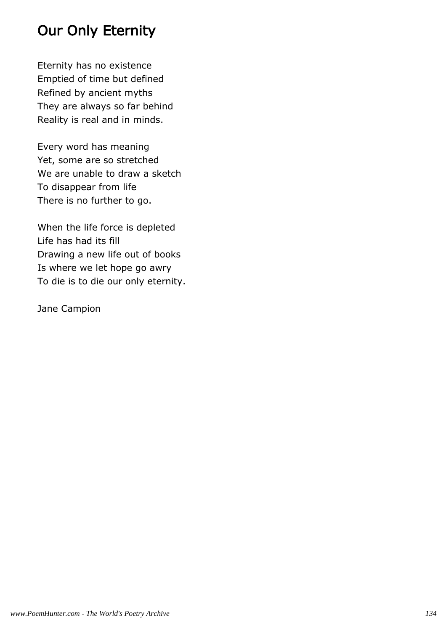## Our Only Eternity

Eternity has no existence Emptied of time but defined Refined by ancient myths They are always so far behind Reality is real and in minds.

Every word has meaning Yet, some are so stretched We are unable to draw a sketch To disappear from life There is no further to go.

When the life force is depleted Life has had its fill Drawing a new life out of books Is where we let hope go awry To die is to die our only eternity.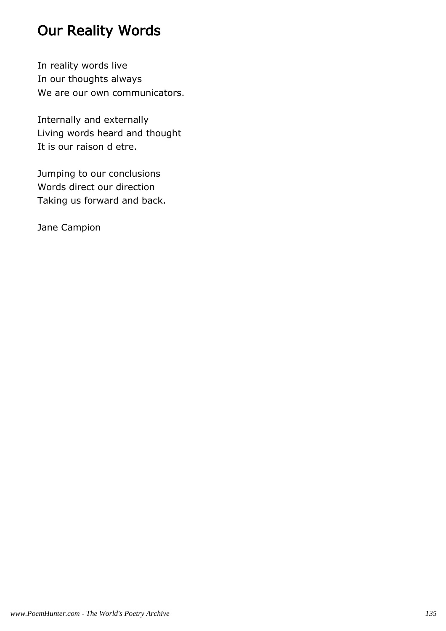# Our Reality Words

In reality words live In our thoughts always We are our own communicators.

Internally and externally Living words heard and thought It is our raison d etre.

Jumping to our conclusions Words direct our direction Taking us forward and back.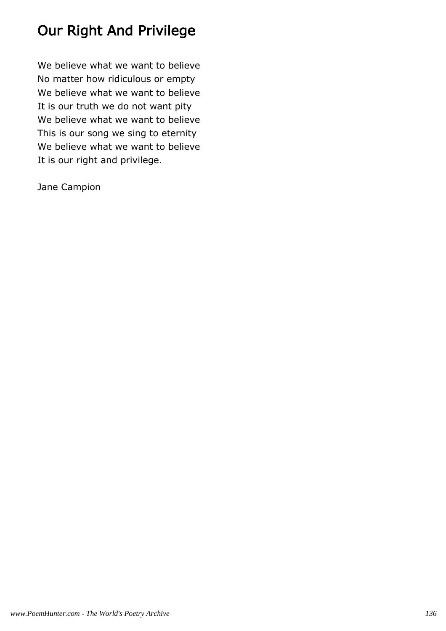# Our Right And Privilege

We believe what we want to believe No matter how ridiculous or empty We believe what we want to believe It is our truth we do not want pity We believe what we want to believe This is our song we sing to eternity We believe what we want to believe It is our right and privilege.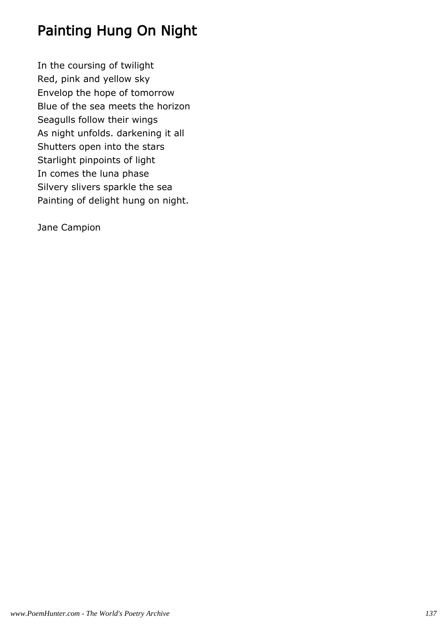## Painting Hung On Night

In the coursing of twilight Red, pink and yellow sky Envelop the hope of tomorrow Blue of the sea meets the horizon Seagulls follow their wings As night unfolds. darkening it all Shutters open into the stars Starlight pinpoints of light In comes the luna phase Silvery slivers sparkle the sea Painting of delight hung on night.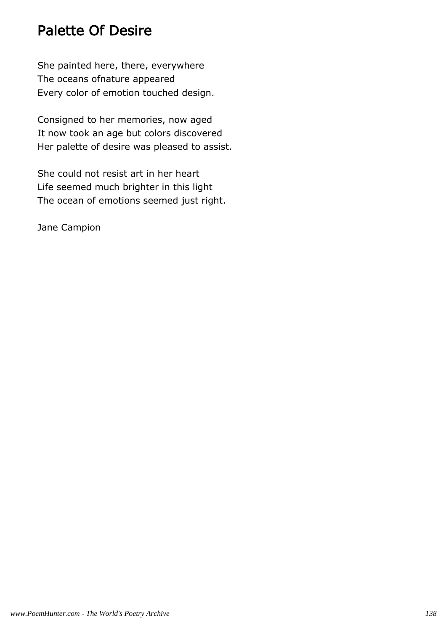#### Palette Of Desire

She painted here, there, everywhere The oceans ofnature appeared Every color of emotion touched design.

Consigned to her memories, now aged It now took an age but colors discovered Her palette of desire was pleased to assist.

She could not resist art in her heart Life seemed much brighter in this light The ocean of emotions seemed just right.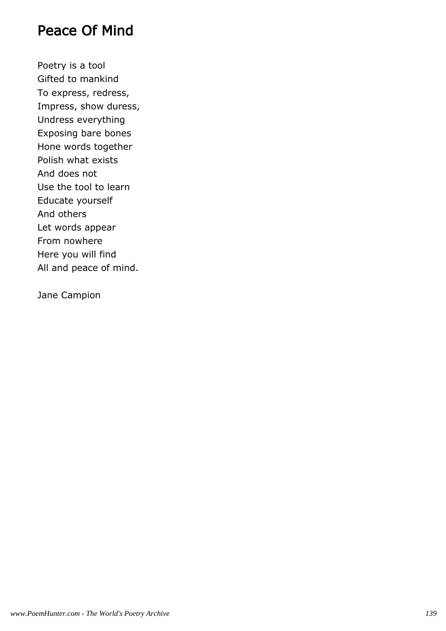#### Peace Of Mind

Poetry is a tool Gifted to mankind To express, redress, Impress, show duress, Undress everything Exposing bare bones Hone words together Polish what exists And does not Use the tool to learn Educate yourself And others Let words appear From nowhere Here you will find All and peace of mind.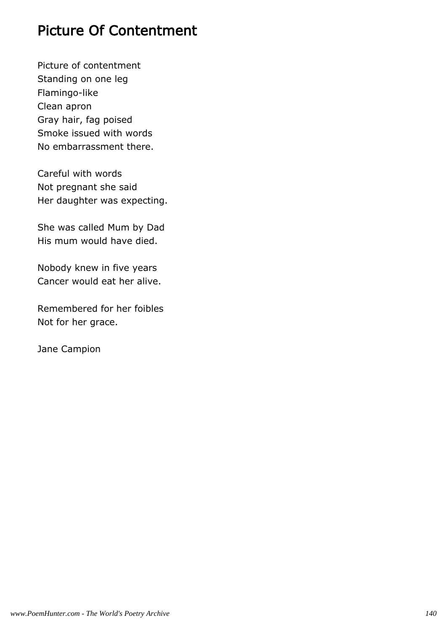## Picture Of Contentment

Picture of contentment Standing on one leg Flamingo-like Clean apron Gray hair, fag poised Smoke issued with words No embarrassment there.

Careful with words Not pregnant she said Her daughter was expecting.

She was called Mum by Dad His mum would have died.

Nobody knew in five years Cancer would eat her alive.

Remembered for her foibles Not for her grace.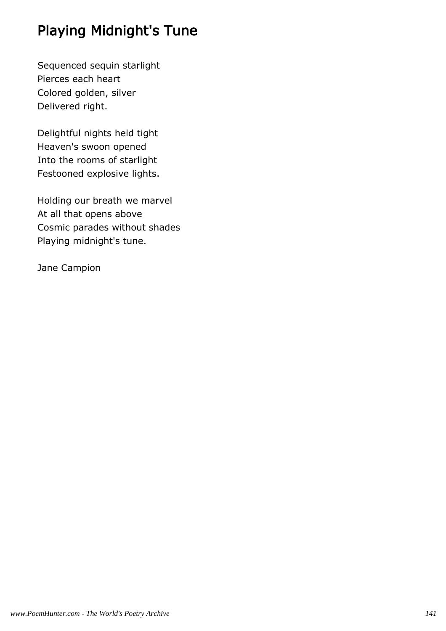# Playing Midnight's Tune

Sequenced sequin starlight Pierces each heart Colored golden, silver Delivered right.

Delightful nights held tight Heaven's swoon opened Into the rooms of starlight Festooned explosive lights.

Holding our breath we marvel At all that opens above Cosmic parades without shades Playing midnight's tune.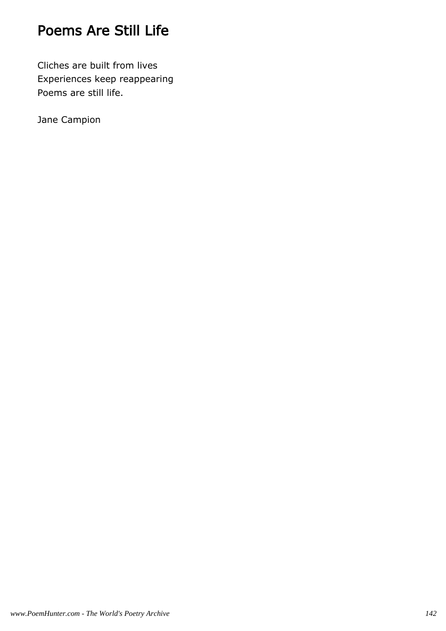## Poems Are Still Life

Cliches are built from lives Experiences keep reappearing Poems are still life.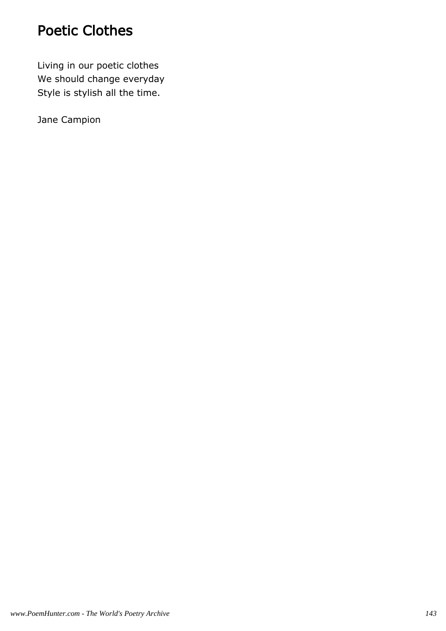#### Poetic Clothes

Living in our poetic clothes We should change everyday Style is stylish all the time.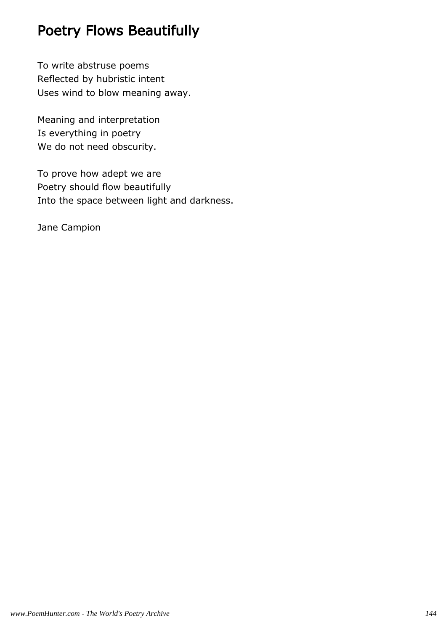### Poetry Flows Beautifully

To write abstruse poems Reflected by hubristic intent Uses wind to blow meaning away.

Meaning and interpretation Is everything in poetry We do not need obscurity.

To prove how adept we are Poetry should flow beautifully Into the space between light and darkness.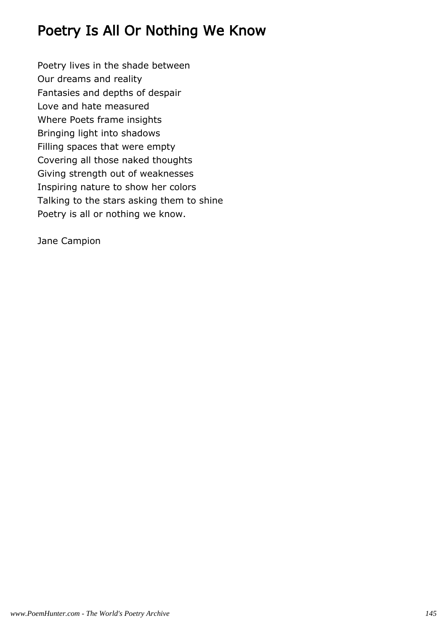## Poetry Is All Or Nothing We Know

Poetry lives in the shade between Our dreams and reality Fantasies and depths of despair Love and hate measured Where Poets frame insights Bringing light into shadows Filling spaces that were empty Covering all those naked thoughts Giving strength out of weaknesses Inspiring nature to show her colors Talking to the stars asking them to shine Poetry is all or nothing we know.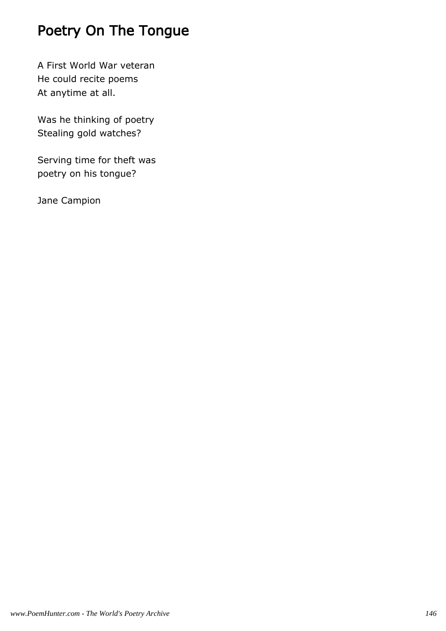## Poetry On The Tongue

A First World War veteran He could recite poems At anytime at all.

Was he thinking of poetry Stealing gold watches?

Serving time for theft was poetry on his tongue?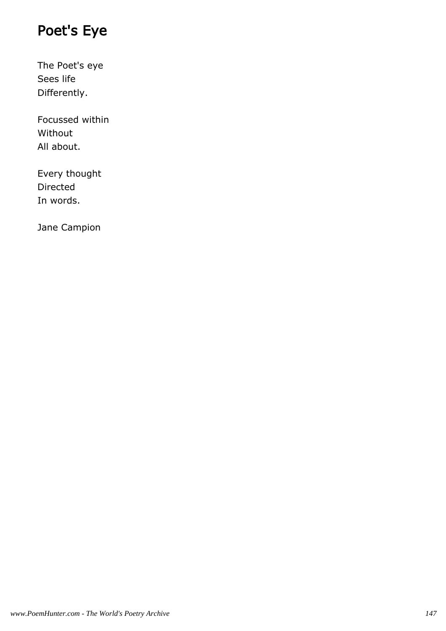## Poet's Eye

The Poet's eye Sees life Differently.

Focussed within Without All about.

Every thought Directed In words.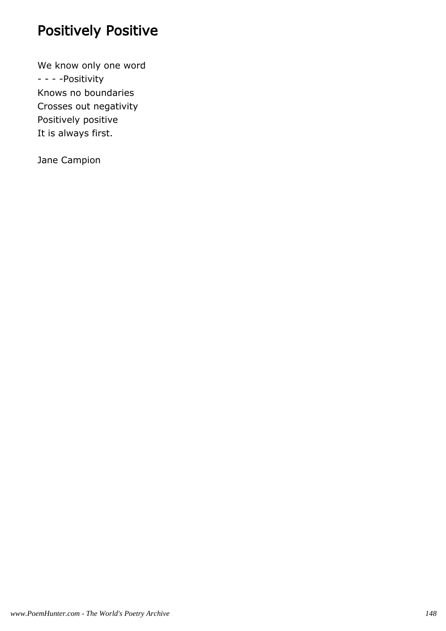## Positively Positive

We know only one word - - - -Positivity Knows no boundaries Crosses out negativity Positively positive It is always first.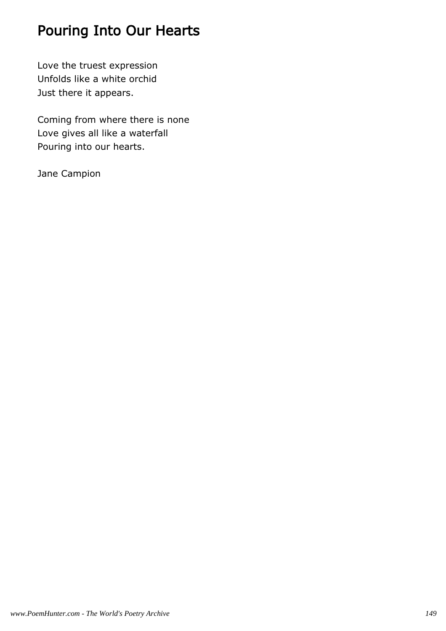## Pouring Into Our Hearts

Love the truest expression Unfolds like a white orchid Just there it appears.

Coming from where there is none Love gives all like a waterfall Pouring into our hearts.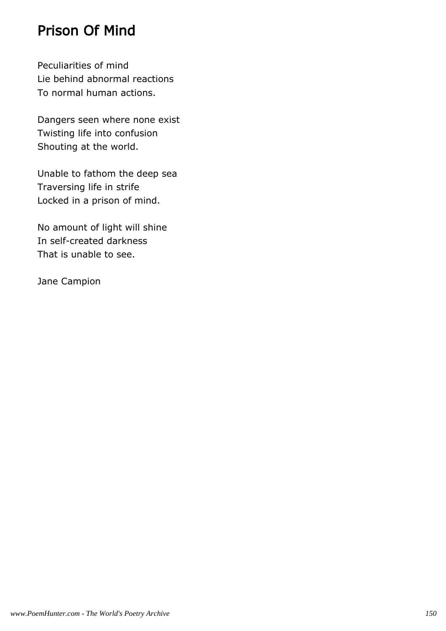### Prison Of Mind

Peculiarities of mind Lie behind abnormal reactions To normal human actions.

Dangers seen where none exist Twisting life into confusion Shouting at the world.

Unable to fathom the deep sea Traversing life in strife Locked in a prison of mind.

No amount of light will shine In self-created darkness That is unable to see.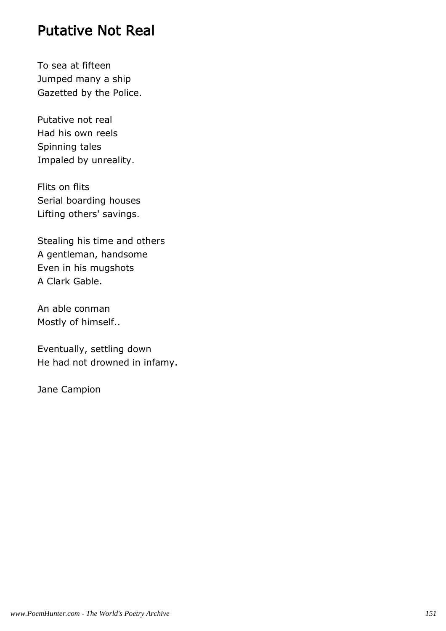#### Putative Not Real

To sea at fifteen Jumped many a ship Gazetted by the Police.

Putative not real Had his own reels Spinning tales Impaled by unreality.

Flits on flits Serial boarding houses Lifting others' savings.

Stealing his time and others A gentleman, handsome Even in his mugshots A Clark Gable.

An able conman Mostly of himself..

Eventually, settling down He had not drowned in infamy.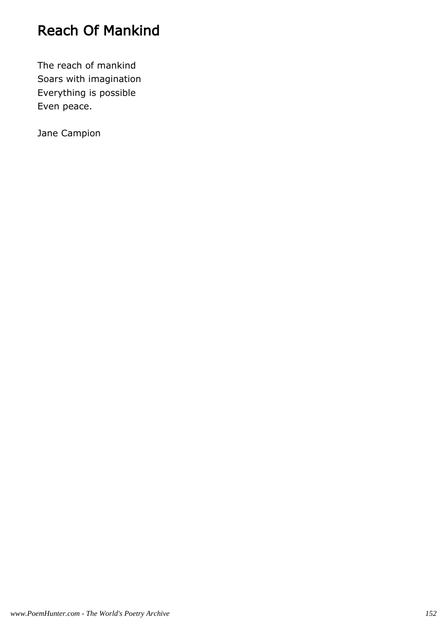## Reach Of Mankind

The reach of mankind Soars with imagination Everything is possible Even peace.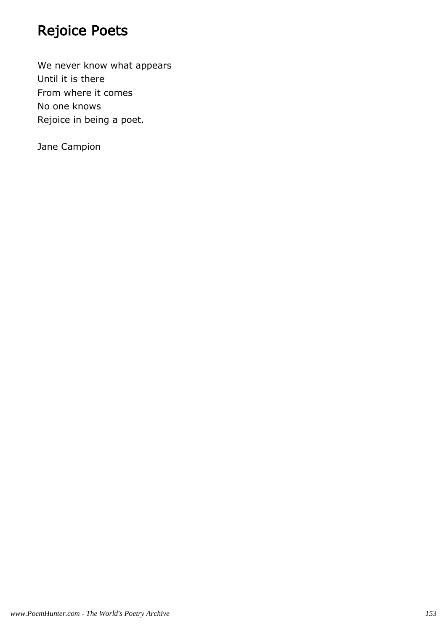## Rejoice Poets

We never know what appears Until it is there From where it comes No one knows Rejoice in being a poet.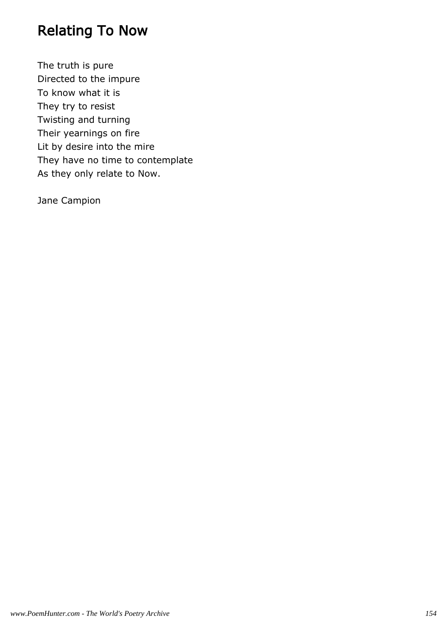## Relating To Now

The truth is pure Directed to the impure To know what it is They try to resist Twisting and turning Their yearnings on fire Lit by desire into the mire They have no time to contemplate As they only relate to Now.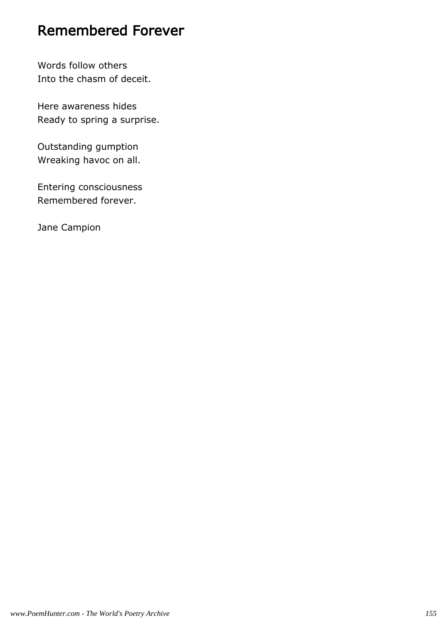#### Remembered Forever

Words follow others Into the chasm of deceit.

Here awareness hides Ready to spring a surprise.

Outstanding gumption Wreaking havoc on all.

Entering consciousness Remembered forever.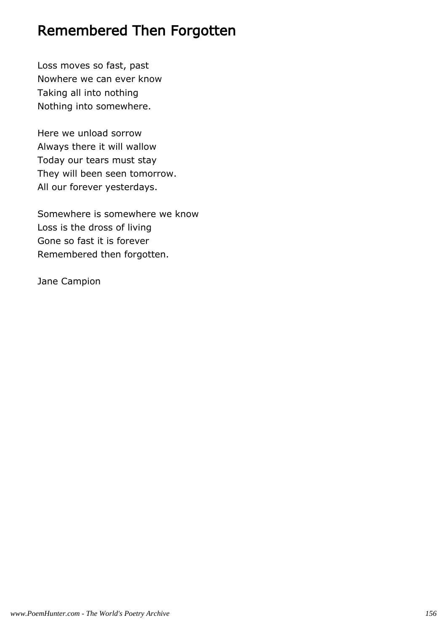#### Remembered Then Forgotten

Loss moves so fast, past Nowhere we can ever know Taking all into nothing Nothing into somewhere.

Here we unload sorrow Always there it will wallow Today our tears must stay They will been seen tomorrow. All our forever yesterdays.

Somewhere is somewhere we know Loss is the dross of living Gone so fast it is forever Remembered then forgotten.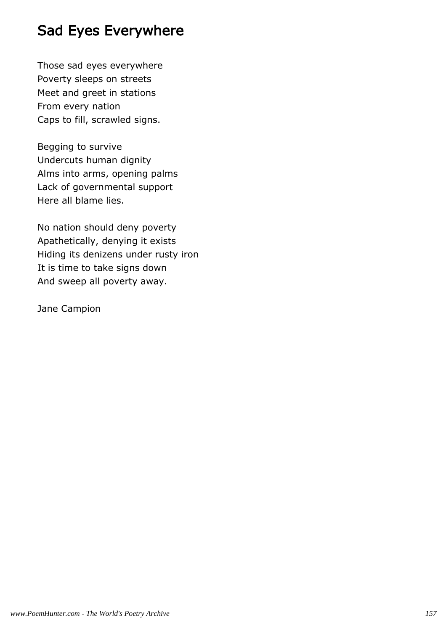## Sad Eyes Everywhere

Those sad eyes everywhere Poverty sleeps on streets Meet and greet in stations From every nation Caps to fill, scrawled signs.

Begging to survive Undercuts human dignity Alms into arms, opening palms Lack of governmental support Here all blame lies.

No nation should deny poverty Apathetically, denying it exists Hiding its denizens under rusty iron It is time to take signs down And sweep all poverty away.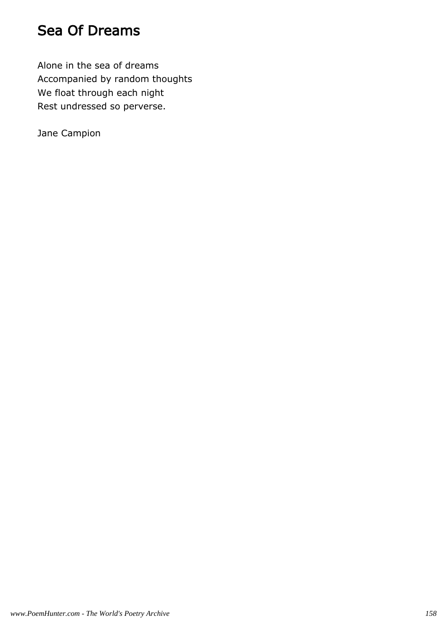### Sea Of Dreams

Alone in the sea of dreams Accompanied by random thoughts We float through each night Rest undressed so perverse.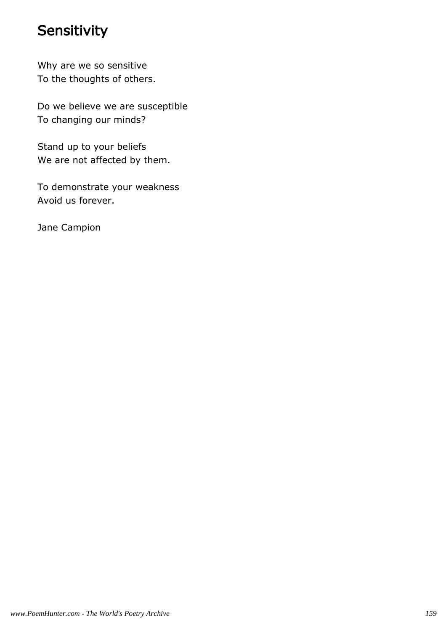#### **Sensitivity**

Why are we so sensitive To the thoughts of others.

Do we believe we are susceptible To changing our minds?

Stand up to your beliefs We are not affected by them.

To demonstrate your weakness Avoid us forever.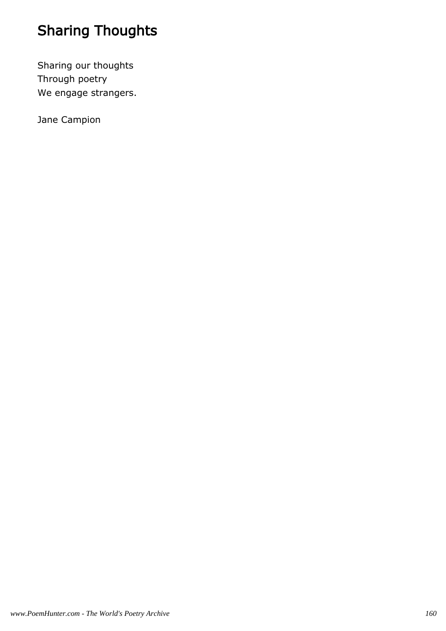# Sharing Thoughts

Sharing our thoughts Through poetry We engage strangers.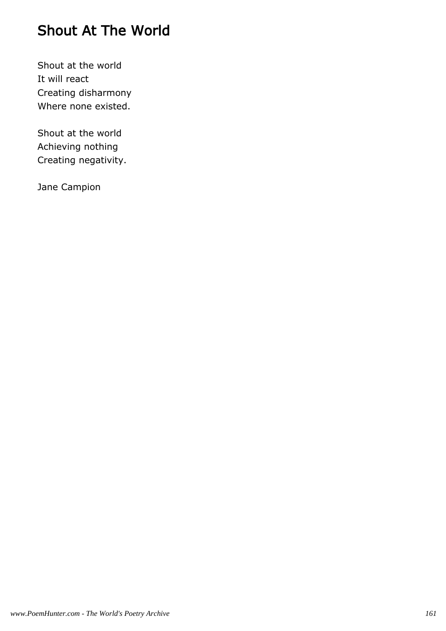## Shout At The World

Shout at the world It will react Creating disharmony Where none existed.

Shout at the world Achieving nothing Creating negativity.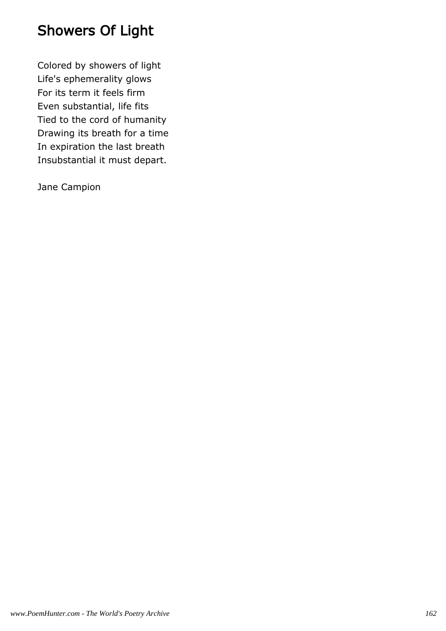## Showers Of Light

Colored by showers of light Life's ephemerality glows For its term it feels firm Even substantial, life fits Tied to the cord of humanity Drawing its breath for a time In expiration the last breath Insubstantial it must depart.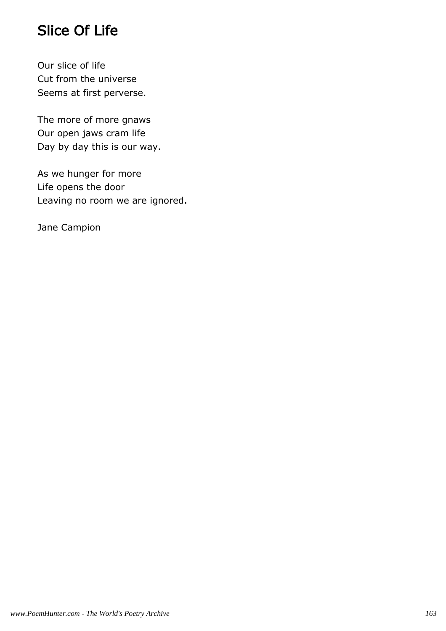## Slice Of Life

Our slice of life Cut from the universe Seems at first perverse.

The more of more gnaws Our open jaws cram life Day by day this is our way.

As we hunger for more Life opens the door Leaving no room we are ignored.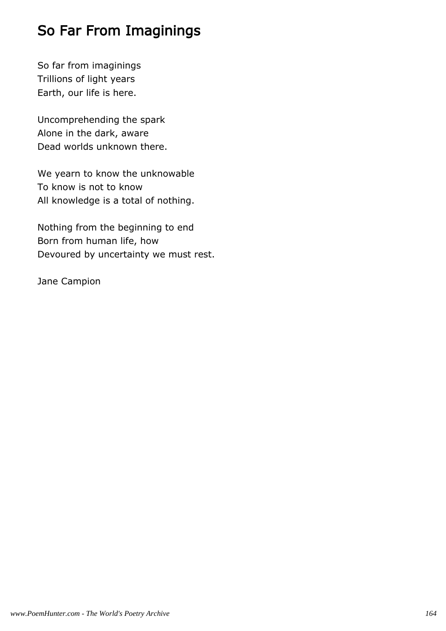## So Far From Imaginings

So far from imaginings Trillions of light years Earth, our life is here.

Uncomprehending the spark Alone in the dark, aware Dead worlds unknown there.

We yearn to know the unknowable To know is not to know All knowledge is a total of nothing.

Nothing from the beginning to end Born from human life, how Devoured by uncertainty we must rest.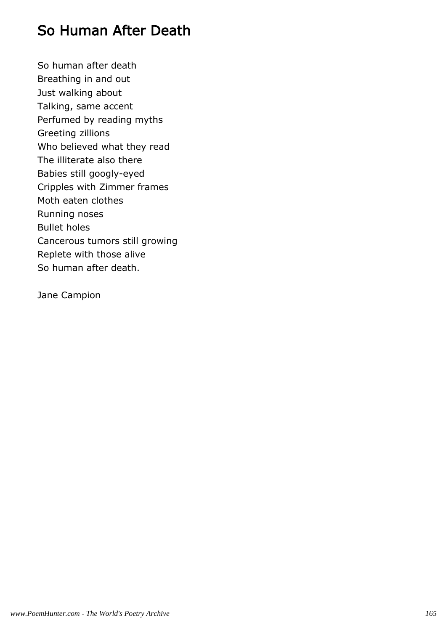### So Human After Death

So human after death Breathing in and out Just walking about Talking, same accent Perfumed by reading myths Greeting zillions Who believed what they read The illiterate also there Babies still googly-eyed Cripples with Zimmer frames Moth eaten clothes Running noses Bullet holes Cancerous tumors still growing Replete with those alive So human after death.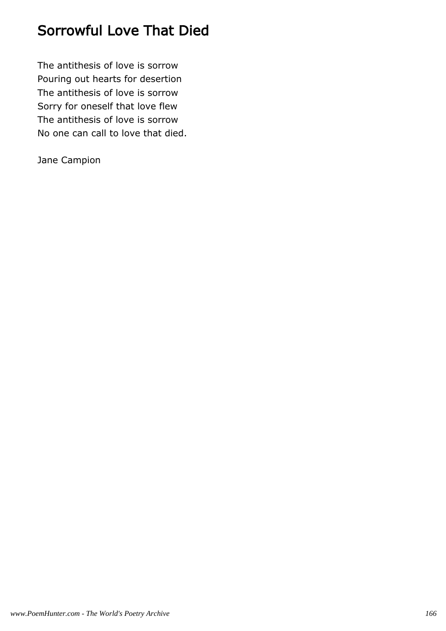### Sorrowful Love That Died

The antithesis of love is sorrow Pouring out hearts for desertion The antithesis of love is sorrow Sorry for oneself that love flew The antithesis of love is sorrow No one can call to love that died.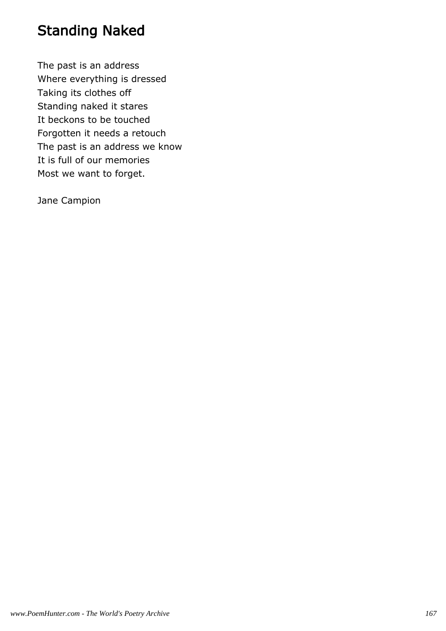### Standing Naked

The past is an address Where everything is dressed Taking its clothes off Standing naked it stares It beckons to be touched Forgotten it needs a retouch The past is an address we know It is full of our memories Most we want to forget.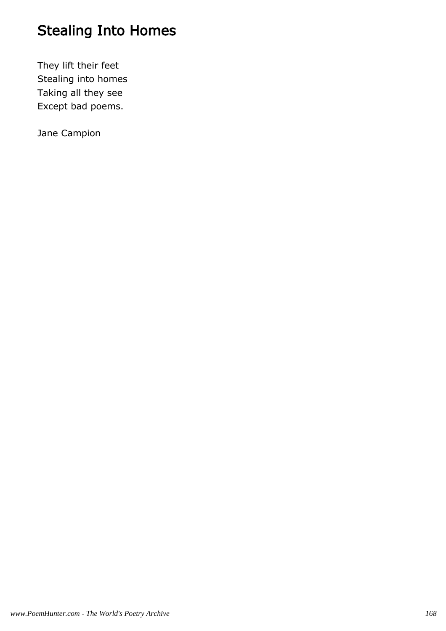# Stealing Into Homes

They lift their feet Stealing into homes Taking all they see Except bad poems.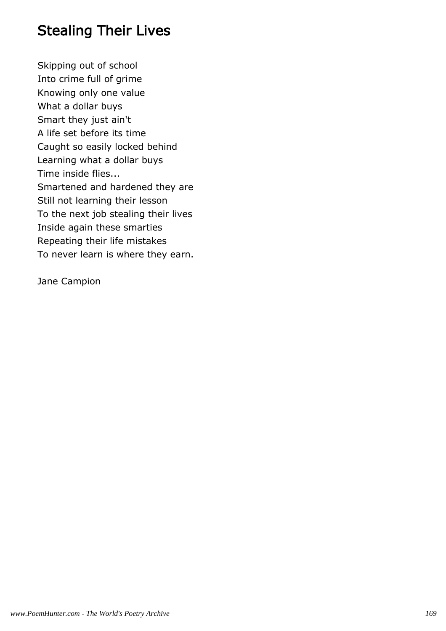## Stealing Their Lives

Skipping out of school Into crime full of grime Knowing only one value What a dollar buys Smart they just ain't A life set before its time Caught so easily locked behind Learning what a dollar buys Time inside flies... Smartened and hardened they are Still not learning their lesson To the next job stealing their lives Inside again these smarties Repeating their life mistakes To never learn is where they earn.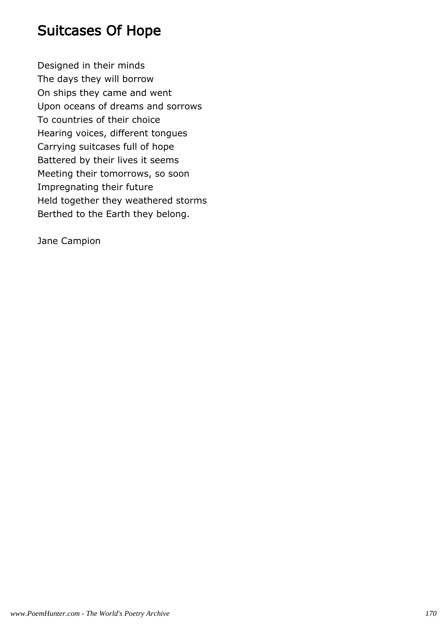#### Suitcases Of Hope

Designed in their minds The days they will borrow On ships they came and went Upon oceans of dreams and sorrows To countries of their choice Hearing voices, different tongues Carrying suitcases full of hope Battered by their lives it seems Meeting their tomorrows, so soon Impregnating their future Held together they weathered storms Berthed to the Earth they belong.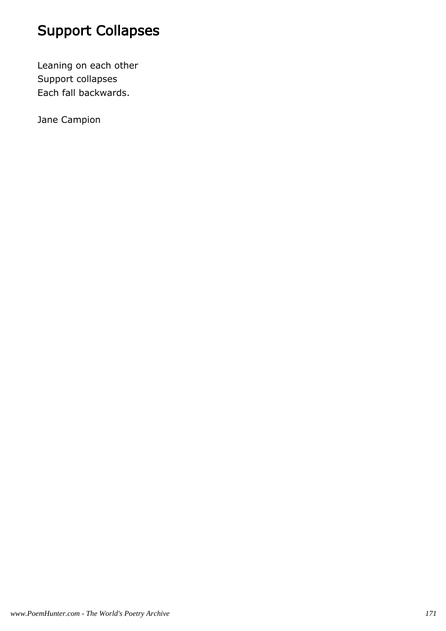# Support Collapses

Leaning on each other Support collapses Each fall backwards.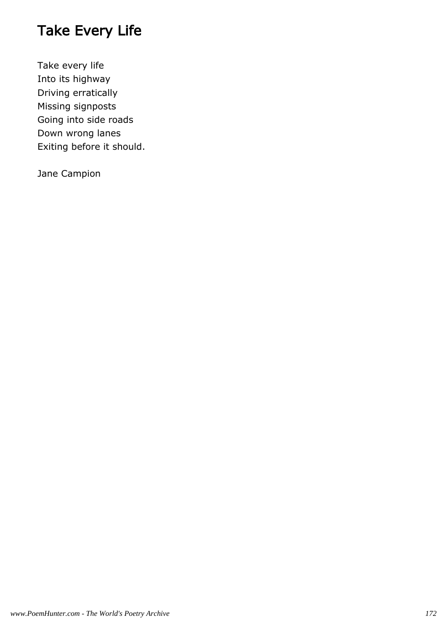## Take Every Life

Take every life Into its highway Driving erratically Missing signposts Going into side roads Down wrong lanes Exiting before it should.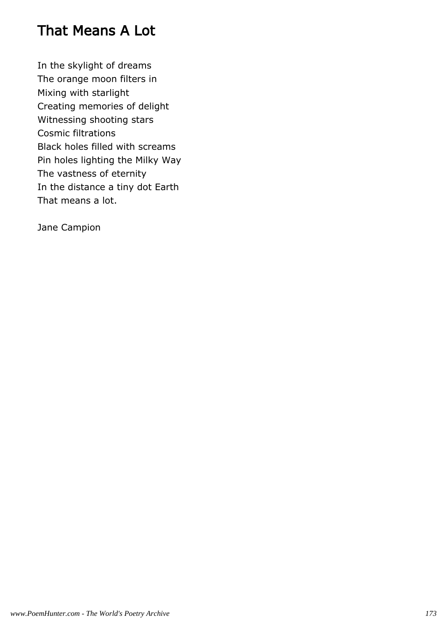### That Means A Lot

In the skylight of dreams The orange moon filters in Mixing with starlight Creating memories of delight Witnessing shooting stars Cosmic filtrations Black holes filled with screams Pin holes lighting the Milky Way The vastness of eternity In the distance a tiny dot Earth That means a lot.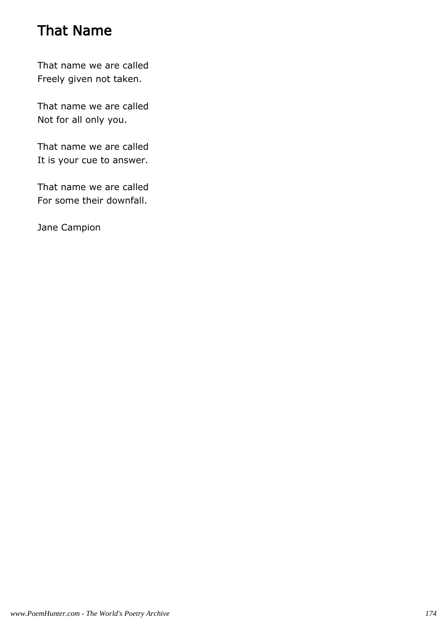## That Name

That name we are called Freely given not taken.

That name we are called Not for all only you.

That name we are called It is your cue to answer.

That name we are called For some their downfall.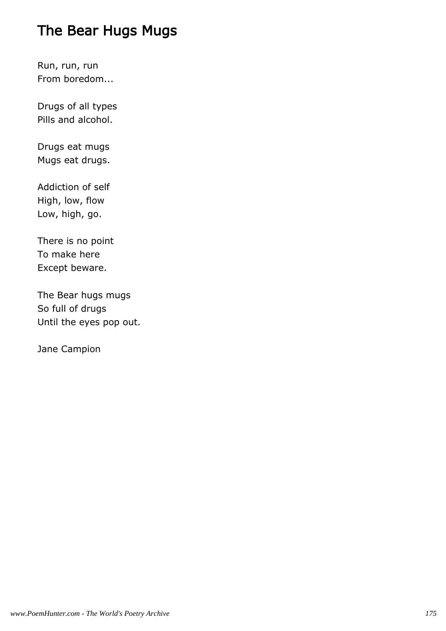## The Bear Hugs Mugs

Run, run, run From boredom...

Drugs of all types Pills and alcohol.

Drugs eat mugs Mugs eat drugs.

Addiction of self High, low, flow Low, high, go.

There is no point To make here Except beware.

The Bear hugs mugs So full of drugs Until the eyes pop out.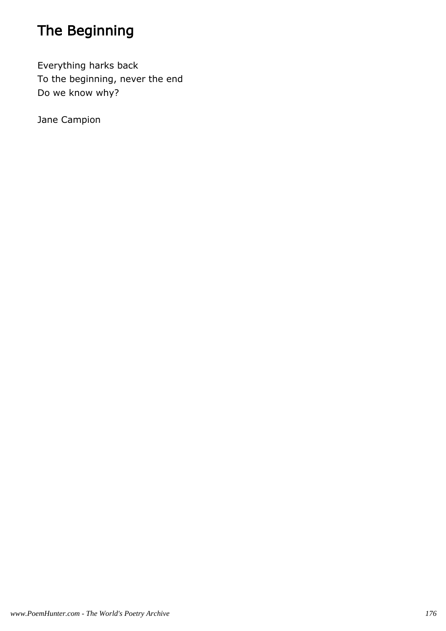# The Beginning

Everything harks back To the beginning, never the end Do we know why?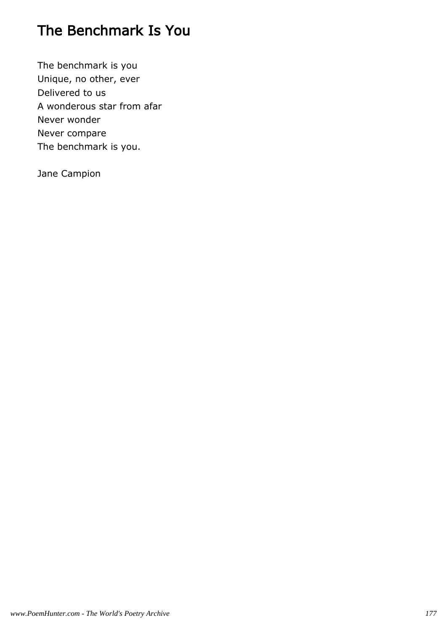## The Benchmark Is You

The benchmark is you Unique, no other, ever Delivered to us A wonderous star from afar Never wonder Never compare The benchmark is you.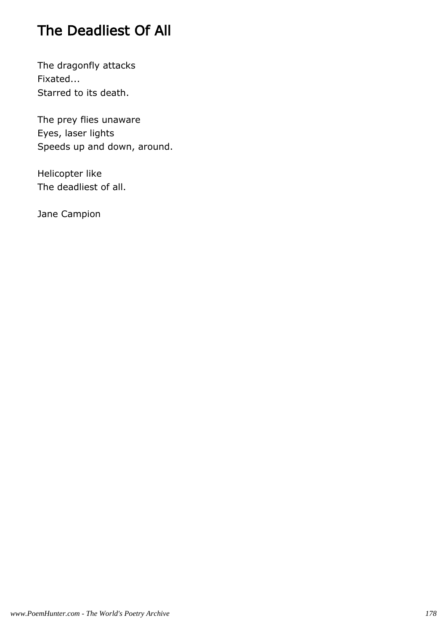## The Deadliest Of All

The dragonfly attacks Fixated... Starred to its death.

The prey flies unaware Eyes, laser lights Speeds up and down, around.

Helicopter like The deadliest of all.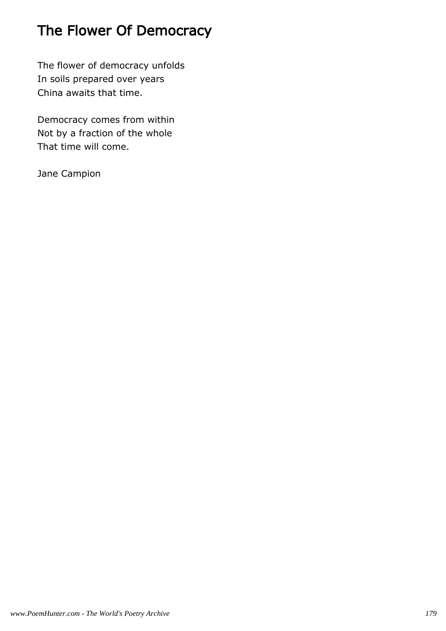# The Flower Of Democracy

The flower of democracy unfolds In soils prepared over years China awaits that time.

Democracy comes from within Not by a fraction of the whole That time will come.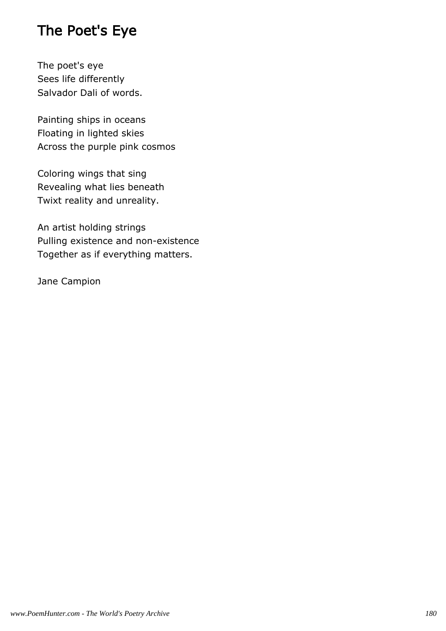## The Poet's Eye

The poet's eye Sees life differently Salvador Dali of words.

Painting ships in oceans Floating in lighted skies Across the purple pink cosmos

Coloring wings that sing Revealing what lies beneath Twixt reality and unreality.

An artist holding strings Pulling existence and non-existence Together as if everything matters.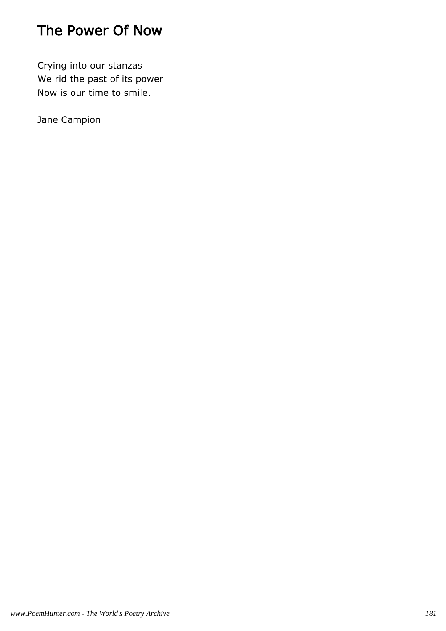# The Power Of Now

Crying into our stanzas We rid the past of its power Now is our time to smile.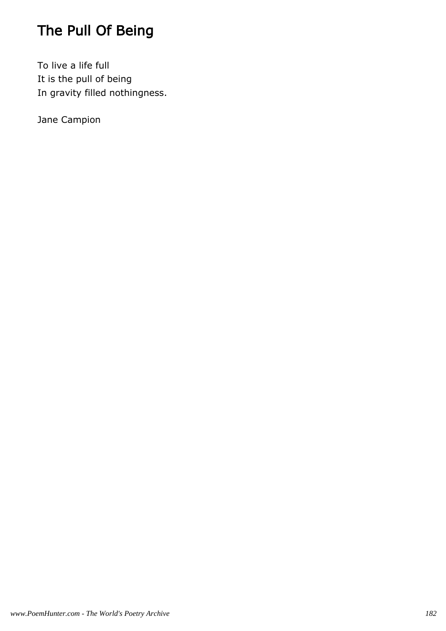# The Pull Of Being

To live a life full It is the pull of being In gravity filled nothingness.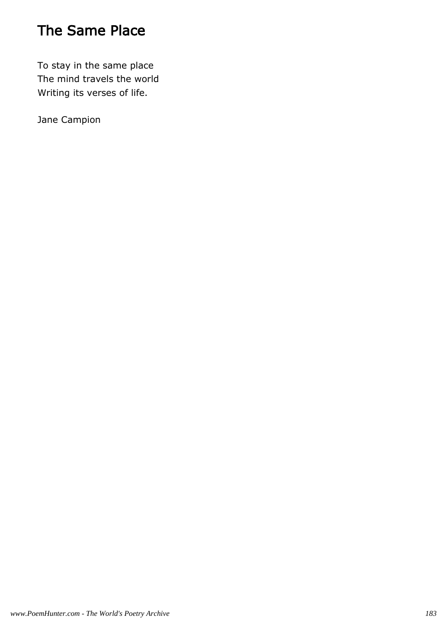# The Same Place

To stay in the same place The mind travels the world Writing its verses of life.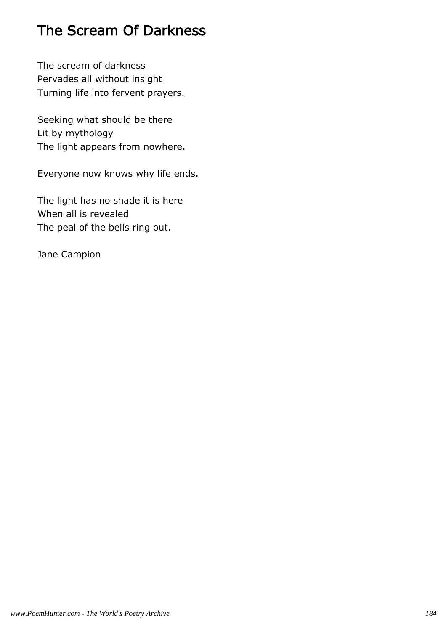# The Scream Of Darkness

The scream of darkness Pervades all without insight Turning life into fervent prayers.

Seeking what should be there Lit by mythology The light appears from nowhere.

Everyone now knows why life ends.

The light has no shade it is here When all is revealed The peal of the bells ring out.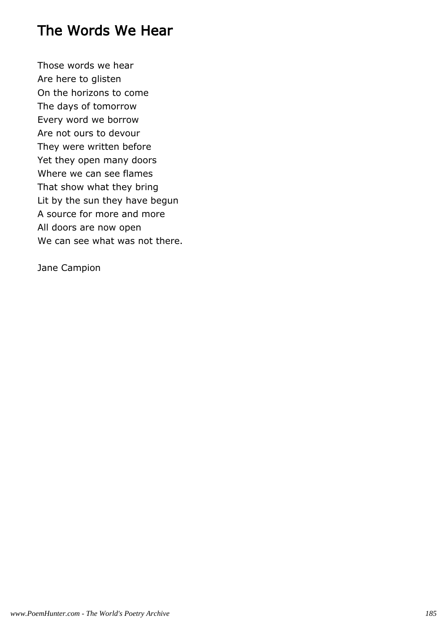### The Words We Hear

Those words we hear Are here to glisten On the horizons to come The days of tomorrow Every word we borrow Are not ours to devour They were written before Yet they open many doors Where we can see flames That show what they bring Lit by the sun they have begun A source for more and more All doors are now open We can see what was not there.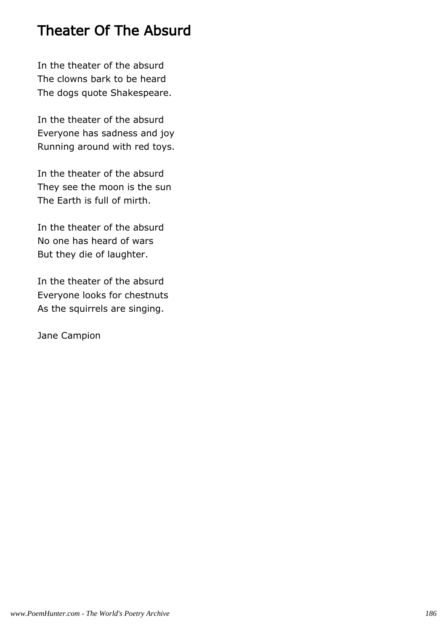### Theater Of The Absurd

In the theater of the absurd The clowns bark to be heard The dogs quote Shakespeare.

In the theater of the absurd Everyone has sadness and joy Running around with red toys.

In the theater of the absurd They see the moon is the sun The Earth is full of mirth.

In the theater of the absurd No one has heard of wars But they die of laughter.

In the theater of the absurd Everyone looks for chestnuts As the squirrels are singing.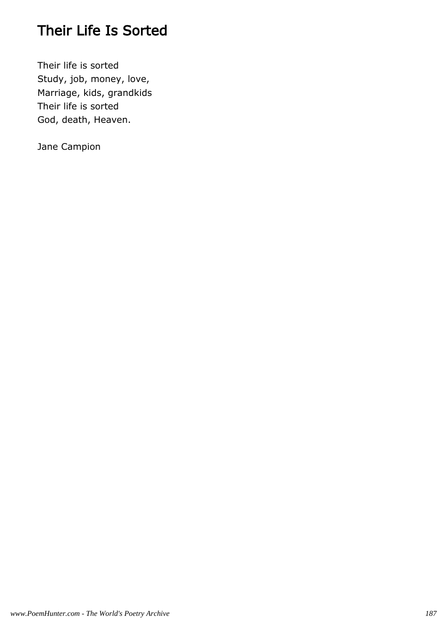# Their Life Is Sorted

Their life is sorted Study, job, money, love, Marriage, kids, grandkids Their life is sorted God, death, Heaven.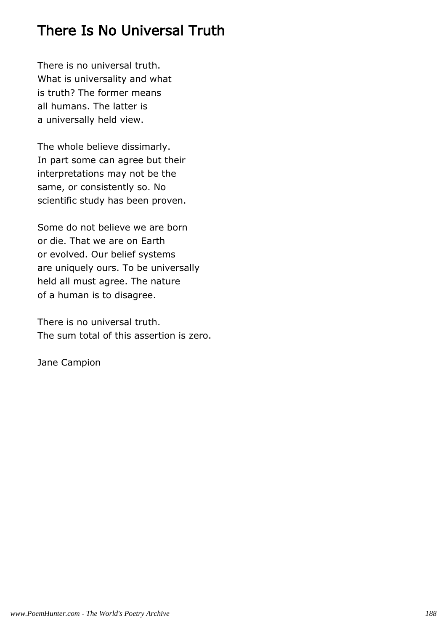### There Is No Universal Truth

There is no universal truth. What is universality and what is truth? The former means all humans. The latter is a universally held view.

The whole believe dissimarly. In part some can agree but their interpretations may not be the same, or consistently so. No scientific study has been proven.

Some do not believe we are born or die. That we are on Earth or evolved. Our belief systems are uniquely ours. To be universally held all must agree. The nature of a human is to disagree.

There is no universal truth. The sum total of this assertion is zero.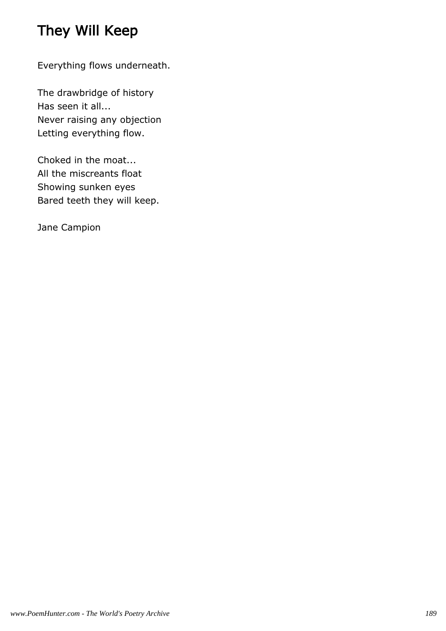# They Will Keep

Everything flows underneath.

The drawbridge of history Has seen it all... Never raising any objection Letting everything flow.

Choked in the moat... All the miscreants float Showing sunken eyes Bared teeth they will keep.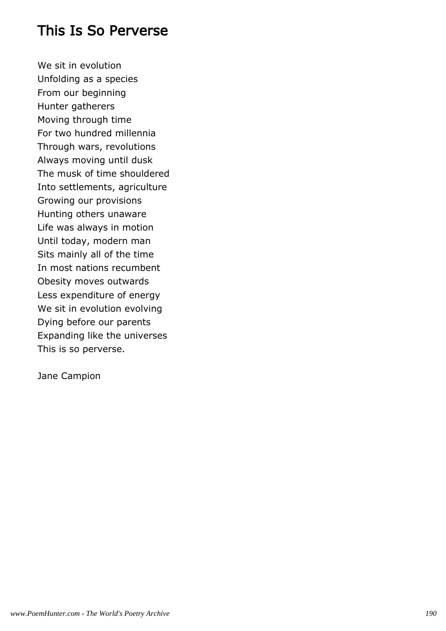#### This Is So Perverse

We sit in evolution Unfolding as a species From our beginning Hunter gatherers Moving through time For two hundred millennia Through wars, revolutions Always moving until dusk The musk of time shouldered Into settlements, agriculture Growing our provisions Hunting others unaware Life was always in motion Until today, modern man Sits mainly all of the time In most nations recumbent Obesity moves outwards Less expenditure of energy We sit in evolution evolving Dying before our parents Expanding like the universes This is so perverse.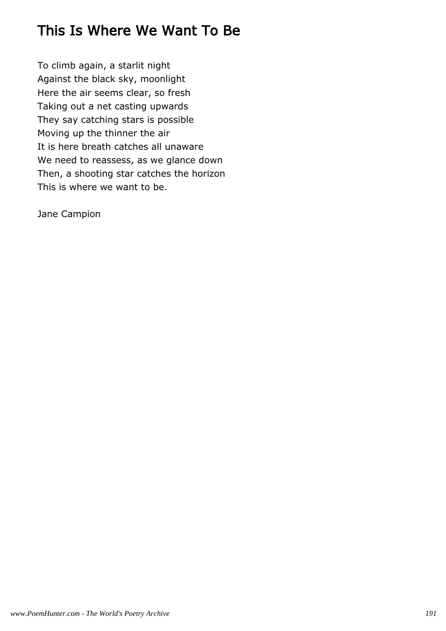## This Is Where We Want To Be

To climb again, a starlit night Against the black sky, moonlight Here the air seems clear, so fresh Taking out a net casting upwards They say catching stars is possible Moving up the thinner the air It is here breath catches all unaware We need to reassess, as we glance down Then, a shooting star catches the horizon This is where we want to be.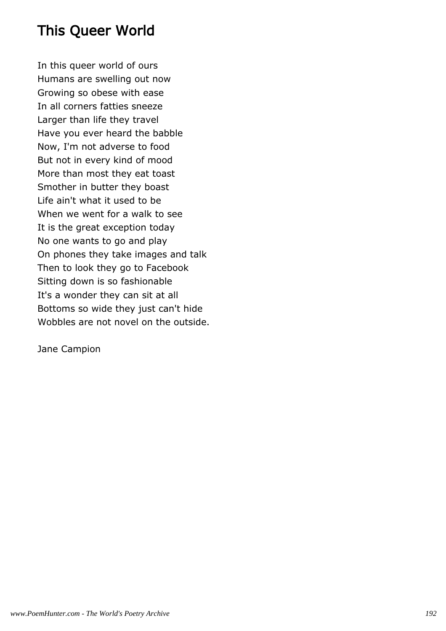## This Queer World

In this queer world of ours Humans are swelling out now Growing so obese with ease In all corners fatties sneeze Larger than life they travel Have you ever heard the babble Now, I'm not adverse to food But not in every kind of mood More than most they eat toast Smother in butter they boast Life ain't what it used to be When we went for a walk to see It is the great exception today No one wants to go and play On phones they take images and talk Then to look they go to Facebook Sitting down is so fashionable It's a wonder they can sit at all Bottoms so wide they just can't hide Wobbles are not novel on the outside.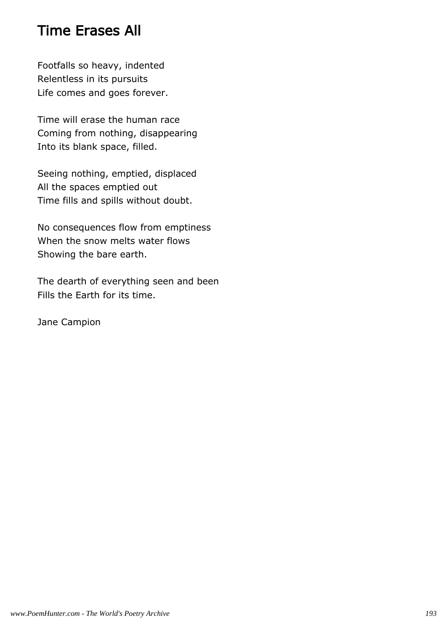#### Time Erases All

Footfalls so heavy, indented Relentless in its pursuits Life comes and goes forever.

Time will erase the human race Coming from nothing, disappearing Into its blank space, filled.

Seeing nothing, emptied, displaced All the spaces emptied out Time fills and spills without doubt.

No consequences flow from emptiness When the snow melts water flows Showing the bare earth.

The dearth of everything seen and been Fills the Earth for its time.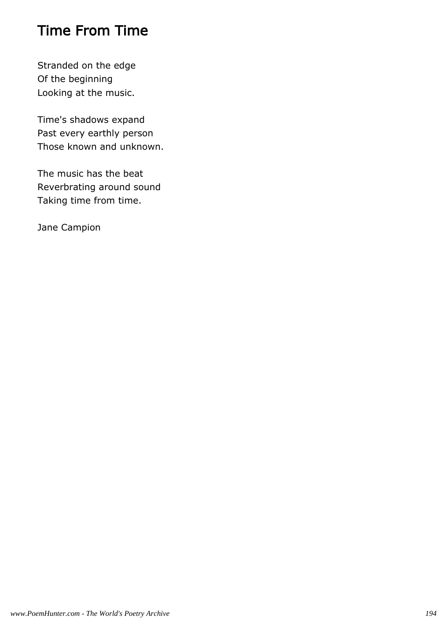## Time From Time

Stranded on the edge Of the beginning Looking at the music.

Time's shadows expand Past every earthly person Those known and unknown.

The music has the beat Reverbrating around sound Taking time from time.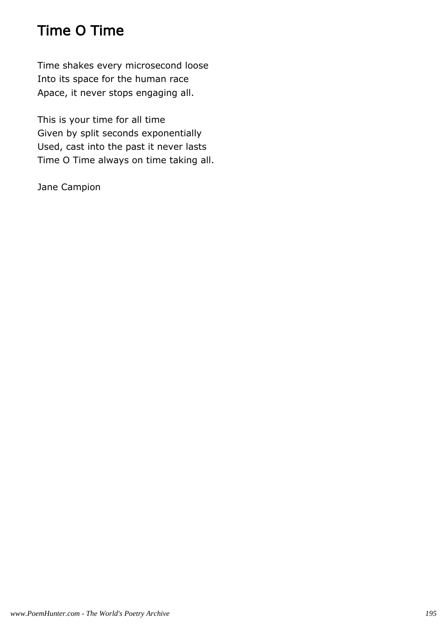# Time O Time

Time shakes every microsecond loose Into its space for the human race Apace, it never stops engaging all.

This is your time for all time Given by split seconds exponentially Used, cast into the past it never lasts Time O Time always on time taking all.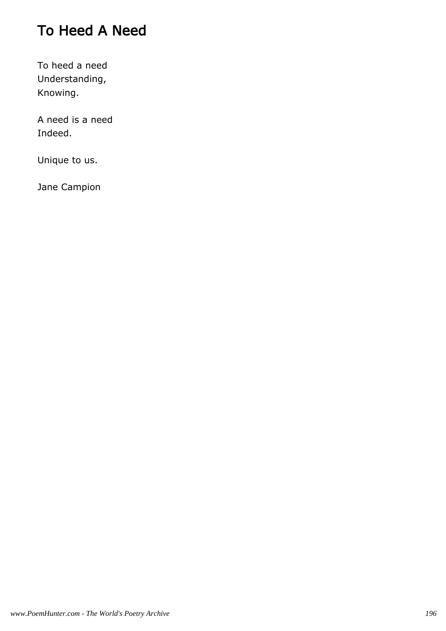# To Heed A Need

To heed a need Understanding, Knowing.

A need is a need Indeed.

Unique to us.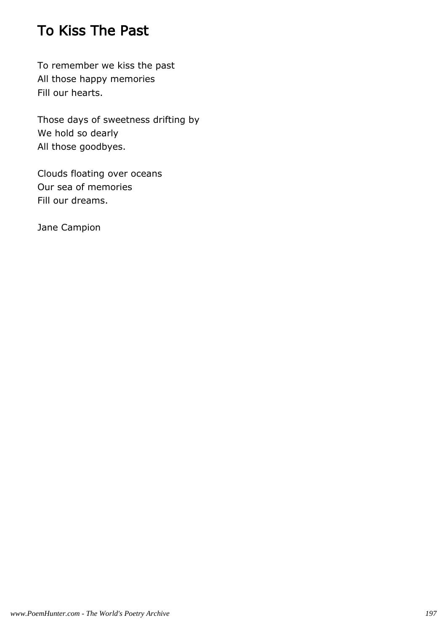### To Kiss The Past

To remember we kiss the past All those happy memories Fill our hearts.

Those days of sweetness drifting by We hold so dearly All those goodbyes.

Clouds floating over oceans Our sea of memories Fill our dreams.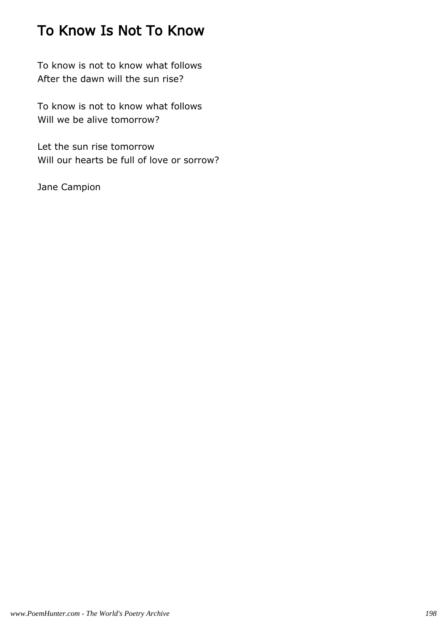## To Know Is Not To Know

To know is not to know what follows After the dawn will the sun rise?

To know is not to know what follows Will we be alive tomorrow?

Let the sun rise tomorrow Will our hearts be full of love or sorrow?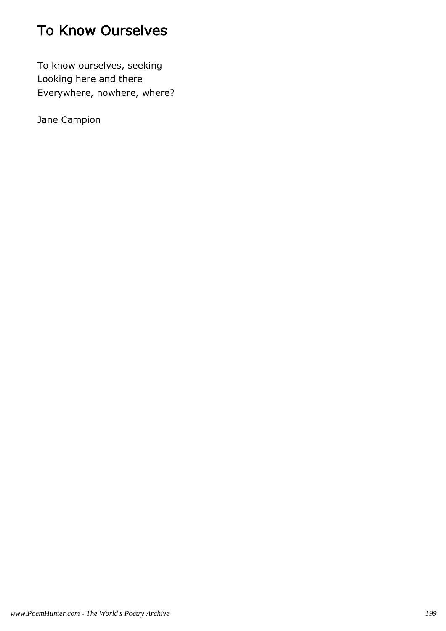# To Know Ourselves

To know ourselves, seeking Looking here and there Everywhere, nowhere, where?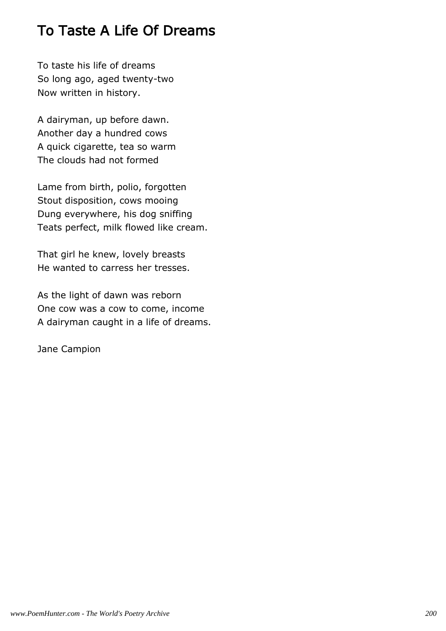### To Taste A Life Of Dreams

To taste his life of dreams So long ago, aged twenty-two Now written in history.

A dairyman, up before dawn. Another day a hundred cows A quick cigarette, tea so warm The clouds had not formed

Lame from birth, polio, forgotten Stout disposition, cows mooing Dung everywhere, his dog sniffing Teats perfect, milk flowed like cream.

That girl he knew, lovely breasts He wanted to carress her tresses.

As the light of dawn was reborn One cow was a cow to come, income A dairyman caught in a life of dreams.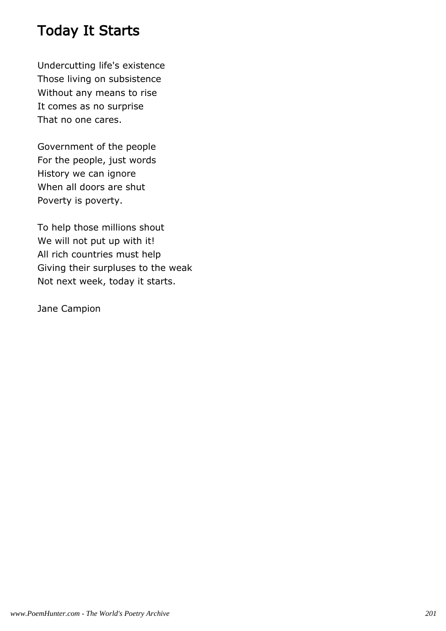## Today It Starts

Undercutting life's existence Those living on subsistence Without any means to rise It comes as no surprise That no one cares.

Government of the people For the people, just words History we can ignore When all doors are shut Poverty is poverty.

To help those millions shout We will not put up with it! All rich countries must help Giving their surpluses to the weak Not next week, today it starts.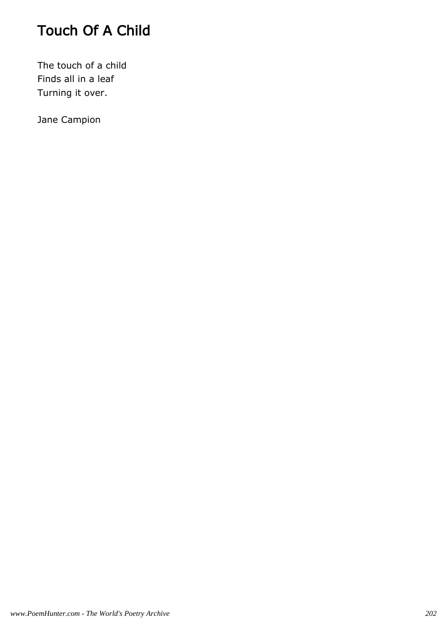# Touch Of A Child

The touch of a child Finds all in a leaf Turning it over.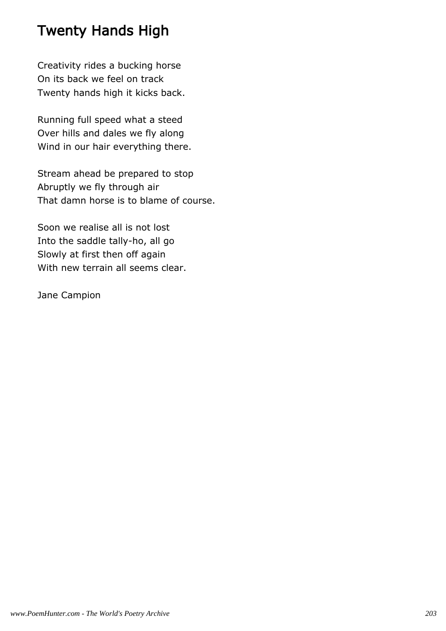## Twenty Hands High

Creativity rides a bucking horse On its back we feel on track Twenty hands high it kicks back.

Running full speed what a steed Over hills and dales we fly along Wind in our hair everything there.

Stream ahead be prepared to stop Abruptly we fly through air That damn horse is to blame of course.

Soon we realise all is not lost Into the saddle tally-ho, all go Slowly at first then off again With new terrain all seems clear.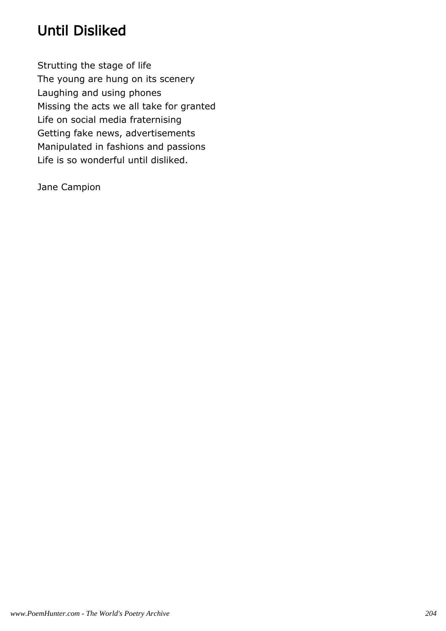# Until Disliked

Strutting the stage of life The young are hung on its scenery Laughing and using phones Missing the acts we all take for granted Life on social media fraternising Getting fake news, advertisements Manipulated in fashions and passions Life is so wonderful until disliked.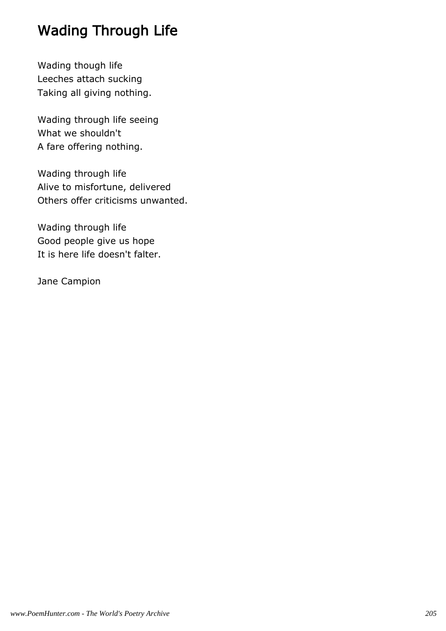# Wading Through Life

Wading though life Leeches attach sucking Taking all giving nothing.

Wading through life seeing What we shouldn't A fare offering nothing.

Wading through life Alive to misfortune, delivered Others offer criticisms unwanted.

Wading through life Good people give us hope It is here life doesn't falter.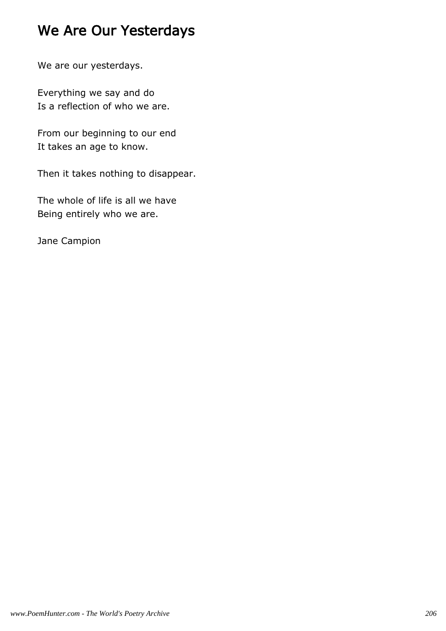# We Are Our Yesterdays

We are our yesterdays.

Everything we say and do Is a reflection of who we are.

From our beginning to our end It takes an age to know.

Then it takes nothing to disappear.

The whole of life is all we have Being entirely who we are.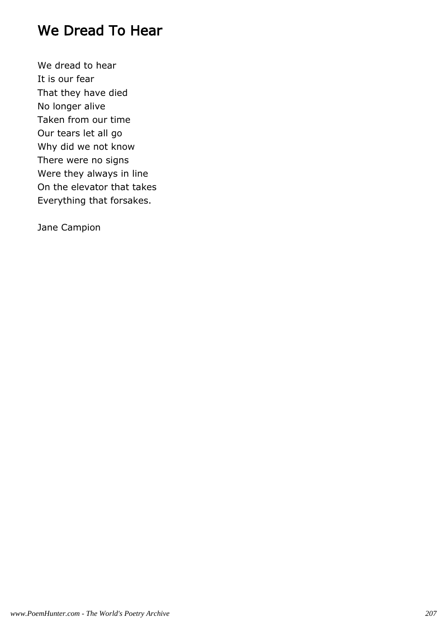#### We Dread To Hear

We dread to hear It is our fear That they have died No longer alive Taken from our time Our tears let all go Why did we not know There were no signs Were they always in line On the elevator that takes Everything that forsakes.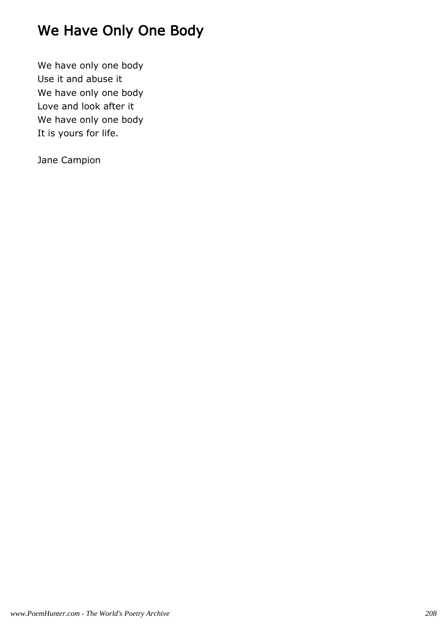# We Have Only One Body

We have only one body Use it and abuse it We have only one body Love and look after it We have only one body It is yours for life.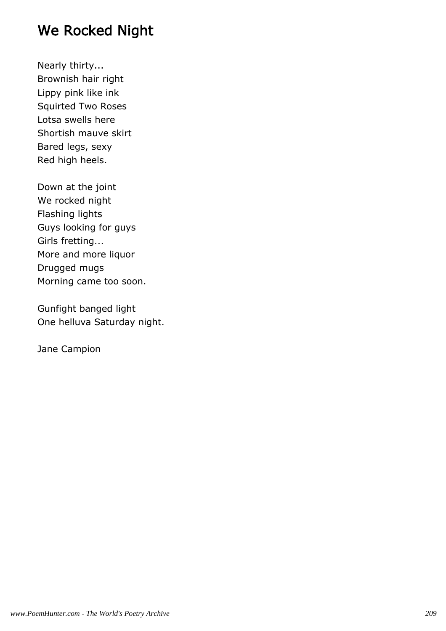### We Rocked Night

Nearly thirty... Brownish hair right Lippy pink like ink Squirted Two Roses Lotsa swells here Shortish mauve skirt Bared legs, sexy Red high heels.

Down at the joint We rocked night Flashing lights Guys looking for guys Girls fretting... More and more liquor Drugged mugs Morning came too soon.

Gunfight banged light One helluva Saturday night.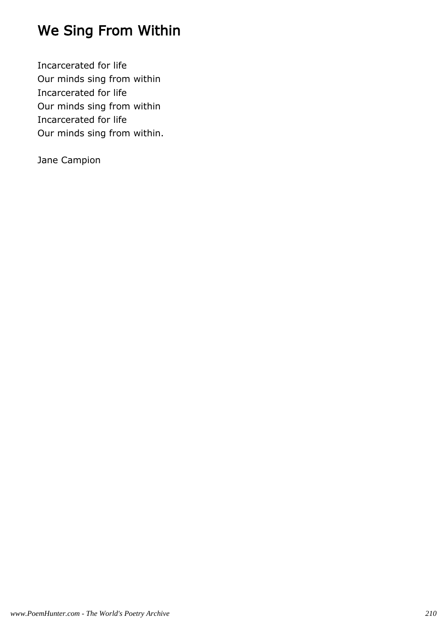# We Sing From Within

Incarcerated for life Our minds sing from within Incarcerated for life Our minds sing from within Incarcerated for life Our minds sing from within.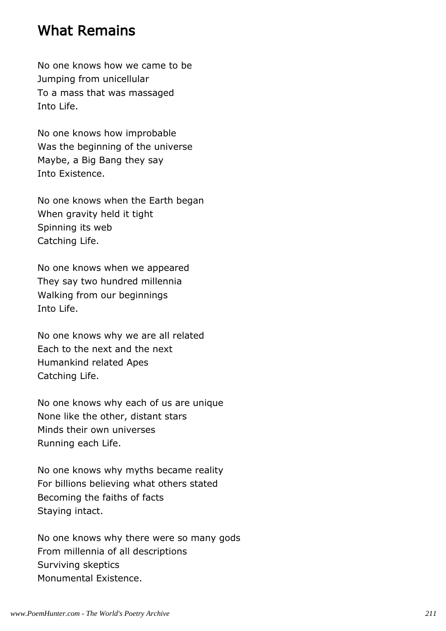#### What Remains

No one knows how we came to be Jumping from unicellular To a mass that was massaged Into Life.

No one knows how improbable Was the beginning of the universe Maybe, a Big Bang they say Into Existence.

No one knows when the Earth began When gravity held it tight Spinning its web Catching Life.

No one knows when we appeared They say two hundred millennia Walking from our beginnings Into Life.

No one knows why we are all related Each to the next and the next Humankind related Apes Catching Life.

No one knows why each of us are unique None like the other, distant stars Minds their own universes Running each Life.

No one knows why myths became reality For billions believing what others stated Becoming the faiths of facts Staying intact.

No one knows why there were so many gods From millennia of all descriptions Surviving skeptics Monumental Existence.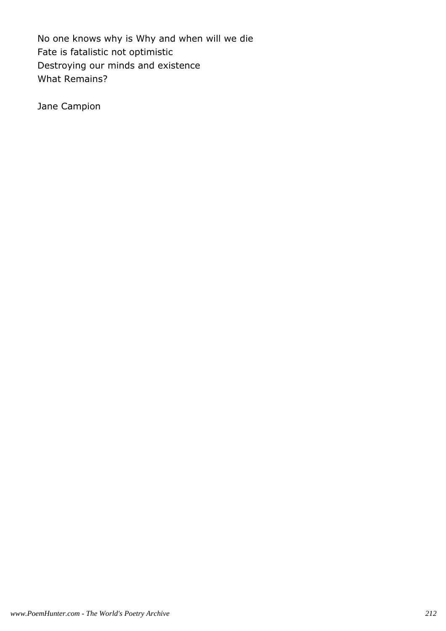No one knows why is Why and when will we die Fate is fatalistic not optimistic Destroying our minds and existence What Remains?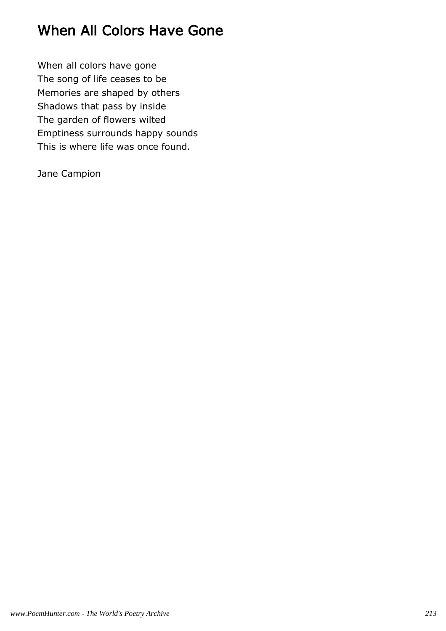## When All Colors Have Gone

When all colors have gone The song of life ceases to be Memories are shaped by others Shadows that pass by inside The garden of flowers wilted Emptiness surrounds happy sounds This is where life was once found.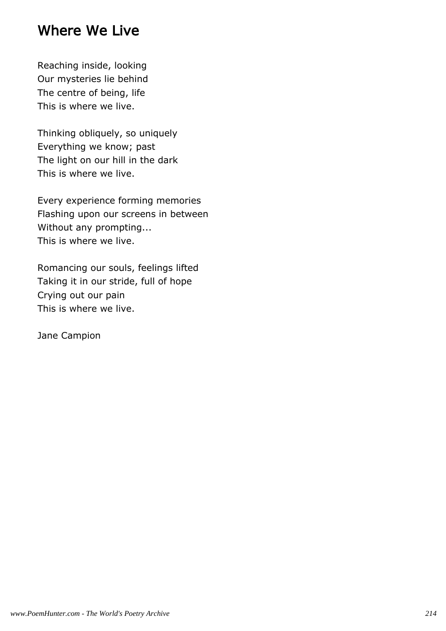#### Where We Live

Reaching inside, looking Our mysteries lie behind The centre of being, life This is where we live.

Thinking obliquely, so uniquely Everything we know; past The light on our hill in the dark This is where we live.

Every experience forming memories Flashing upon our screens in between Without any prompting... This is where we live.

Romancing our souls, feelings lifted Taking it in our stride, full of hope Crying out our pain This is where we live.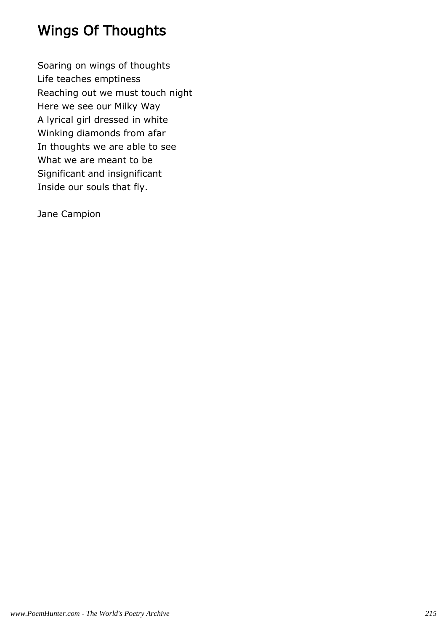# Wings Of Thoughts

Soaring on wings of thoughts Life teaches emptiness Reaching out we must touch night Here we see our Milky Way A lyrical girl dressed in white Winking diamonds from afar In thoughts we are able to see What we are meant to be Significant and insignificant Inside our souls that fly.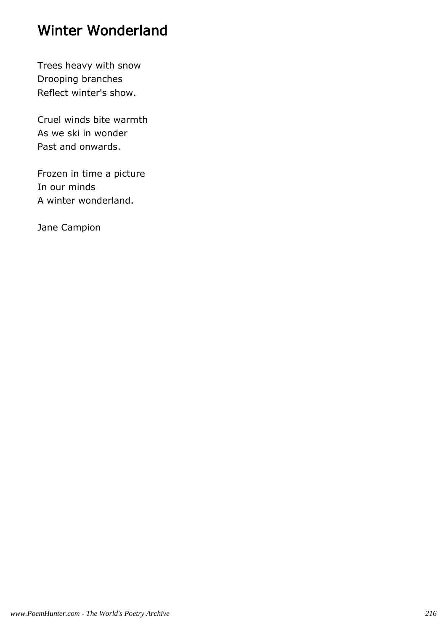# Winter Wonderland

Trees heavy with snow Drooping branches Reflect winter's show.

Cruel winds bite warmth As we ski in wonder Past and onwards.

Frozen in time a picture In our minds A winter wonderland.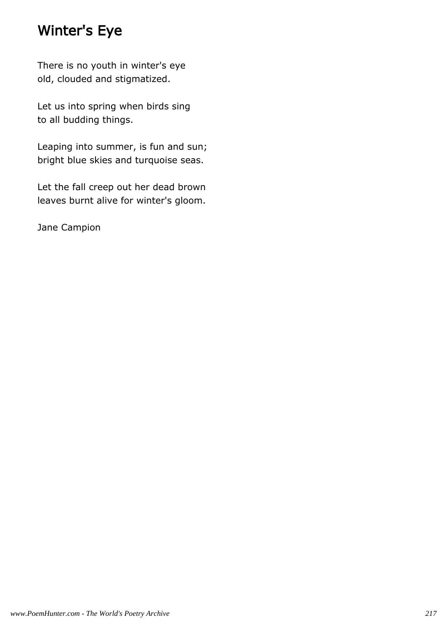### Winter's Eye

There is no youth in winter's eye old, clouded and stigmatized.

Let us into spring when birds sing to all budding things.

Leaping into summer, is fun and sun; bright blue skies and turquoise seas.

Let the fall creep out her dead brown leaves burnt alive for winter's gloom.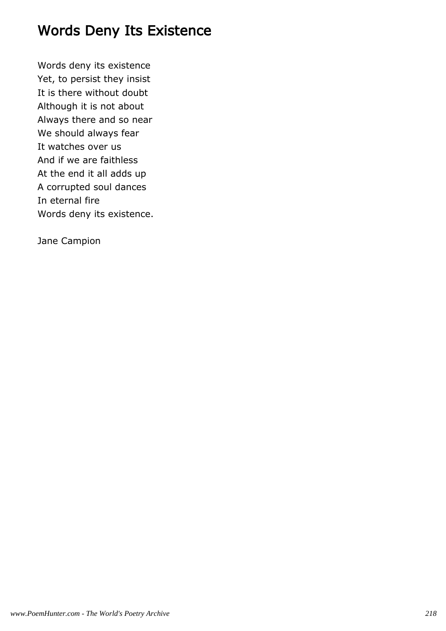# Words Deny Its Existence

Words deny its existence Yet, to persist they insist It is there without doubt Although it is not about Always there and so near We should always fear It watches over us And if we are faithless At the end it all adds up A corrupted soul dances In eternal fire Words deny its existence.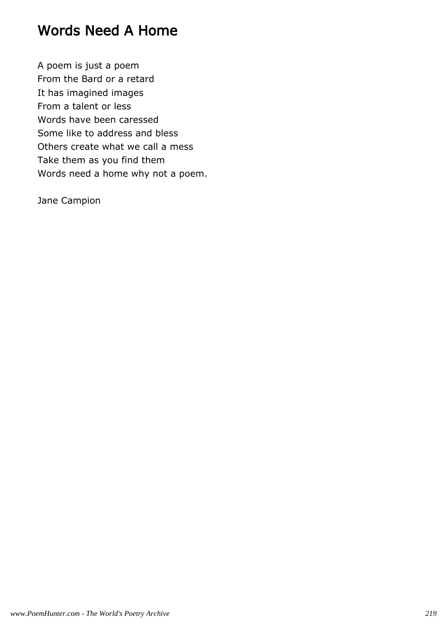# Words Need A Home

A poem is just a poem From the Bard or a retard It has imagined images From a talent or less Words have been caressed Some like to address and bless Others create what we call a mess Take them as you find them Words need a home why not a poem.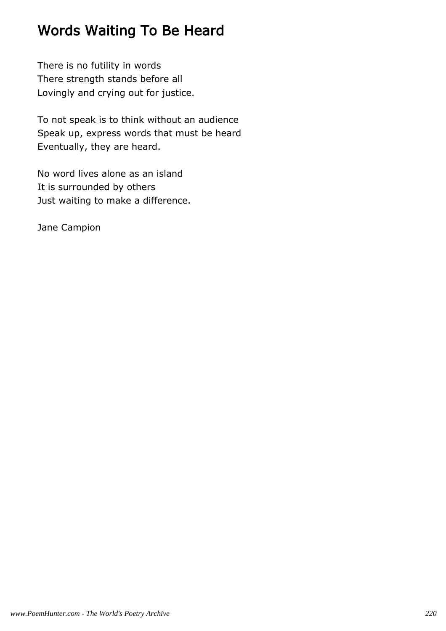# Words Waiting To Be Heard

There is no futility in words There strength stands before all Lovingly and crying out for justice.

To not speak is to think without an audience Speak up, express words that must be heard Eventually, they are heard.

No word lives alone as an island It is surrounded by others Just waiting to make a difference.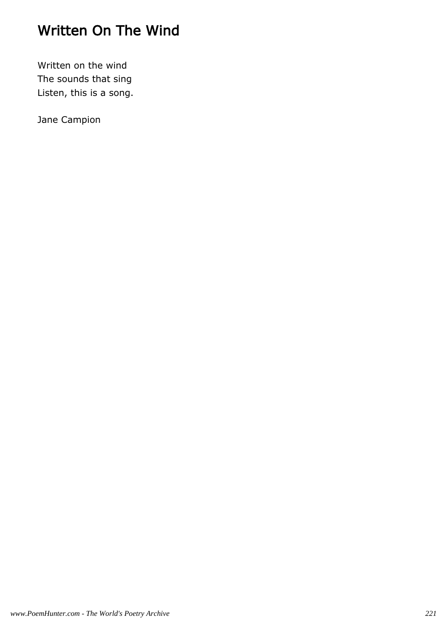# Written On The Wind

Written on the wind The sounds that sing Listen, this is a song.